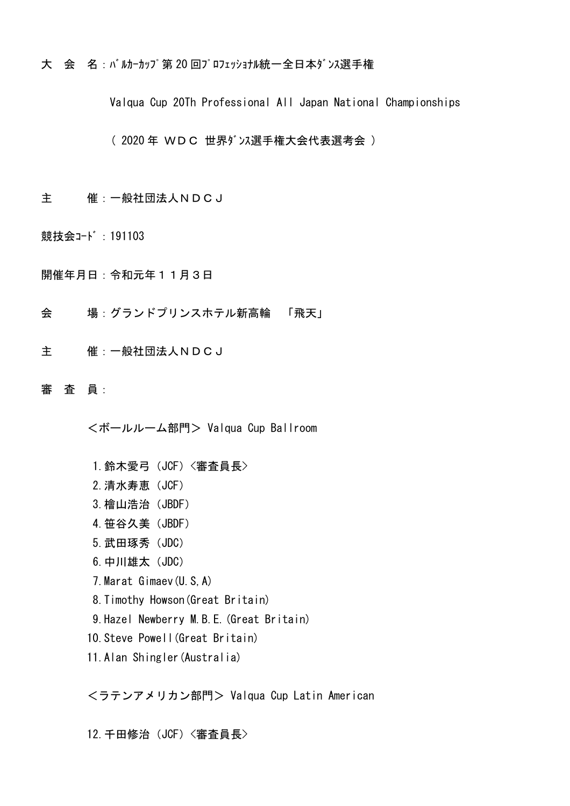大 会 名: バルカーカップ第20回プロフェッショナル統一全日本ダンス選手権

Valqua Cup 20Th Professional All Japan National Championships

( 2020 年 WDC 世界ダンス選手権大会代表選考会 )

- 主 催:一般社団法人NDCJ
- 競技会コード: 191103

開催年月日:令和元年11月3日

- 会 場:グランドプリンスホテル新高輪 「飛天」
- 主 催:一般社団法人NDCJ
- 審 査 員:

<ボールルーム部門> Valqua Cup Ballroom

- 1. 鈴木愛弓 (JCF) <審査員長>
- 2.清水寿恵(JCF)
- 3.檜山浩治(JBDF)
- 4. 笹谷久美 (JBDF)
- 5.武田琢秀(JDC)
- 6.中川雄太(JDC)
- 7.Marat Gimaev(U.S,A)
- 8.Timothy Howson(Great Britain)
- 9.Hazel Newberry M.B.E.(Great Britain)
- 10.Steve Powell(Great Britain)
- 11.Alan Shingler(Australia)

<ラテンアメリカン部門> Valqua Cup Latin American

12. 千田修治 (JCF) 〈審査員長〉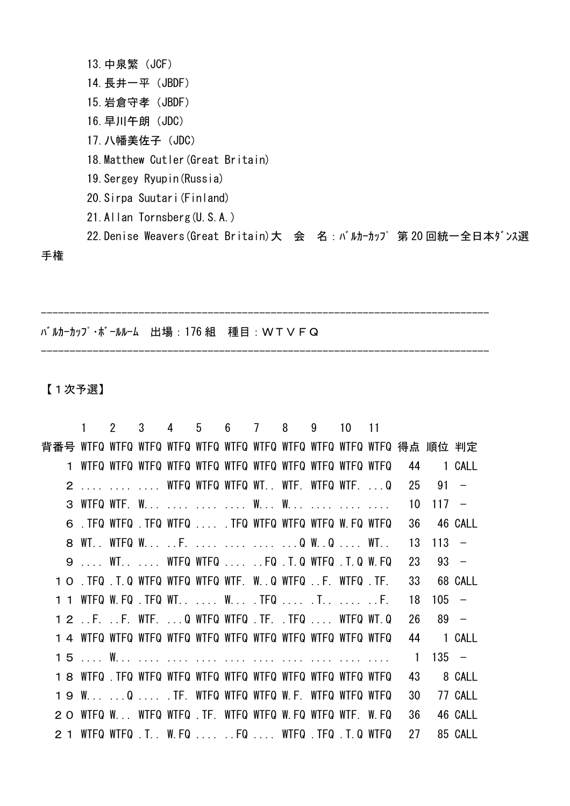13.中泉繁(JCF) 14. 長井一平 (JBDF) 15.岩倉守孝(JBDF) 16.早川午朗(JDC) 17. 八幡美佐子 (JDC) 18.Matthew Cutler(Great Britain) 19.Sergey Ryupin(Russia) 20.Sirpa Suutari(Finland) 21.Allan Tornsberg(U.S.A.)

------------------------------------------------------------------------------

------------------------------------------------------------------------------

22. Denise Weavers (Great Britain)大 会 名: バルカーカップ第20回統一全日本ダンス選

手権

バルカーカップ・ボールルーム 出場:176 組 種目:WTVFQ

【1次予選】

|     |                                                          | $\mathcal{P}$ |  |  | 3 4 5 6 7 8 9 10                                                                                                                     |  | $\overline{11}$ |                |         |                          |
|-----|----------------------------------------------------------|---------------|--|--|--------------------------------------------------------------------------------------------------------------------------------------|--|-----------------|----------------|---------|--------------------------|
|     |                                                          |               |  |  |                                                                                                                                      |  |                 |                |         |                          |
|     |                                                          |               |  |  |                                                                                                                                      |  |                 | 44             |         | 1 CALL                   |
|     | 2    WTFQ WTFQ WTFQ WT WTF. WTFQ WTF. Q                  |               |  |  |                                                                                                                                      |  |                 | 25             | 91      | $\overline{\phantom{0}}$ |
|     |                                                          |               |  |  |                                                                                                                                      |  |                 | 10             | $117 -$ |                          |
|     | 6 . TFQ WTFQ . TFQ WTFQ  . TFQ WTFQ WTFQ WTFQ W. FQ WTFQ |               |  |  |                                                                                                                                      |  |                 | 36             | 46 CALL |                          |
|     | 8 WT WTFQ W F.    Q WQ  WT                               |               |  |  |                                                                                                                                      |  |                 | 13             | 113     | $\overline{\phantom{0}}$ |
|     | 9  WT.  WTFQ WTFQ  FQ .T.Q WTFQ .T.Q W.FQ                |               |  |  |                                                                                                                                      |  |                 | 23             | $93 -$  |                          |
|     | 1 O .TFQ .T.Q WTFQ WTFQ WTFQ WTF. W. Q WTFQ F. WTFQ .TF. |               |  |  |                                                                                                                                      |  |                 | 33             |         | 68 CALL                  |
|     |                                                          |               |  |  |                                                                                                                                      |  |                 | 18             | 105     | $\overline{\phantom{0}}$ |
|     | 1 2 F. F. WTF. Q WTFQ WTFQ .TF. .TFQ  WTFQ WT.Q          |               |  |  |                                                                                                                                      |  |                 | 26             | 89      | $\overline{\phantom{a}}$ |
|     |                                                          |               |  |  |                                                                                                                                      |  |                 | 44             |         | 1 CALL                   |
|     |                                                          |               |  |  |                                                                                                                                      |  |                 | $\overline{1}$ | $135 -$ |                          |
|     |                                                          |               |  |  |                                                                                                                                      |  |                 | 43             |         | 8 CALL                   |
|     | 19 W Q  .TF. WTFQ WTFQ WTFQ W.F. WTFQ WTFQ WTFQ          |               |  |  |                                                                                                                                      |  |                 | 30             |         | 77 CALL                  |
| 2 O | WTFQ W WTFQ WTFQ .TF. WTFQ WTFQ W.FQ WTFQ WTF. W.FQ      |               |  |  |                                                                                                                                      |  |                 | 36             |         | 46 CALL                  |
|     |                                                          |               |  |  | WIFQ WIFQ $\cdot$ T. $\cdot$ W. FQ $\cdot \cdot \cdot \cdot \cdot$ . FQ $\cdot \cdot \cdot \cdot$ WIFQ $\cdot$ TFQ $\cdot$ T. Q WIFQ |  |                 | 27             |         | 85 CALL                  |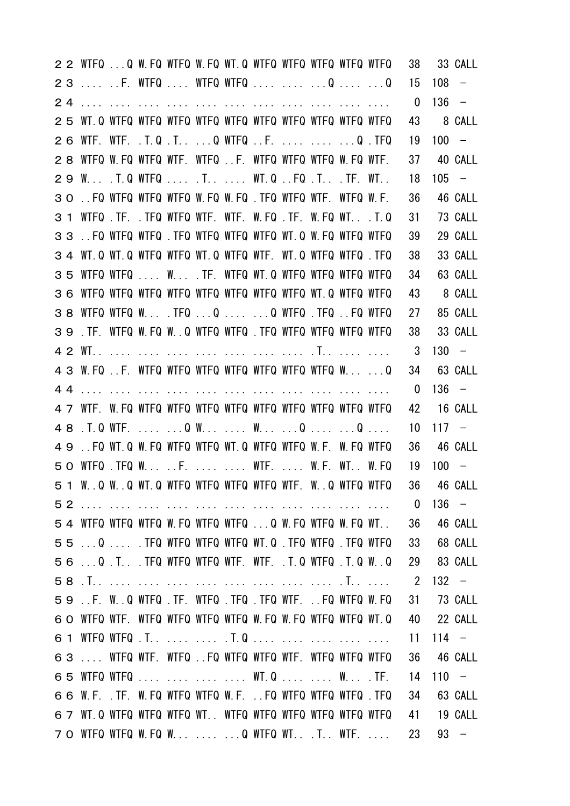|                | 2 2 WTFQ Q W.FQ WTFQ W.FQ WT.Q WTFQ WTFQ WTFQ WTFQ WTFQ   |                                                       |  |  |  |                                                    | 38                       |         | 33 CALL                  |
|----------------|-----------------------------------------------------------|-------------------------------------------------------|--|--|--|----------------------------------------------------|--------------------------|---------|--------------------------|
| 23             | F. WTFQ  WTFQ WTFQ   Q  Q                                 |                                                       |  |  |  |                                                    | 15                       | 108     | $\overline{\phantom{0}}$ |
| 24             |                                                           |                                                       |  |  |  |                                                    | $\overline{0}$           | 136     | $\overline{\phantom{0}}$ |
|                |                                                           |                                                       |  |  |  |                                                    | 43                       |         | 8 CALL                   |
| 26             |                                                           | WTF. WTF. .T.Q.T Q WTFQF.   Q.TFQ                     |  |  |  |                                                    | 19                       | $100 -$ |                          |
| 28             |                                                           | WIFQ W.FQ WIFQ WIF. WIFQ F. WIFQ WIFQ WIFQ W.FQ WIF.  |  |  |  |                                                    | 37                       |         | 40 CALL                  |
|                | 29 W . T.Q WTFQ  . T  WT.Q  FQ . T . TF. WT               |                                                       |  |  |  |                                                    | 18                       | $105 -$ |                          |
| 30             | FQ WTFQ WTFQ WTFQ W.FQ W.FQ .TFQ WTFQ WTF. WTFQ W.F.      |                                                       |  |  |  |                                                    | 36                       |         | 46 CALL                  |
| 3 <sub>1</sub> |                                                           | WTFQ TF. TFQ WTFQ WTF. WTF. W.FQ TF. W.FQ WT. T.Q     |  |  |  |                                                    | 31                       |         | 73 CALL                  |
|                | 33.FQ WIFQ WIFQ TFQ WIFQ WIFQ WIFQ WI.Q W.FQ WIFQ WIFQ    |                                                       |  |  |  |                                                    | 39                       |         | 29 CALL                  |
| 34             |                                                           | WT.Q WT.Q WTFQ WTFQ WT.Q WTFQ WTF. WT.Q WTFQ WTFQ.TFQ |  |  |  |                                                    | 38                       |         | 33 CALL                  |
| 35             |                                                           | WIFQ WIFQ  W . TF. WIFQ WI Q WIFQ WIFQ WIFQ WIFQ      |  |  |  |                                                    | 34                       |         | 63 CALL                  |
|                |                                                           |                                                       |  |  |  |                                                    | 43                       |         | 8 CALL                   |
| 38             |                                                           |                                                       |  |  |  |                                                    | 27                       |         | 85 CALL                  |
| 39             |                                                           | .TF. WTFQ W.FQ WQ WTFQ WTFQ .TFQ WTFQ WTFQ WTFQ WTFQ  |  |  |  |                                                    | 38                       |         | 33 CALL                  |
|                |                                                           |                                                       |  |  |  |                                                    | 3                        | $130 -$ |                          |
|                | 4 3 W.FQ F. WTFQ WTFQ WTFQ WTFQ WTFQ WTFQ WTFQ WQ         |                                                       |  |  |  |                                                    | 34                       |         | 63 CALL                  |
| 44             |                                                           |                                                       |  |  |  |                                                    | $\mathbf{0}$             | $136 -$ |                          |
|                |                                                           |                                                       |  |  |  |                                                    | 42                       |         | 16 CALL                  |
|                |                                                           |                                                       |  |  |  |                                                    | 10                       | $117 -$ |                          |
| 49             |                                                           | FQ WT.Q W.FQ WTFQ WTFQ WT.Q WTFQ WTFQ W.F. W.FQ WTFQ  |  |  |  |                                                    | 36                       |         | 46 CALL                  |
|                | 50 WTFQ TFQ W .F.   WTF.  W.F. WT. W.FQ                   |                                                       |  |  |  |                                                    | 19                       | $100 -$ |                          |
|                | 51 W.Q W.Q WT.Q WTFQ WTFQ WTFQ WTFQ WTF. W.Q WTFQ WTFQ    |                                                       |  |  |  |                                                    |                          |         | 36 46 CALL               |
|                |                                                           |                                                       |  |  |  |                                                    | $\overline{\phantom{0}}$ |         | $136 -$                  |
|                | 54 WTFQ WTFQ WTFQ W.FQ WTFQ WTFQ Q W.FQ WTFQ W.FQ WT      |                                                       |  |  |  |                                                    | 36                       |         | 46 CALL                  |
|                |                                                           |                                                       |  |  |  | 55 Q  .TFQ WTFQ WTFQ WTFQ WT.Q .TFQ WTFQ .TFQ WTFQ | 33                       |         | 68 CALL                  |
|                | 56 Q . T . TFQ WTFQ WTFQ WTF. WTF. . T.Q WTFQ . T.Q WQ    |                                                       |  |  |  |                                                    |                          |         | 29 83 CALL               |
|                |                                                           |                                                       |  |  |  |                                                    | $\overline{2}$           |         | $132 -$                  |
|                | 59 .F. W.Q WTFQ .TF. WTFQ .TFQ .TFQ WTF. .FQ WTFQ W.FQ    |                                                       |  |  |  |                                                    | 31                       |         | 73 CALL                  |
|                | 60 WTFQ WTF. WTFQ WTFQ WTFQ WTFQ W.FQ W.FQ WTFQ WTFQ WT.Q |                                                       |  |  |  |                                                    |                          |         | 40 22 CALL               |
|                |                                                           |                                                       |  |  |  |                                                    | 11                       |         | $114 -$                  |
|                | 63  WIFQ WIF. WIFQ FQ WIFQ WIFQ WIF. WIFQ WIFQ WIFQ       |                                                       |  |  |  |                                                    | 36                       |         | 46 CALL                  |
|                | 65 WTFQ WTFQ     WT.Q   W .TF.                            |                                                       |  |  |  |                                                    | 14                       | $110 -$ |                          |
|                | 66 W.F. TF. W.FQ WTFQ WTFQ W.F. . FQ WTFQ WTFQ WTFQ TFQ   |                                                       |  |  |  |                                                    | 34                       |         | 63 CALL                  |
|                | 6 7 WT.Q WTFQ WTFQ WTFQ WT WTFQ WTFQ WTFQ WTFQ WTFQ WTFQ  |                                                       |  |  |  |                                                    | 41                       |         | 19 CALL                  |
|                | 7 O WTFQ WTFQ W.FQ W   Q WTFQ WTT WTF                     |                                                       |  |  |  |                                                    | 23                       |         | $93 -$                   |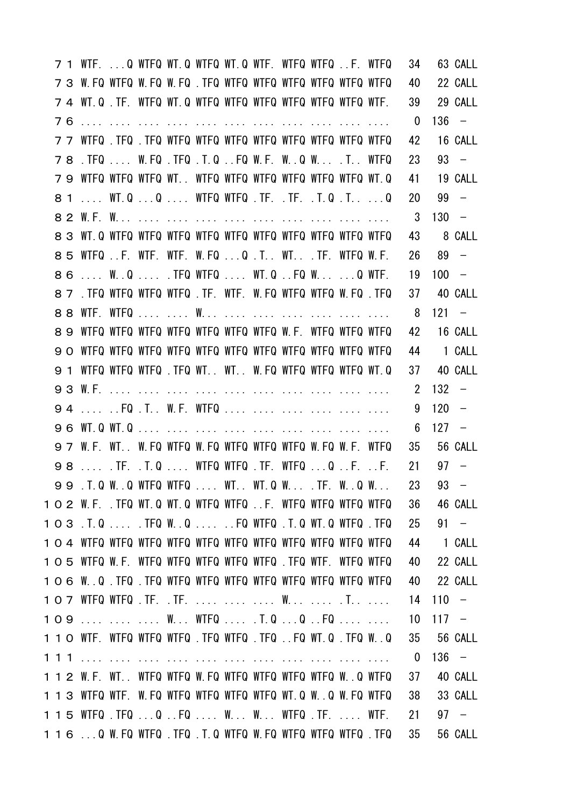|  |    | 7 1 WTF. Q WTFQ WT.Q WTFQ WT.Q WTF. WTFQ WTFQ F. WTFQ         |  |  |  |  |                                           | 34                      |         | 63 CALL                  |
|--|----|---------------------------------------------------------------|--|--|--|--|-------------------------------------------|-------------------------|---------|--------------------------|
|  |    | 7 3 W.FQ WTFQ W.FQ W.FQ .TFQ WTFQ WTFQ WTFQ WTFQ WTFQ WTFQ    |  |  |  |  |                                           | 40                      |         | 22 CALL                  |
|  |    | 7 4 WT.Q. TF. WTFQ WT.Q WTFQ WTFQ WTFQ WTFQ WTFQ WTFQ WTF.    |  |  |  |  |                                           | 39                      |         | 29 CALL                  |
|  |    |                                                               |  |  |  |  |                                           | $\overline{\mathbf{0}}$ |         | $136 -$                  |
|  |    |                                                               |  |  |  |  |                                           | 42                      |         | 16 CALL                  |
|  |    | 78 . TFQ  W.FQ . TFQ . T.Q FQ W.F. W. .Q W.  . T. . WTFQ      |  |  |  |  |                                           | 23                      |         | $93 -$                   |
|  |    | 79 WTFQ WTFQ WTFQ WT WTFQ WTFQ WTFQ WTFQ WTFQ WTFQ WT.Q       |  |  |  |  |                                           | 41                      |         | 19 CALL                  |
|  |    | 8 1  WT.Q Q  WTFQ WTFQ .TF. .TF. .T.Q .T Q                    |  |  |  |  |                                           | 20                      |         | $99 -$                   |
|  |    |                                                               |  |  |  |  |                                           | 3                       | $130 -$ |                          |
|  |    |                                                               |  |  |  |  |                                           | 43                      |         | 8 CALL                   |
|  |    | 85 WTFQF. WTF. WTF. W.FQQ.T WTTF. WTFQ W.F.                   |  |  |  |  |                                           | 26                      |         | $89 -$                   |
|  | 86 | W.Q .TFQ WTFQ  WT.QFQ W Q WTF.                                |  |  |  |  |                                           | 19                      | $100 -$ |                          |
|  |    | 8 7 . TFQ WTFQ WTFQ WTFQ . TF. WTF. W.FQ WTFQ WTFQ W.FQ . TFQ |  |  |  |  |                                           | 37                      |         | 40 CALL                  |
|  |    |                                                               |  |  |  |  |                                           | 8                       | $121 -$ |                          |
|  | 89 | WTFQ WTFQ WTFQ WTFQ WTFQ WTFQ WTFQ W.F. WTFQ WTFQ WTFQ        |  |  |  |  |                                           | 42                      |         | 16 CALL                  |
|  |    |                                                               |  |  |  |  |                                           |                         |         | 44 1 CALL                |
|  |    | 9 1 WTFQ WTFQ WTFQ .TFQ WT WT W.FQ WTFQ WTFQ WTFQ WT.Q        |  |  |  |  |                                           | 37                      |         | 40 CALL                  |
|  |    |                                                               |  |  |  |  |                                           | $2^{\circ}$             | 132     | $\overline{\phantom{0}}$ |
|  |    | 94  FQ . T. . W.F. WTFQ       .                               |  |  |  |  |                                           | 9                       | $120 -$ |                          |
|  |    |                                                               |  |  |  |  |                                           | 6                       | $127 -$ |                          |
|  |    | 97 W.F. WT W.FQ WTFQ W.FQ WTFQ WTFQ WTFQ W.FQ W.F. WTFQ       |  |  |  |  |                                           | 35                      |         | 56 CALL                  |
|  |    | 98  TF. T.Q  WIFQ WIFQ .TF. WIFQ Q F. F.                      |  |  |  |  |                                           | 21                      |         | $97 -$                   |
|  |    |                                                               |  |  |  |  | 99 .T.Q WQ WTFQ WTFQ  WT WT.Q W .TF. WQ W | 23                      |         | $93 -$                   |
|  |    | 1 O 2 W.F. .TFQ WT.Q WT.Q WTFQ WTFQ F. WTFQ WTFQ WTFQ WTFQ    |  |  |  |  |                                           | 36                      |         | 46 CALL                  |
|  |    | 103 .T.Q  .TFQ W.Q  FQ WTFQ .T.Q WT.Q WTFQ .TFQ               |  |  |  |  |                                           | 25                      |         | $91 -$                   |
|  |    |                                                               |  |  |  |  |                                           | 44                      |         | 1 CALL                   |
|  |    | 105 WTFQ W.F. WTFQ WTFQ WTFQ WTFQ WTFQ. TFQ WTF. WTFQ WTFQ    |  |  |  |  |                                           | 40                      |         | 22 CALL                  |
|  |    |                                                               |  |  |  |  |                                           | 40                      |         | 22 CALL                  |
|  |    |                                                               |  |  |  |  |                                           | 14                      | $110 -$ |                          |
|  |    | 109    W WIFQ  .T.Q Q FQ                                      |  |  |  |  |                                           | 10                      | $117 -$ |                          |
|  |    | 110 WTF. WTFQ WTFQ WTFQ .TFQ WTFQ .TFQ .FQ WT.Q .TFQ W.Q      |  |  |  |  |                                           | 35                      |         | 56 CALL                  |
|  |    |                                                               |  |  |  |  |                                           | $\mathbf 0$             | $136 -$ |                          |
|  |    | 112 W.F. WT WTFQ WTFQ W.FQ WTFQ WTFQ WTFQ WTFQ W.Q WTFQ       |  |  |  |  |                                           | 37                      |         | 40 CALL                  |
|  |    | 113 WTFQ WTF. W.FQ WTFQ WTFQ WTFQ WTFQ WT.Q W.Q W.FQ WTFQ     |  |  |  |  |                                           | 38                      |         | 33 CALL                  |
|  |    | 115 WTFQ . TFQQ FQ W. W. WTFQ . TF. WTF.                      |  |  |  |  |                                           | 21                      |         | $97 -$                   |
|  |    | 116 Q W.FQ WTFQ .TFQ .T.Q WTFQ W.FQ WTFQ WTFQ WTFQ .TFQ       |  |  |  |  |                                           | 35                      |         | 56 CALL                  |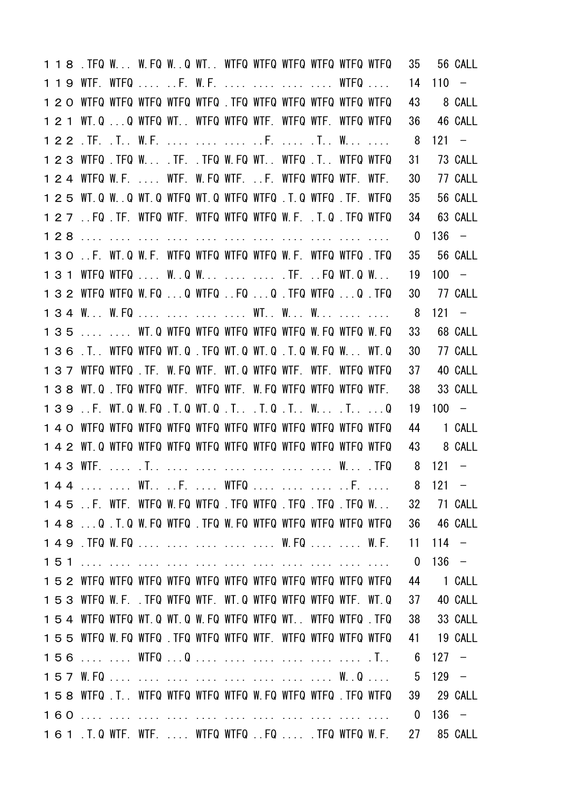|  | 118. TFQ W W.FQ WQ WT WTFQ WTFQ WTFQ WTFQ WTFQ WTFQ           |  |  |  |  |  | 35             |         | 56 CALL        |
|--|---------------------------------------------------------------|--|--|--|--|--|----------------|---------|----------------|
|  | 119 WTF. WTFQ  F. W.F.     WTFQ                               |  |  |  |  |  | 14             | $110 -$ |                |
|  | 1 2 0 WTFQ WTFQ WTFQ WTFQ WTFQ . TFQ WTFQ WTFQ WTFQ WTFQ WTFQ |  |  |  |  |  | 43             |         | 8 CALL         |
|  | 121 WT.QQ WTFQ WT WTFQ WTFQ WTF. WTFQ WTF. WTFQ WTFQ          |  |  |  |  |  | 36             |         | 46 CALL        |
|  |                                                               |  |  |  |  |  | - 8            | 121     | $\sim$ $ \sim$ |
|  | 123 WTFQ .TFQ W .TF. .TFQ W.FQ WT WTFQ .T WTFQ WTFQ           |  |  |  |  |  | 31             |         | 73 CALL        |
|  | 1 2 4 WTFQ W.F.  WTF. W.FQ WTF. F. WTFQ WTFQ WTF. WTF.        |  |  |  |  |  | 30             |         | 77 CALL        |
|  | 1 2 5 WT.Q WQ WT.Q WTFQ WT.Q WTFQ WTFQ .T.Q WTFQ .TF. WTFQ    |  |  |  |  |  | 35             |         | 56 CALL        |
|  | 127 .FQ TF. WIFQ WIF. WIFQ WIFQ WIFQ W.F. T.Q TFQ WIFQ        |  |  |  |  |  | 34             |         | 63 CALL        |
|  |                                                               |  |  |  |  |  | $\mathbf 0$    | $136 -$ |                |
|  | 130 .F. WT.Q W.F. WTFQ WTFQ WTFQ WTFQ W.F. WTFQ WTFQ TFQ      |  |  |  |  |  | 35             |         | 56 CALL        |
|  | 131 WTFQ WTFQ  W.Q W   TF. FQ WT.Q W                          |  |  |  |  |  | 19             | $100 -$ |                |
|  | 132 WTFQ WTFQ W.FQ Q WTFQ FQ Q .TFQ WTFQ Q .TFQ               |  |  |  |  |  | 30             |         | 77 CALL        |
|  | 134 W W.FQ     WT W W                                         |  |  |  |  |  | 8              | $121 -$ |                |
|  | 135   WT.Q WTFQ WTFQ WTFQ WTFQ WTFQ W.FQ WTFQ W.FQ            |  |  |  |  |  | 33             |         | 68 CALL        |
|  | 136 .T. WTFQ WTFQ WT.Q .TFQ WT.Q WT.Q .T.Q W.FQ W WT.Q        |  |  |  |  |  | 30             |         | 77 CALL        |
|  | 137 WTFQ WTFQ TF. W.FQ WTF. WT.Q WTFQ WTF. WTF. WTFQ WTFQ     |  |  |  |  |  | 37             |         | 40 CALL        |
|  | 138 WT.Q. TFQ WTFQ WTF. WTFQ WTF. W.FQ WTFQ WTFQ WTFQ WTF.    |  |  |  |  |  | 38             |         | 33 CALL        |
|  | 139 . F. WT.Q W.FQ . T.Q WT.Q . T. T.Q . T. . W. T. Q         |  |  |  |  |  | 19             | $100 -$ |                |
|  |                                                               |  |  |  |  |  | 44             |         | 1 CALL         |
|  |                                                               |  |  |  |  |  | 43             |         | 8 CALL         |
|  |                                                               |  |  |  |  |  | 8              | $121 -$ |                |
|  | 144   WT. F.  WTFQ    F.  8 121 -                             |  |  |  |  |  |                |         |                |
|  | 145 .F. WTF. WTFQ W.FQ WTFQ .TFQ WTFQ .TFQ .TFQ .TFQ W        |  |  |  |  |  |                |         | 32 71 CALL     |
|  | 148 Q .T.Q W.FQ WTFQ .TFQ W.FQ WTFQ WTFQ WTFQ WTFQ WTFQ       |  |  |  |  |  | 36             |         | 46 CALL        |
|  | 149 . TFQ W. FQ W. FQ W. F.                                   |  |  |  |  |  | 11             | $114 -$ |                |
|  |                                                               |  |  |  |  |  | $\overline{0}$ | $136 -$ |                |
|  |                                                               |  |  |  |  |  | 44             |         | 1 CALL         |
|  | 153 WTFQ W.F. .TFQ WTFQ WTF. WT.Q WTFQ WTFQ WTFQ WTF. WT.Q    |  |  |  |  |  | 37             |         | 40 CALL        |
|  | 154 WTFQ WTFQ WT.Q WT.Q W.FQ WTFQ WTFQ WT. WTFQ WTFQ TFQ      |  |  |  |  |  | 38             |         | 33 CALL        |
|  | 155 WTFQ W.FQ WTFQ .TFQ WTFQ WTFQ WTF. WTFQ WTFQ WTFQ WTFQ    |  |  |  |  |  | 41             |         | 19 CALL        |
|  |                                                               |  |  |  |  |  | 6              | $127 -$ |                |
|  |                                                               |  |  |  |  |  | 5              | $129 -$ |                |
|  | 158 WTFQ .T. WTFQ WTFQ WTFQ WTFQ W.FQ WTFQ WTFQ .TFQ WTFQ     |  |  |  |  |  |                |         | 39 29 CALL     |
|  |                                                               |  |  |  |  |  | $\mathbf{0}$   | $136 -$ |                |
|  | 161 .T.Q WTF. WTF.  WTFQ WTFQ FQ  .TFQ WTFQ W.F.              |  |  |  |  |  | 27             |         | 85 CALL        |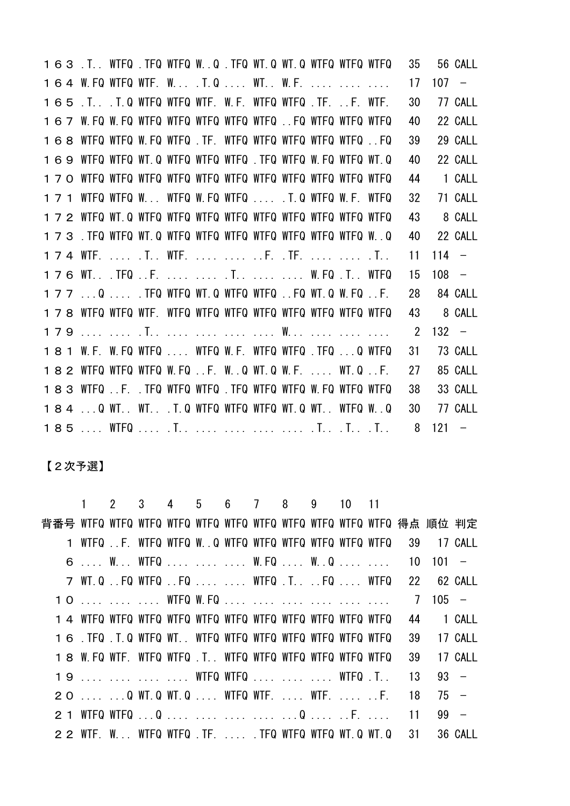.T.. WTFQ .TFQ WTFQ W..Q .TFQ WT.Q WT.Q WTFQ WTFQ WTFQ 35 56 CALL W.FQ WTFQ WTF. W... .T.Q .... WT.. W.F. .... .... .... 17 107 − .T.. .T.Q WTFQ WTFQ WTF. W.F. WTFQ WTFQ .TF. ..F. WTF. 30 77 CALL W.FQ W.FQ WTFQ WTFQ WTFQ WTFQ WTFQ ..FQ WTFQ WTFQ WTFQ 40 22 CALL WTFQ WTFQ W.FQ WTFQ .TF. WTFQ WTFQ WTFQ WTFQ WTFQ ..FQ 39 29 CALL WTFQ WTFQ WT.Q WTFQ WTFQ WTFQ .TFQ WTFQ W.FQ WTFQ WT.Q 40 22 CALL WTFQ WTFQ WTFQ WTFQ WTFQ WTFQ WTFQ WTFQ WTFQ WTFQ WTFQ 44 1 CALL WTFQ WTFQ W... WTFQ W.FQ WTFQ .... .T.Q WTFQ W.F. WTFQ 32 71 CALL WTFQ WT.Q WTFQ WTFQ WTFQ WTFQ WTFQ WTFQ WTFQ WTFQ WTFQ 43 8 CALL .TFQ WTFQ WT.Q WTFQ WTFQ WTFQ WTFQ WTFQ WTFQ WTFQ W..Q 40 22 CALL WTF. .... .T.. WTF. .... .... ..F. .TF. .... .... .T.. 11 114 − WT.. .TFQ ..F. .... .... .T.. .... .... W.FQ .T.. WTFQ 15 108 − ...Q .... .TFQ WTFQ WT.Q WTFQ WTFQ ..FQ WT.Q W.FQ ..F. 28 84 CALL WTFQ WTFQ WTF. WTFQ WTFQ WTFQ WTFQ WTFQ WTFQ WTFQ WTFQ 43 8 CALL .... .... .T.. .... .... .... .... W... .... .... .... 2 132 − W.F. W.FQ WTFQ .... WTFQ W.F. WTFQ WTFQ .TFQ ...Q WTFQ 31 73 CALL WTFQ WTFQ WTFQ W.FQ ..F. W..Q WT.Q W.F. .... WT.Q ..F. 27 85 CALL WTFQ ..F. .TFQ WTFQ WTFQ .TFQ WTFQ WTFQ W.FQ WTFQ WTFQ 38 33 CALL ...Q WT.. WT.. .T.Q WTFQ WTFQ WTFQ WT.Q WT.. WTFQ W..Q 30 77 CALL .... WTFQ .... .T.. .... .... .... .... .T.. .T.. .T.. 8 121 −

【2次予選】

 1 2 3 4 5 6 7 8 9 10 11 背番号 WTFQ WTFQ WTFQ WTFQ WTFQ WTFQ WTFQ WTFQ WTFQ WTFQ WTFQ 得点 順位 判定 WTFQ ..F. WTFQ WTFQ W..Q WTFQ WTFQ WTFQ WTFQ WTFQ WTFQ 39 17 CALL .... W... WTFQ .... .... .... W.FQ .... W..Q .... .... 10 101 − WT.Q ..FQ WTFQ ..FQ .... .... WTFQ .T.. ..FQ .... WTFQ 22 62 CALL 1 0 .... .... .... WTFQ W.FQ .... .... .... .... .... .... 7 105 − WTFQ WTFQ WTFQ WTFQ WTFQ WTFQ WTFQ WTFQ WTFQ WTFQ WTFQ 44 1 CALL .TFQ .T.Q WTFQ WT.. WTFQ WTFQ WTFQ WTFQ WTFQ WTFQ WTFQ 39 17 CALL W.FQ WTF. WTFQ WTFQ .T.. WTFQ WTFQ WTFQ WTFQ WTFQ WTFQ 39 17 CALL 19 .... .... .... .... WTFQ WTFQ .... .... .... WTFQ .T.. 13 93 − .... ...Q WT.Q WT.Q .... WTFQ WTF. .... WTF. .... ..F. 18 75 − 2 1 WTFQ WTFQ ...Q .... .... .... .... ...Q .... ..F. .... 11 99 -WTF. W... WTFQ WTFQ .TF. .... .TFQ WTFQ WTFQ WT.Q WT.Q 31 36 CALL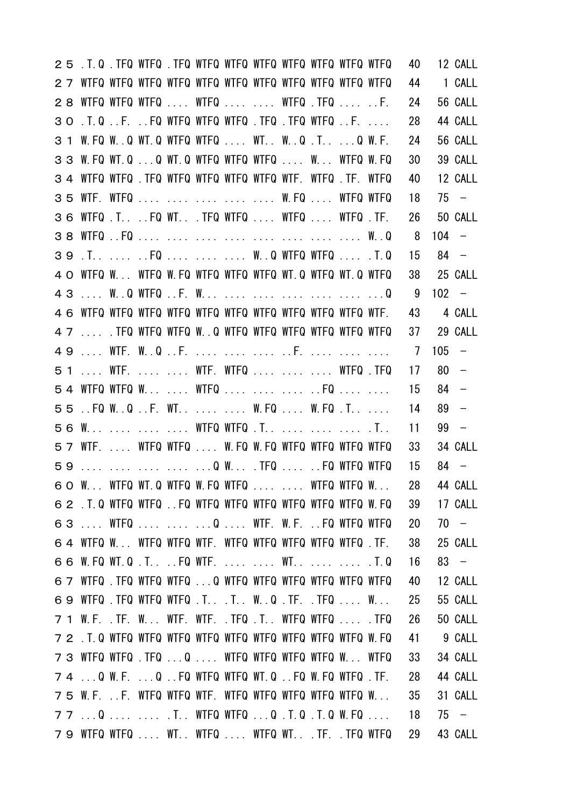| 25 .T.Q. TFQ WTFQ .TFQ WTFQ WTFQ WTFQ WTFQ WTFQ WTFQ WTFQ  |  |  |  |  |  | 40             |         | 12 CALL                  |
|------------------------------------------------------------|--|--|--|--|--|----------------|---------|--------------------------|
|                                                            |  |  |  |  |  | 44             |         | 1 CALL                   |
| 28 WTFQ WTFQ WTFQ  WTFQ   WTFQ .TFQ  F.                    |  |  |  |  |  | 24             |         | 56 CALL                  |
| 30 .T.QF. FQ WTFQ WTFQ WTFQ .TFQ .TFQ WTFQ F.              |  |  |  |  |  | 28             |         | 44 CALL                  |
| 3 1 W.FQ WQ WT.Q WTFQ WTFQ  WT WQ .T Q W.F.                |  |  |  |  |  | 24             |         | 56 CALL                  |
| 33 W.FQ WT.Q Q WT.Q WTFQ WTFQ WTFQ  W WTFQ W.FQ            |  |  |  |  |  | 30             |         | 39 CALL                  |
| 34 WTFQ WTFQ TFQ WTFQ WTFQ WTFQ WTFQ WTF WTFQ TF WTFQ      |  |  |  |  |  | 40             |         | 12 CALL                  |
| 35 WTF. WTFQ      W. FQ  WTFQ WTFQ                         |  |  |  |  |  | 18             |         | $75 -$                   |
| 36 WTFQ . T. FQ WT. TFQ WTFQ WTFQ WTFQ . TF.               |  |  |  |  |  | 26             |         | 50 CALL                  |
|                                                            |  |  |  |  |  | 8              | $104 -$ |                          |
|                                                            |  |  |  |  |  | 15             | $84 -$  |                          |
| 4 O WTFQ W WTFQ W.FQ WTFQ WTFQ WTFQ WT.Q WTFQ WT.Q WTFQ    |  |  |  |  |  | 38             |         | 25 CALL                  |
|                                                            |  |  |  |  |  | 9              | $102 -$ |                          |
|                                                            |  |  |  |  |  | 43             |         | 4 CALL                   |
| 4 7  TFQ WTFQ WTFQ W. . Q WTFQ WTFQ WTFQ WTFQ WTFQ WTFQ    |  |  |  |  |  | 37             |         | 29 CALL                  |
|                                                            |  |  |  |  |  | $\overline{7}$ | 105     | $\overline{\phantom{0}}$ |
| 51  WTF.   WTF. WTFQ    WTFQ .TFQ                          |  |  |  |  |  | 17             | 80      | $\overline{\phantom{0}}$ |
| 54 WTFQ WTFQ W  WTFQ    FQ                                 |  |  |  |  |  | 15             | $84 -$  |                          |
| 55. FQ W.Q.F. WT W.FQ W.FQ.T                               |  |  |  |  |  | 14             | $89 -$  |                          |
| 56 W    WTFQ WTFQ .T.    .T                                |  |  |  |  |  | 11             | $99 -$  |                          |
| 57 WTF.  WTFQ WTFQ  W.FQ W.FQ WTFQ WTFQ WTFQ WTFQ          |  |  |  |  |  | 33             |         | 34 CALL                  |
| 59      Q W . TFQ   FQ WTFQ WTFQ                           |  |  |  |  |  | 15             | $84 -$  |                          |
| 60 W WTFQ WT.Q WTFQ W.FQ WTFQ   WTFQ WTFQ W                |  |  |  |  |  |                |         | 28 44 CALL               |
| 62 .T.Q WTFQ WTFQ FQ WTFQ WTFQ WTFQ WTFQ WTFQ WTFQ W.FQ    |  |  |  |  |  | 39             |         | 17 CALL                  |
| 63  WTFQ    Q  WTF. W.F. FQ WTFQ WTFQ                      |  |  |  |  |  | 20             |         | $70 -$                   |
| 64 WTFQ W WTFQ WTFQ WTF. WTFQ WTFQ WTFQ WTFQ WTFQ.TF.      |  |  |  |  |  | 38             |         | 25 CALL                  |
| 66 W.FQ WT.Q.TFQ WTF WTT.Q                                 |  |  |  |  |  | 16             |         | $83 -$                   |
| 6 7 WTFQ . TFQ WTFQ WTFQ Q WTFQ WTFQ WTFQ WTFQ WTFQ WTFQ   |  |  |  |  |  | 40             |         | 12 CALL                  |
| 69 WTFQ . TFQ WTFQ WTFQ . T. . T. . W. . Q . TF. . TFQ  W. |  |  |  |  |  | 25             |         | 55 CALL                  |
| 7 1 W.F. .TF. W WTF. WTF. .TFQ .T WTFQ WTFQ  .TFQ          |  |  |  |  |  | 26             |         | 50 CALL                  |
|                                                            |  |  |  |  |  | 41             |         | 9 CALL                   |
| 73 WTFQ WTFQ .TFQ Q  WTFQ WTFQ WTFQ WTFQ W WTFQ            |  |  |  |  |  | 33             |         | 34 CALL                  |
| 74 Q W.F. Q FQ WTFQ WTFQ WT.Q FQ W.FQ WTFQ .TF.            |  |  |  |  |  | 28             |         | 44 CALL                  |
| 75 W.F. F. WTFQ WTFQ WTF. WTFQ WTFQ WTFQ WTFQ WTFQ W       |  |  |  |  |  | 35             |         | 31 CALL                  |
| 77 Q   .T WTFQ WTFQ Q .T.Q .T.Q W.FQ                       |  |  |  |  |  | 18             |         | $75 -$                   |
| 79 WTFQ WTFQ  WT. WTFQ  WTFQ WT. .TF. .TFQ WTFQ            |  |  |  |  |  | 29             |         | 43 CALL                  |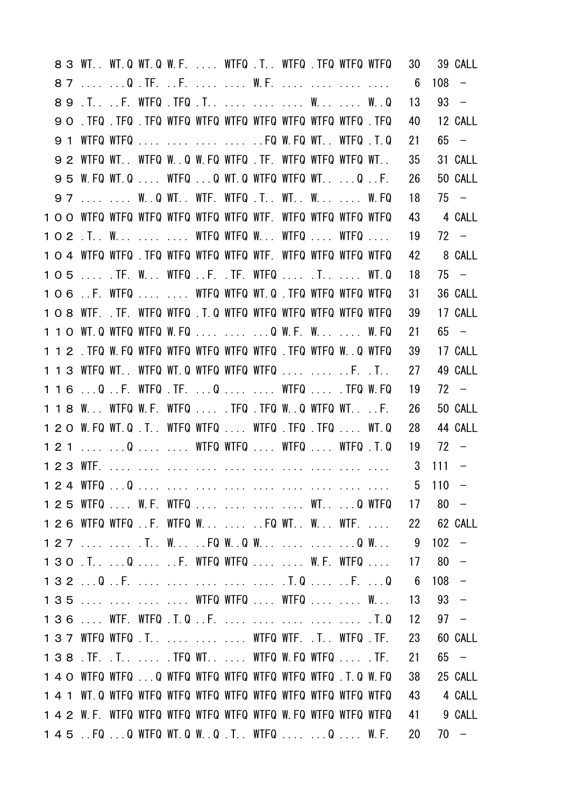|     |     | 83 WT. WT.Q WT.Q W.F.  WTFQ .T. WTFQ .TFQ WTFQ WTFQ              |  |  |  |  |                                         | 30   |             | 39 CALL                  |
|-----|-----|------------------------------------------------------------------|--|--|--|--|-----------------------------------------|------|-------------|--------------------------|
|     |     |                                                                  |  |  |  |  |                                         | 6    | 108         | $\overline{\phantom{0}}$ |
|     |     |                                                                  |  |  |  |  |                                         | 13   |             | $93 -$                   |
|     |     | <b>90. TFQ. TFQ. TFQ WTFQ WTFQ WTFQ WTFQ WTFQ WTFQ WTFQ. TFQ</b> |  |  |  |  |                                         | 40   |             | 12 CALL                  |
|     | 9 1 | WTFQ WTFQ     FQ W.FQ WT WTFQ .T.Q                               |  |  |  |  |                                         | 21   |             | $65 -$                   |
|     |     | 92 WTFQ WT WTFQ W.Q W.FQ WTFQ TF. WTFQ WTFQ WTFQ WT              |  |  |  |  |                                         | 35   |             | 31 CALL                  |
|     |     | 95 W.FQ WT.Q  WTFQ Q WT.Q WTFQ WTFQ WT Q F.                      |  |  |  |  |                                         | 26   |             | 50 CALL                  |
|     |     | 97   W.Q WT. WTF. WTFQ .T. WT. W  W.FQ                           |  |  |  |  |                                         | 18   |             | $75 -$                   |
|     |     | 1 O O WTFQ WTFQ WTFQ WTFQ WTFQ WTFQ WTF. WTFQ WTFQ WTFQ WTFQ     |  |  |  |  |                                         | 43   |             | 4 CALL                   |
|     |     | 102 .T. W   WTFQ WTFQ W WTFQ  WTFQ                               |  |  |  |  |                                         | 19   |             | $72 -$                   |
|     |     | 1 O 4 WTFQ WTFQ .TFQ WTFQ WTFQ WTFQ WTF. WTFQ WTFQ WTFQ WTFQ     |  |  |  |  |                                         | 42   |             | 8 CALL                   |
|     |     | 105  TF. W WTFQ F. TF. WTFQ  T  WT.Q                             |  |  |  |  |                                         | 18   |             | $75 -$                   |
|     |     | 106 F. WTFQ   WTFQ WTFQ WT.Q .TFQ WTFQ WTFQ WTFQ                 |  |  |  |  |                                         | 31   |             | 36 CALL                  |
|     |     | 108 WTF. .TF. WTFQ WTFQ .T.Q WTFQ WTFQ WTFQ WTFQ WTFQ WTFQ       |  |  |  |  |                                         | 39   |             | 17 CALL                  |
|     |     | 1 1 0 WT. Q WTFQ WTFQ W. FQ    Q W. F. W.  W. FQ                 |  |  |  |  |                                         | 21   |             | $65 -$                   |
|     |     | 112 . TFQ W.FQ WTFQ WTFQ WTFQ WTFQ WTFQ . TFQ WTFQ W. Q WTFQ     |  |  |  |  |                                         | 39   |             | 17 CALL                  |
|     |     | 113 WTFQ WT WTFQ WT.Q WTFQ WTFQ WTFQ   F. .T                     |  |  |  |  |                                         | 27   |             | 49 CALL                  |
|     |     | 116 Q. F. WTFQ. TF. Q  WTFQ . TFQ W. FQ                          |  |  |  |  |                                         | 19   |             | $72 -$                   |
|     |     | 118 W WTFQ W.F. WTFQ  .TFQ .TFQ W.Q WTFQ WTF.                    |  |  |  |  |                                         | 26   |             | 50 CALL                  |
|     |     | 120 W.FQ WT.Q.T WTFQ WTFQ WTFQ.TFQ.TFQ WT.Q                      |  |  |  |  |                                         | 28   |             | 44 CALL                  |
| 121 |     | Q   WTFQ WTFQ  WTFQ  WTFQ .T.Q                                   |  |  |  |  |                                         | 19   | $72 -$      |                          |
|     |     |                                                                  |  |  |  |  |                                         | 3    | $111 -$     |                          |
|     |     |                                                                  |  |  |  |  |                                         |      | $5 \t110 -$ |                          |
|     |     |                                                                  |  |  |  |  | 1 2 5 WTFQ  W.F. WTFQ     WT Q WTFQ     | - 17 | $80 -$      |                          |
|     |     |                                                                  |  |  |  |  | 1 2 6 WTFQ WTFQ F. WTFQ W  FQ WT W WTF. | -22  |             | 62 CALL                  |
|     |     |                                                                  |  |  |  |  |                                         | 9    | 102         | $\overline{\phantom{0}}$ |
|     |     | 130 . T. 0 F. WTFQ WTFQ W. F. WTFQ                               |  |  |  |  |                                         | 17   | 80          | $\overline{\phantom{0}}$ |
|     |     |                                                                  |  |  |  |  |                                         | 6    | $108 -$     |                          |
|     |     | 135     WTFQ WTFQ  WTFQ   W                                      |  |  |  |  |                                         | 13   | $93 -$      |                          |
|     |     |                                                                  |  |  |  |  |                                         | 12   | $97 -$      |                          |
|     |     | 137 WTFQ WTFQ .T.    WTFQ WTF. .T. WTFQ .TF.                     |  |  |  |  |                                         | 23   |             | 60 CALL                  |
|     |     | 138 . TF. . T. TFQ WT. WTFQ W. FQ WTFQ TF.                       |  |  |  |  |                                         | 21   |             | $65 -$                   |
|     |     | 140 WTFQ WTFQ Q WTFQ WTFQ WTFQ WTFQ WTFQ WTFQ .T.Q W.FQ          |  |  |  |  |                                         | 38   |             | 25 CALL                  |
|     |     |                                                                  |  |  |  |  |                                         | 43   |             | 4 CALL                   |
|     |     | 1 4 2 W.F. WTFQ WTFQ WTFQ WTFQ WTFQ WTFQ W.FQ WTFQ WTFQ WTFQ     |  |  |  |  |                                         | 41   |             | 9 CALL                   |
|     |     | 145 . FQ Q WTFQ WT.Q W.Q.T. WTFQ Q W.F.                          |  |  |  |  |                                         | 20   |             | $70 -$                   |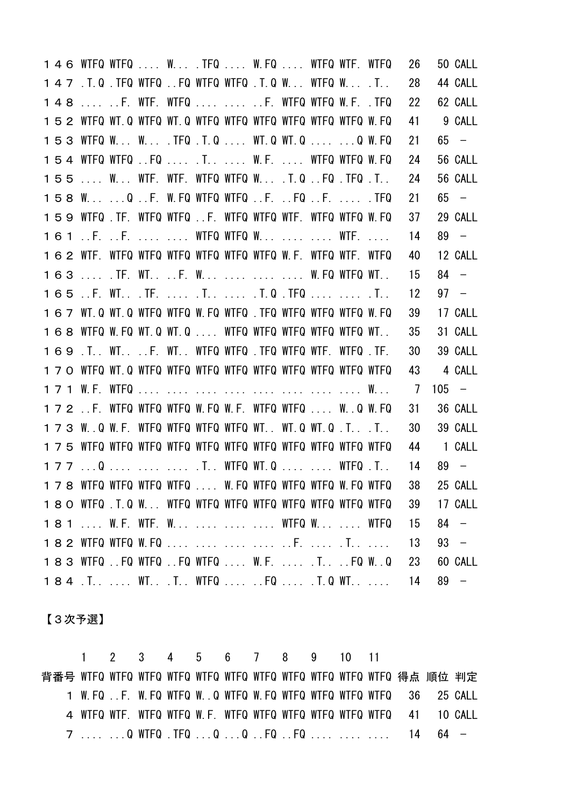|  | 146 WTFQ WTFQ  W . TFQ  W.FQ  WTFQ WTF. WTFQ               |  |  |  |  |  | 26 |         | 50 CALL                  |
|--|------------------------------------------------------------|--|--|--|--|--|----|---------|--------------------------|
|  | 147 .T.Q .TFQ WTFQ FQ WTFQ WTFQ .T.Q W WTFQ W .T           |  |  |  |  |  | 28 |         | 44 CALL                  |
|  | 148  F. WTF. WTFQ   F. WTFQ WTFQ W.F. .TFQ                 |  |  |  |  |  | 22 |         | 62 CALL                  |
|  | 152 WTFQ WT.Q WTFQ WT.Q WTFQ WTFQ WTFQ WTFQ WTFQ WTFQ W.FQ |  |  |  |  |  | 41 |         | 9 CALL                   |
|  | 153 WTFQ W W .TFQ .T.Q  WT.Q WT.Q  Q W.FQ                  |  |  |  |  |  | 21 |         | $65 -$                   |
|  | 154 WTFQ WTFQ FQ  .T.  W.F.  WTFQ WTFQ W.FQ                |  |  |  |  |  | 24 |         | 56 CALL                  |
|  | 155  W WTF. WTF. WTFQ WTFQ W .T.Q FQ .TFQ .T               |  |  |  |  |  | 24 |         | 56 CALL                  |
|  | 158 W Q.F. W.FQ WTFQ WTFQF. FQF. TFQ                       |  |  |  |  |  | 21 |         | $65 -$                   |
|  | 159 WTFQ TF. WTFQ WTFQ F. WTFQ WTFQ WTF. WTFQ WTFQ W.FQ    |  |  |  |  |  | 37 |         | 29 CALL                  |
|  | 161 .F. .F.   WTFQ WTFQ W   WTF.                           |  |  |  |  |  | 14 |         | $89 -$                   |
|  | 162 WTF. WTFQ WTFQ WTFQ WTFQ WTFQ WTFQ W.F. WTFQ WTF. WTFQ |  |  |  |  |  | 40 |         | 12 CALL                  |
|  | 163  TF. WT. F. W    W.FQ WTFQ WT                          |  |  |  |  |  | 15 |         | $84 -$                   |
|  |                                                            |  |  |  |  |  | 12 |         | $97 -$                   |
|  | 167 WT.Q WT.Q WTFQ WTFQ W.FQ WTFQ.TFQ WTFQ WTFQ WTFQ W.FQ  |  |  |  |  |  | 39 |         | 17 CALL                  |
|  | 168 WTFQ W.FQ WT.Q WT.Q  WTFQ WTFQ WTFQ WTFQ WTFQ WT.      |  |  |  |  |  | 35 |         | 31 CALL                  |
|  | 169 .T. WT. F. WT. WTFQ WTFQ .TFQ WTFQ WTF. WTFQ .TF.      |  |  |  |  |  | 30 |         | 39 CALL                  |
|  |                                                            |  |  |  |  |  | 43 |         | 4 CALL                   |
|  |                                                            |  |  |  |  |  | 7  | $105 -$ |                          |
|  | 172.F. WTFQ WTFQ WTFQ W.FQ W.F. WTFQ WTFQ W.Q W.FQ         |  |  |  |  |  | 31 |         | 36 CALL                  |
|  | 173 W.Q W.F. WTFQ WTFQ WTFQ WTFQ WT WT.Q WT.Q .T .T        |  |  |  |  |  | 30 |         | 39 CALL                  |
|  |                                                            |  |  |  |  |  | 44 |         | 1 CALL                   |
|  | 177 Q    .T WTFQ WT.Q   WTFQ .T                            |  |  |  |  |  | 14 |         | $89 -$                   |
|  | 178 WTFQ WTFQ WTFQ WTFQ  W.FQ WTFQ WTFQ WTFQ W.FQ WTFQ     |  |  |  |  |  | 38 |         | 25 CALL                  |
|  |                                                            |  |  |  |  |  | 39 |         | 17 CALL                  |
|  | 181  W.F. WTF. W    WTFQ W  WTFQ                           |  |  |  |  |  | 15 | 84      | $\overline{\phantom{a}}$ |
|  | 182 WTFQ WTFQ W.FQ     F.  .T                              |  |  |  |  |  | 13 |         | $93 -$                   |
|  | 183 WTFQ FQ WTFQ FQ WTFQ  W.F.  .T FQ WQ                   |  |  |  |  |  | 23 |         | 60 CALL                  |
|  | 184.TWTTWTFQFQT.QWT                                        |  |  |  |  |  | 14 | 89      | $\sim$                   |

【3次予選】

 1 2 3 4 5 6 7 8 9 10 11 背番号 WTFQ WTFQ WTFQ WTFQ WTFQ WTFQ WTFQ WTFQ WTFQ WTFQ WTFQ 得点 順位 判定 W.FQ ..F. W.FQ WTFQ W..Q WTFQ W.FQ WTFQ WTFQ WTFQ WTFQ 36 25 CALL WTFQ WTF. WTFQ WTFQ W.F. WTFQ WTFQ WTFQ WTFQ WTFQ WTFQ 41 10 CALL .... ...Q WTFQ .TFQ ...Q ...Q ..FQ ..FQ .... .... .... 14 64 −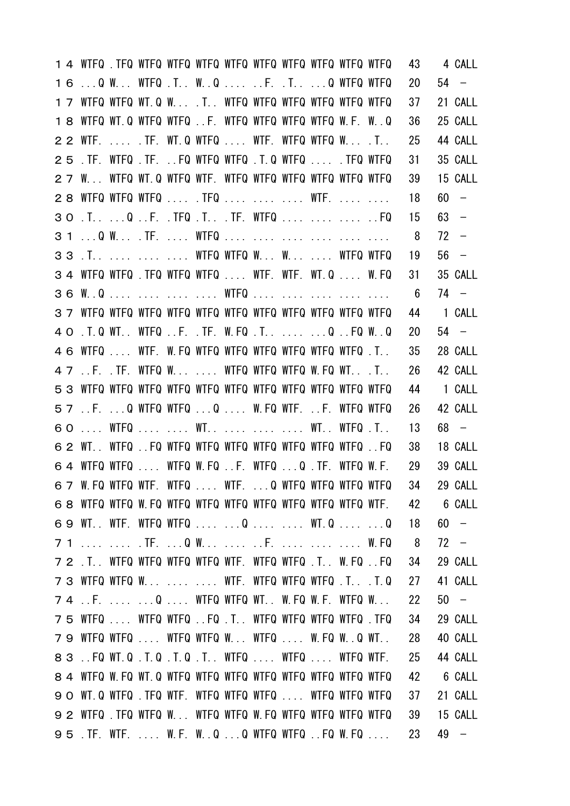|    |                                                        |  |  |  |  |  | 43  |        | 4 CALL                   |
|----|--------------------------------------------------------|--|--|--|--|--|-----|--------|--------------------------|
| 16 | Q W WTFQ .T WQ  F. .T Q WTFQ WTFQ                      |  |  |  |  |  | 20  |        | $54 -$                   |
|    | 17 WTFQ WTFQ WT.Q W .T WTFQ WTFQ WTFQ WTFQ WTFQ WTFQ   |  |  |  |  |  | 37  |        | 21 CALL                  |
|    | 18 WTFQ WT.Q WTFQ WTFQ F. WTFQ WTFQ WTFQ WTFQ W.F. W.Q |  |  |  |  |  | 36  |        | 25 CALL                  |
|    | 2 2 WTF.  . TF. WT.Q WTFQ  WTF. WTFQ WTFQ W . T        |  |  |  |  |  | 25  |        | 44 CALL                  |
| 25 | .TF. WTFQ .TF. FQ WTFQ WTFQ .T.Q WTFQ  .TFQ WTFQ       |  |  |  |  |  | 31  |        | 35 CALL                  |
|    | 27 W WTFQ WT.Q WTFQ WTF. WTFQ WTFQ WTFQ WTFQ WTFQ WTFQ |  |  |  |  |  | 39  |        | 15 CALL                  |
|    | 28 WTFQ WTFQ WTFQ  TFQ    WTF.                         |  |  |  |  |  | 18  | 60     | $\overline{\phantom{0}}$ |
| 30 | .T.  .Q F. .TFQ .T.TF. WTFQ    FQ                      |  |  |  |  |  | 15  | $63 -$ |                          |
|    | 31  Q W.  . TF.  WTFQ                                  |  |  |  |  |  | 8   |        | $72 -$                   |
|    | 33 . T. WTFQ WTFQ W. W. WTFQ WTFQ                      |  |  |  |  |  | 19  |        | $56 -$                   |
|    | 3 4 WTFQ WTFQ .TFQ WTFQ WTFQ  WTF. WTF. WT.Q  W.FQ     |  |  |  |  |  | 31  |        | 35 CALL                  |
|    | 36 W.Q    WTFQ                                         |  |  |  |  |  | - 6 |        | $74 -$                   |
|    |                                                        |  |  |  |  |  | 44  |        | 1 CALL                   |
|    | 4 O . T. Q WT. . WTFQ F. . TF. W. FQ . T. Q FQ W. . Q  |  |  |  |  |  | 20  |        | $54 -$                   |
|    | 4 6 WTFQ  WTF. W.FQ WTFQ WTFQ WTFQ WTFQ WTFQ WTFQ .T.  |  |  |  |  |  | 35  |        | 28 CALL                  |
|    | 4 7 F. .TF. WTFQ W  WTFQ WTFQ WTFQ W.FQ WT .T          |  |  |  |  |  | 26  |        | 42 CALL                  |
|    |                                                        |  |  |  |  |  | 44  |        | 1 CALL                   |
|    | 57 F. Q WTFQ WTFQ Q  W.FQ WTF. F. WTFQ WTFQ            |  |  |  |  |  | 26  |        | 42 CALL                  |
| 60 | WTFQ   WT    WT WTFQ .T                                |  |  |  |  |  | 13  |        | $68 -$                   |
|    | 6 2 WT WTFQ FQ WTFQ WTFQ WTFQ WTFQ WTFQ WTFQ WTFQ FQ   |  |  |  |  |  | 38  |        | 18 CALL                  |
|    | $64$ WTFQ WTFQ  WTFQ W.FQ F. WTFQ Q .TF. WTFQ W.F.     |  |  |  |  |  | 29  |        | 39 CALL                  |
|    | 6 7 W.FQ WTFQ WTF. WTFQ  WTF. Q WTFQ WTFQ WTFQ WTFQ    |  |  |  |  |  | 34  |        | 29 CALL                  |
|    |                                                        |  |  |  |  |  | 42  |        | 6 CALL                   |
|    | 69 WT. WTF. WTFQ WTFQ   Q   WT.Q   Q                   |  |  |  |  |  | 18  |        | $60 -$                   |
|    | 7 1   TF.  Q W  F.    W. FQ                            |  |  |  |  |  | 8   |        | $72 -$                   |
|    | 72 .T. WTFQ WTFQ WTFQ WTFQ WTF. WTFQ WTFQ .T. W.FQ FQ  |  |  |  |  |  | 34  |        | 29 CALL                  |
|    | 73 WTFQ WTFQ W   WTF. WTFQ WTFQ WTFQ .T. .T.Q          |  |  |  |  |  | 27  |        | 41 CALL                  |
|    | 74 F.  Q  WTFQ WTFQ WT W.FQ W.F. WTFQ W                |  |  |  |  |  | 22  |        | $50 -$                   |
|    | 75 WTFQ  WTFQ WTFQ FQ .T. WTFQ WTFQ WTFQ WTFQ .TFQ     |  |  |  |  |  | 34  |        | 29 CALL                  |
|    | 79 WTFQ WTFQ  WTFQ WTFQ W WTFQ  W.FQ WQ WT             |  |  |  |  |  | 28  |        | 40 CALL                  |
|    | 83 . FQ WT.Q .T.Q .T.Q .T WTFQ  WTFQ  WTFQ WTF.        |  |  |  |  |  | 25  |        | 44 CALL                  |
|    |                                                        |  |  |  |  |  | 42  |        | 6 CALL                   |
|    | 90 WT.Q WTFQ TFQ WTF. WTFQ WTFQ WTFQ  WTFQ WTFQ WTFQ   |  |  |  |  |  | 37  |        | 21 CALL                  |
|    | 92 WTFQ .TFQ WTFQ W WTFQ WTFQ W.FQ WTFQ WTFQ WTFQ WTFQ |  |  |  |  |  | 39  |        | 15 CALL                  |
|    | 95. TF. WTF.  W.F. W.QQ WTFQ WTFQFQ W.FQ               |  |  |  |  |  | 23  |        | 49 –                     |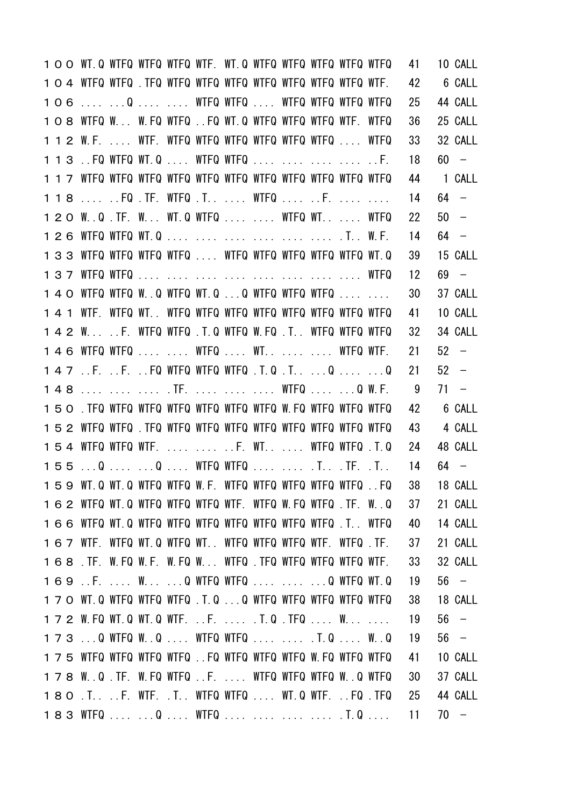|  | 1 O O WT Q WTFQ WTFQ WTFQ WTF. WT Q WTFQ WTFQ WTFQ WTFQ WTFQ |  |  |  |  |                                                         | 41         | 10 CALL |
|--|--------------------------------------------------------------|--|--|--|--|---------------------------------------------------------|------------|---------|
|  |                                                              |  |  |  |  |                                                         | 42         | 6 CALL  |
|  | 106  Q   WTFQ WTFQ  WTFQ WTFQ WTFQ WTFQ                      |  |  |  |  |                                                         | 25         | 44 CALL |
|  | 108 WTFQ W W.FQ WTFQ FQ WT.Q WTFQ WTFQ WTFQ WTF. WTFQ        |  |  |  |  |                                                         | 36         | 25 CALL |
|  | 1 1 2 W.F.  WTF. WTFQ WTFQ WTFQ WTFQ WTFQ WTFQ  WTFQ         |  |  |  |  |                                                         | 33         | 32 CALL |
|  | 1 1 3 . FQ WTFQ WT.Q  WTFQ WTFQ     F.                       |  |  |  |  |                                                         | 18         | $60 -$  |
|  |                                                              |  |  |  |  |                                                         | 44         | 1 CALL  |
|  | 118  FQ TF. WTFQ T  WTFQ  F.                                 |  |  |  |  |                                                         | 14         | $64 -$  |
|  | 1 2 0 W.Q. TF. W WT.Q WTFQ   WTFQ WT  WTFQ                   |  |  |  |  |                                                         | 22         | $50 -$  |
|  | 1 2 6 WTFQ WTFQ WT.Q       .T. W.F.                          |  |  |  |  |                                                         | 14         | $64 -$  |
|  | 133 WTFQ WTFQ WTFQ WTFQ  WTFQ WTFQ WTFQ WTFQ WTFQ WT.Q       |  |  |  |  |                                                         | 39         | 15 CALL |
|  |                                                              |  |  |  |  |                                                         | 12         | $69 -$  |
|  | 1 4 0 WTFQ WTFQ WQ WTFQ WT.Q Q WTFQ WTFQ WTFQ                |  |  |  |  |                                                         | 30         | 37 CALL |
|  |                                                              |  |  |  |  |                                                         | 41         | 10 CALL |
|  | 142 WF. WTFQ WTFQ .T.Q WTFQ W.FQ .T WTFQ WTFQ WTFQ           |  |  |  |  |                                                         | 32         | 34 CALL |
|  | 146 WTFQ WTFQ   WTFQ  WT.   WTFQ WTF.                        |  |  |  |  |                                                         | 21         | $52 -$  |
|  | 147 .F. .F. .FQ WTFQ WTFQ WTFQ .T.Q .T Q  Q                  |  |  |  |  |                                                         | 21         | $52 -$  |
|  | 148    . TF.    WTFQ  Q W.F.                                 |  |  |  |  |                                                         | 9          | $71 -$  |
|  | 150. TFQ WTFQ WTFQ WTFQ WTFQ WTFQ WTFQ W.FQ WTFQ WTFQ WTFQ   |  |  |  |  |                                                         | 42         | 6 CALL  |
|  |                                                              |  |  |  |  |                                                         | 43         | 4 CALL  |
|  | 154 WTFQ WTFQ WTF.   F. WT  WTFQ WTFQ .T.Q                   |  |  |  |  |                                                         | 24         | 48 CALL |
|  | 155 Q  Q  WTFQ WTFQ   .T .TF. .T                             |  |  |  |  |                                                         | 14         | 64 –    |
|  |                                                              |  |  |  |  | 159 WT.Q WT.Q WTFQ WTFQ W.F. WTFQ WTFQ WTFQ WTFQ WTFQFQ | 38 18 CALL |         |
|  | 162 WTFQ WT.Q WTFQ WTFQ WTFQ WTF. WTFQ W.FQ WTFQ .TF. W.Q    |  |  |  |  |                                                         | 37         | 21 CALL |
|  | 166 WTFQ WT.Q WTFQ WTFQ WTFQ WTFQ WTFQ WTFQ WTFQ .T. WTFQ    |  |  |  |  |                                                         | 40         | 14 CALL |
|  | 167 WTF. WTFQ WT.Q WTFQ WT WTFQ WTFQ WTFQ WTF. WTFQ.TF.      |  |  |  |  |                                                         | 37         | 21 CALL |
|  | 168 .TF. W.FQ W.F. W.FQ W WTFQ .TFQ WTFQ WTFQ WTFQ WTF.      |  |  |  |  |                                                         | 33         | 32 CALL |
|  | 169 .F.  W Q WTFQ WTFQ   Q WTFQ WT.Q                         |  |  |  |  |                                                         | 19         | $56 -$  |
|  | 170 WT.Q WTFQ WTFQ WTFQ .T.Q Q WTFQ WTFQ WTFQ WTFQ WTFQ      |  |  |  |  |                                                         | 38         | 18 CALL |
|  | 172 W.FQ WT.Q WT.Q WTF. F.  .T.Q .TFQ  W                     |  |  |  |  |                                                         | 19         | $56 -$  |
|  | 173 Q WTFQ W.Q  WTFQ WTFQ   .T.Q  W.Q                        |  |  |  |  |                                                         | 19         | $56 -$  |
|  | 175 WTFQ WTFQ WTFQ WTFQ . FQ WTFQ WTFQ WTFQ W.FQ WTFQ WTFQ   |  |  |  |  |                                                         | 41         | 10 CALL |
|  | 178 W.Q.TF.W.FQWTFQ.FWTFQWTFQWTFQW.QWTFQ                     |  |  |  |  |                                                         | 30         | 37 CALL |
|  | 180 .T. F. WTF. .T. WTFQ WTFQ  WT.Q WTF. FQ .TFQ             |  |  |  |  |                                                         | 25         | 44 CALL |
|  | 183 WTFQ   Q  WTFQ     .T. Q                                 |  |  |  |  |                                                         | 11         | $70 -$  |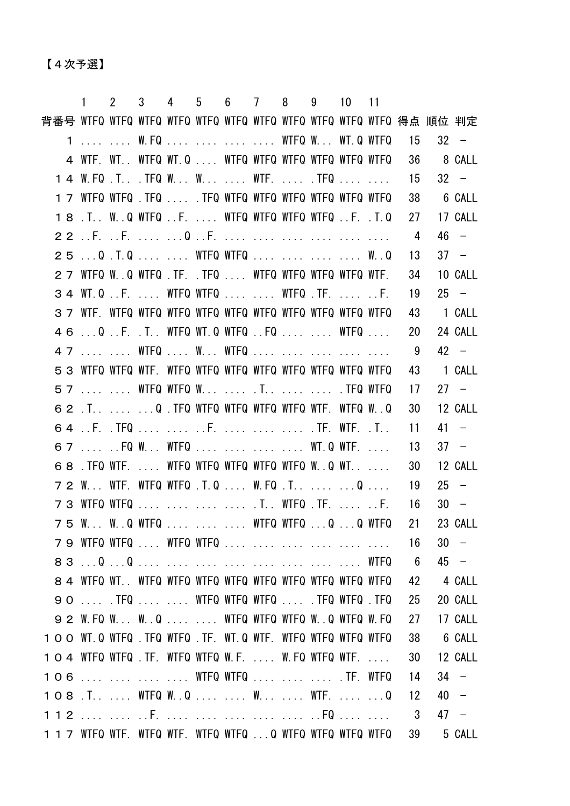【4次予選】

|                                                           | $1 \quad$                                              | $\overline{2}$     |  |  |  | 3 4 5 6 7 8 9 10 11 |                                                                                                                                                                                                                                     |                 |            |         |
|-----------------------------------------------------------|--------------------------------------------------------|--------------------|--|--|--|---------------------|-------------------------------------------------------------------------------------------------------------------------------------------------------------------------------------------------------------------------------------|-----------------|------------|---------|
|                                                           |                                                        |                    |  |  |  |                     |                                                                                                                                                                                                                                     |                 |            |         |
|                                                           | 1   W.FQ     WTFQ W WT.Q WTFQ                          |                    |  |  |  |                     |                                                                                                                                                                                                                                     | 15              |            | $32 -$  |
|                                                           | 4 WTF. WT WTFQ WT.Q WTFQ WTFQ WTFQ WTFQ WTFQ WTFQ      |                    |  |  |  |                     |                                                                                                                                                                                                                                     | - 36            |            | 8 CALL  |
|                                                           | 1 4 W.FQ .T .TFQ W W  WTF.  .TFQ                       |                    |  |  |  |                     |                                                                                                                                                                                                                                     | 15              |            | $32 -$  |
|                                                           | 1 7 WTFQ WTFQ .TFQ  .TFQ WTFQ WTFQ WTFQ WTFQ WTFQ WTFQ |                    |  |  |  |                     |                                                                                                                                                                                                                                     | 38              |            | 6 CALL  |
|                                                           | 18 .T. W.Q WTFQ F.  WTFQ WTFQ WTFQ WTFQ F. .T.Q        |                    |  |  |  |                     |                                                                                                                                                                                                                                     |                 | 27 17 CALL |         |
|                                                           |                                                        |                    |  |  |  |                     |                                                                                                                                                                                                                                     | 4               |            | 46 –    |
|                                                           | 25 Q.T.Q WTFQ WTFQ W.Q                                 |                    |  |  |  |                     |                                                                                                                                                                                                                                     | 13              |            | $37 -$  |
|                                                           | 27 WIFQ W. Q WIFQ TF. TFQ  WIFQ WIFQ WIFQ WIFQ WIF.    |                    |  |  |  |                     |                                                                                                                                                                                                                                     | 34              |            | 10 CALL |
|                                                           | 34 WT.Q.F WTFQ WTFQ WTFQ.TFF.                          |                    |  |  |  |                     |                                                                                                                                                                                                                                     | 19              |            | $25 -$  |
|                                                           |                                                        |                    |  |  |  |                     |                                                                                                                                                                                                                                     | 43              |            | 1 CALL  |
|                                                           | 46 Q.F. .T. WTFQ WT.Q WTFQ FQ   WTFQ                   |                    |  |  |  |                     |                                                                                                                                                                                                                                     | 20              |            | 24 CALL |
|                                                           | 47   WTFQ  W WTFQ                                      |                    |  |  |  |                     |                                                                                                                                                                                                                                     | 9               |            | $42 -$  |
|                                                           |                                                        |                    |  |  |  |                     |                                                                                                                                                                                                                                     | 43              |            | 1 CALL  |
|                                                           | 57   WTFQ WTFQ W  .T   .TFQ WTFQ                       |                    |  |  |  |                     |                                                                                                                                                                                                                                     | 17              |            | $27 -$  |
|                                                           | 62 .T.  Q .TFQ WTFQ WTFQ WTFQ WTFQ WTF. WTFQ W.Q       |                    |  |  |  |                     |                                                                                                                                                                                                                                     | 30              |            | 12 CALL |
|                                                           |                                                        |                    |  |  |  |                     |                                                                                                                                                                                                                                     | 11              |            | $41 -$  |
|                                                           | 67  FQ W WTFQ     WT.Q WTF.                            |                    |  |  |  |                     |                                                                                                                                                                                                                                     | -13             |            | $37 -$  |
|                                                           | 68. TFQ WTF.  WTFQ WTFQ WTFQ WTFQ WTFQ W.0 WT.         |                    |  |  |  |                     |                                                                                                                                                                                                                                     | 30              |            | 12 CALL |
|                                                           | 7 2 W WTF. WTFQ WTFQ .T.Q  W.FQ .T  Q                  |                    |  |  |  |                     |                                                                                                                                                                                                                                     | 19              |            | $25 -$  |
|                                                           | 7 3 WTFQ WTFQ     .T WTFQ .TF.  F.                     |                    |  |  |  |                     |                                                                                                                                                                                                                                     | - 16            |            | $30 -$  |
| 75 W.                                                     |                                                        | $\ldots$ W. Q WTFQ |  |  |  |                     | <b>EXAMPLE 2008</b> STATE OF THE WIFE WIFE WIFE WIFE OF THE WIFE OF THE UP OF THE UP OF THE UP OF THE UP OF THE UP OF THE UP OF THE UP OF THE UP OF THE UP OF THE UP OF THE UP OF THE UP OF THE UP OF THE UP OF THE UP OF THE UP OF | 21              |            | 23 CALL |
|                                                           | 7 9 WTFQ WTFQ  WTFQ WTFQ                               |                    |  |  |  |                     |                                                                                                                                                                                                                                     | 16              |            | $30 -$  |
|                                                           |                                                        |                    |  |  |  |                     |                                                                                                                                                                                                                                     | $6\overline{6}$ |            | $45 -$  |
|                                                           |                                                        |                    |  |  |  |                     |                                                                                                                                                                                                                                     | 42              |            | 4 CALL  |
|                                                           | 90  . TFQ   WTFQ WTFQ WTFQ  . TFQ WTFQ . TFQ           |                    |  |  |  |                     |                                                                                                                                                                                                                                     | 25              |            | 20 CALL |
|                                                           | 9 2 W.FQ W W.Q   WTFQ WTFQ WTFQ W.Q WTFQ W.FQ          |                    |  |  |  |                     |                                                                                                                                                                                                                                     | 27              |            | 17 CALL |
| 100 WT.Q WTFQ TFQ WTFQ TF. WT.Q WTF. WTFQ WTFQ WTFQ WTFQ  |                                                        |                    |  |  |  |                     |                                                                                                                                                                                                                                     | 38              |            | 6 CALL  |
| 104 WTFQ WTFQ TF. WTFQ WTFQ W.F.  W.FQ WTFQ WTF.          |                                                        |                    |  |  |  |                     |                                                                                                                                                                                                                                     | 30              |            | 12 CALL |
| 106     WTFQ WTFQ    .TF. WTFQ                            |                                                        |                    |  |  |  |                     |                                                                                                                                                                                                                                     | -14             |            | $34 -$  |
|                                                           |                                                        |                    |  |  |  |                     |                                                                                                                                                                                                                                     | 12              |            | $40 -$  |
|                                                           |                                                        |                    |  |  |  |                     |                                                                                                                                                                                                                                     | 3               |            | 47 –    |
| 1 1 7 WTFQ WTF. WTFQ WTF. WTFQ WTFQ Q WTFQ WTFQ WTFQ WTFQ |                                                        |                    |  |  |  |                     |                                                                                                                                                                                                                                     | 39              |            | 5 CALL  |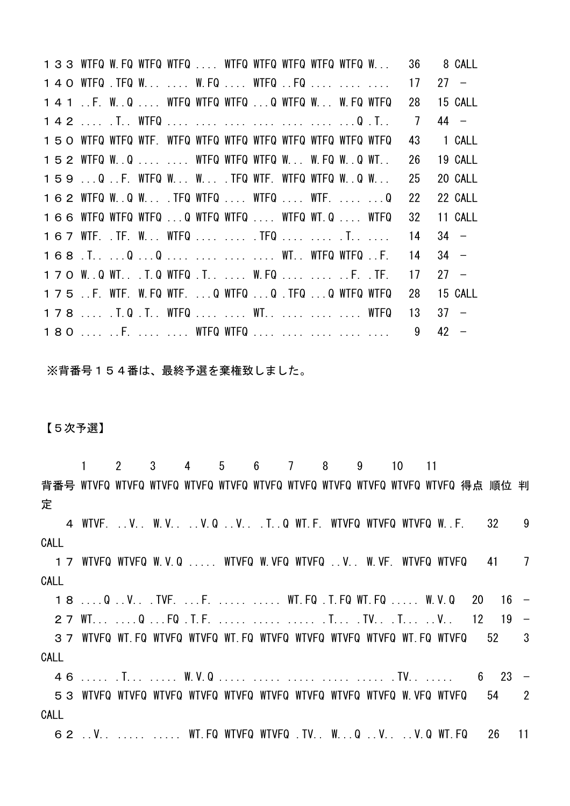WTFQ W.FQ WTFQ WTFQ .... WTFQ WTFQ WTFQ WTFQ WTFQ W... 36 8 CALL 140 WTFQ .TFQ W... .... W.FQ .... WTFQ ..FQ .... .... .... 17 27 − ..F. W..Q .... WTFQ WTFQ WTFQ ...Q WTFQ W... W.FQ WTFQ 28 15 CALL .... .T.. WTFQ .... .... .... .... .... .... ...Q .T.. 7 44 − WTFQ WTFQ WTF. WTFQ WTFQ WTFQ WTFQ WTFQ WTFQ WTFQ WTFQ 43 1 CALL WTFQ W..Q .... .... WTFQ WTFQ WTFQ W... W.FQ W..Q WT.. 26 19 CALL ...Q ..F. WTFQ W... W... .TFQ WTF. WTFQ WTFQ W..Q W... 25 20 CALL WTFQ W..Q W... .TFQ WTFQ .... WTFQ .... WTF. .... ...Q 22 22 CALL WTFQ WTFQ WTFQ ...Q WTFQ WTFQ .... WTFQ WT.Q .... WTFQ 32 11 CALL WTF. .TF. W... WTFQ .... .... .TFQ .... .... .T.. .... 14 34 − .T.. ...Q ...Q .... .... .... .... WT.. WTFQ WTFQ ..F. 14 34 − W..Q WT.. .T.Q WTFQ .T.. .... W.FQ .... .... ..F. .TF. 17 27 − ..F. WTF. W.FQ WTF. ...Q WTFQ ...Q .TFQ ...Q WTFQ WTFQ 28 15 CALL 178 .... . T.Q . T.. WTFQ .... .... WT.. .... .... .... WTFQ 13 37 − 180 .... ..F. .... .... WTFQ WTFQ .... .... .... .... .... 9 42 −

※背番号154番は、最終予選を棄権致しました。

## 【5次予選】

 1 2 3 4 5 6 7 8 9 10 11 背番号 WTVFQ WTVFQ WTVFQ WTVFQ WTVFQ WTVFQ WTVFQ WTVFQ WTVFQ WTVFQ WTVFQ 得点 順位 判 定 4 WTVF. ..V.. W.V.. ..V.Q ..V.. .T..Q WT.F. WTVFQ WTVFQ WTVFQ W..F. 32 9 CALL 17 WTVFQ WTVFQ W.V.Q ..... WTVFQ W.VFQ WTVFQ ..V.. W.VF. WTVFQ WTVFQ 41 7 CALL 18 ....Q ..V.. .TVF. ...F. ..... ..... WT.FQ .T.FQ WT.FQ ..... W.V.Q 20 16 − 27 WT... ....Q ...FQ .T.F. ..... ...... ..... .T... .TV.. .T... ..V.. 12 19 − 37 WTVFQ WT.FQ WTVFQ WTVFQ WT.FQ WTVFQ WTVFQ WTVFQ WTVFQ WT.FQ WTVFQ 52 3 CALL 46 ..... .T... ..... W.V.Q ..... ..... ..... ..... ..... .TV.. ..... 6 23 − 53 WTVFQ WTVFQ WTVFQ WTVFQ WTVFQ WTVFQ WTVFQ WTVFQ WTVFQ W.VFQ WTVFQ 54 2 CALL 62 ..V.. ..... ..... WT.FQ WTVFQ WTVFQ .TV.. W...Q ..V.. ..V.Q WT.FQ 26 11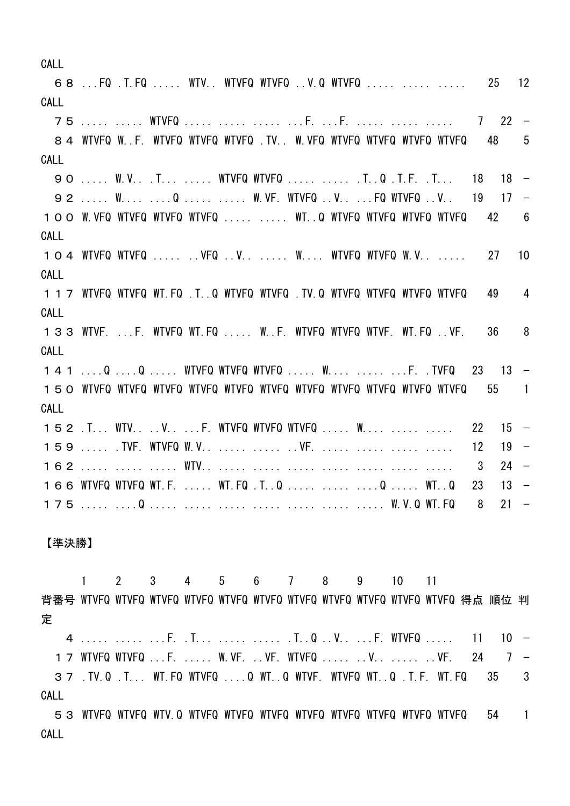CALL 68 ...FQ .T.FQ ..... WTV.. WTVFQ WTVFQ ..V.Q WTVFQ ..... ..... ..... 25 12 CALL 75 ..... ..... WTVFQ ..... ..... ..... ...F. ...F. ..... ..... ..... 7 22 − 84 WTVFQ W..F. WTVFQ WTVFQ WTVFQ .TV.. W.VFQ WTVFQ WTVFQ WTVFQ WTVFQ 48 5 CALL 90 ..... W.V.. .T... ..... WTVFQ WTVFQ ..... ..... .T..Q .T.F. .T... 18 18 − 92 ..... W.... .... Q ..... ..... W. VF. WTVFQ ..V.. ... FQ WTVFQ ..V.. 19 17 − 100 W.VFQ WTVFQ WTVFQ WTVFQ ..... ..... WT..Q WTVFQ WTVFQ WTVFQ WTVFQ 42 6 CALL 104 WTVFQ WTVFQ ..... ..VFQ ..V.. ..... W.... WTVFQ WTVFQ W.V.. ..... 27 10 CALL 117 WTVFQ WTVFQ WT.FQ .T..Q WTVFQ WTVFQ .TV.Q WTVFQ WTVFQ WTVFQ WTVFQ 49 4 CALL 133 WTVF. ...F. WTVFQ WT.FQ ..... W..F. WTVFQ WTVFQ WTVF. WT.FQ ..VF. 36 8 CALL 141 ....Q ....Q ..... WTVFQ WTVFQ WTVFQ ..... W.... ..... ...F. .TVFQ 23 13 − 150 WTVFQ WTVFQ WTVFQ WTVFQ WTVFQ WTVFQ WTVFQ WTVFQ WTVFQ WTVFQ WTVFQ 55 1 CALL 152 .T... WTV.. ..V.. ...F. WTVFQ WTVFQ WTVFQ ..... W.... ..... ..... 22 15 − 159 ..... TVF. WTVFQ W.V.. ..... ..... ..VF. ..... ..... ..... ..... 12 19 − 162 ..... ..... ..... WTV.. ..... ..... ..... ..... ..... ..... ..... 3 24 − 166 WTVFQ WTVFQ WT.F. ..... WT.FQ .T..Q ..... ..... ....Q ..... WT..Q 23 13 − 175 ..... ....Q ..... ..... ..... ..... ..... ..... ..... W.V.Q WT.FQ 8 21 −

【準決勝】

 1 2 3 4 5 6 7 8 9 10 11 背番号 WTVFQ WTVFQ WTVFQ WTVFQ WTVFQ WTVFQ WTVFQ WTVFQ WTVFQ WTVFQ WTVFQ 得点 順位 判 定

 ..... ..... ...F. .T... ..... ..... .T..Q ..V.. ...F. WTVFQ ..... 11 10 − WTVFQ WTVFQ ...F. ..... W.VF. ..VF. WTVFQ ..... ..V.. ..... ..VF. 24 7 − .TV.Q .T... WT.FQ WTVFQ ....Q WT..Q WTVF. WTVFQ WT..Q .T.F. WT.FQ 35 3 CALL

53 WTVFQ WTVFQ WTV.Q WTVFQ WTVFQ WTVFQ WTVFQ WTVFQ WTVFQ WTVFQ WTVFQ 54 1 CALL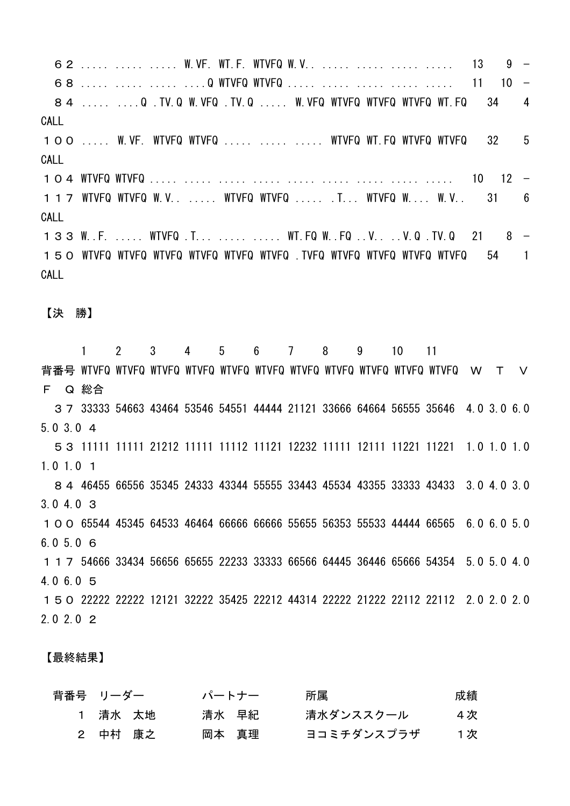62 ..... ..... ..... W.VF. WT.F. WTVFQ W.V.. ..... ..... ..... ..... 13 9 − 68 ..... ..... ..... ....Q WTVFQ WTVFQ ..... ..... ..... ..... ..... 11 10 − 84 ..... ...Q TV.Q W.VFQ TV.Q .... W.VFQ WTVFQ WTVFQ WTVFQ WT.FQ 34 4 CALL 100 ..... W.VF. WTVFQ WTVFQ ..... ..... ..... WTVFQ WT.FQ WTVFQ WTVFQ 32 5 CALL 104 WTVFQ WTVFQ ..... ..... ..... ..... ..... ..... ..... ..... ..... 10 12 − 117 WTVFQ WTVFQ W.V.. ..... WTVFQ WTVFQ ..... .T... WTVFQ W.... W.V.. 31 6 CALL 133 W.F. ..... WTVFQ .T... ..... ..... WT.FQ W. FQ ..V.. ..V.Q .TV.Q 21 8 − 150 WTVFQ WTVFQ WTVFQ WTVFQ WTVFQ WTVFQ .TVFQ WTVFQ WTVFQ WTVFQ 54 1 CALL 【決 勝】 1 2 3 4 5 6 7 8 9 10 11 背番号 WTVFQ WTVFQ WTVFQ WTVFQ WTVFQ WTVFQ WTVFQ WTVFQ WTVFQ WTVFQ WTVFQ W T V F Q 総合 37 33333 54663 43464 53546 54551 44444 21121 33666 64664 56555 35646 4.0 3.0 6.0 5.0 3.0 4 53 11111 11111 21212 11111 11112 11121 12232 11111 12111 11221 11221 1.0 1.0 1.0 1.0 1.0 1

84 46455 66556 35345 24333 43344 55555 33443 45534 43355 33333 43433 3.0 4.0 3.0 3.0 4.0 3 100 65544 45345 64533 46464 66666 66666 55655 56353 55533 44444 66565 6.0 6.0 5.0 6.0 5.0 6 117 54666 33434 56656 65655 22233 33333 66566 64445 36446 65666 54354 5.0 5.0 4.0 4.0 6.0 5

150 22222 22222 12121 32222 35425 22212 44314 22222 21222 22112 22112 2.0 2.0 2.0 2.0 2.0 2

【最終結果】

| 背番号 リーダー |         |          | パートナー | 所属         | 成績  |
|----------|---------|----------|-------|------------|-----|
|          | 1 清水 太地 |          | 清水 早紀 | 清水ダンススクール  | 4 次 |
|          |         | 2  中村 康之 | 岡本 真理 | ヨコミチダンスプラザ | 1次  |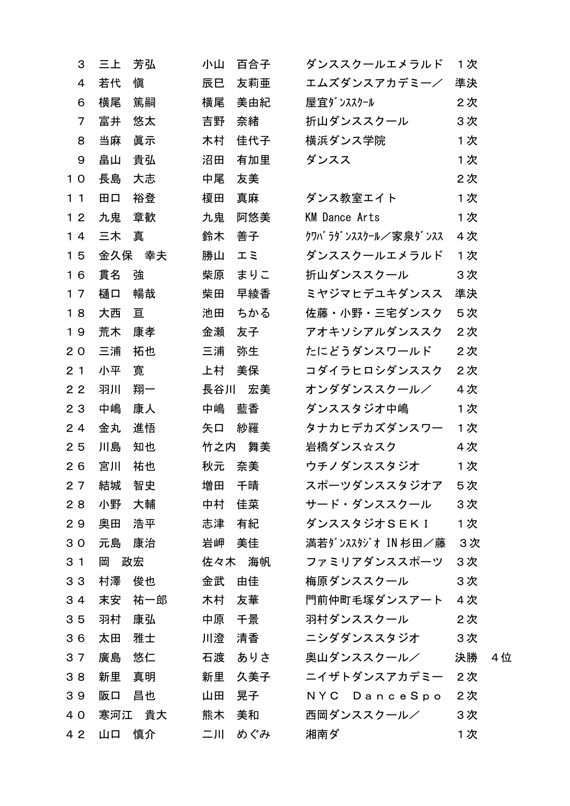| 3              | 三上  | 芳弘     | 小山  | 百合子 | ダンススクールエメラルド         | 1次 |     |
|----------------|-----|--------|-----|-----|----------------------|----|-----|
| 4              | 若代  | 愼      | 辰巳  | 友莉亜 | エムズダンスアカデミー/         | 準決 |     |
| 6              | 横尾  | 篤嗣     | 横尾  | 美由紀 | 屋宜ダンススクール            | 2次 |     |
| 7              | 富井  | 悠太     | 吉野  | 奈緒  | 折山ダンススクール            | 3次 |     |
| 8              | 当麻  | 眞示     | 木村  | 佳代子 | 横浜ダンス学院              | 1次 |     |
| 9              | 畠山  | 貴弘     | 沼田  | 有加里 | ダンスス                 | 1次 |     |
| 10             | 長島  | 大志     | 中尾  | 友美  |                      | 2次 |     |
| 11             | 田口  | 裕登     | 榎田  | 真麻  | ダンス教室エイト             | 1次 |     |
| 12             | 九鬼  | 章歓     | 九鬼  | 阿悠美 | <b>KM Dance Arts</b> | 1次 |     |
| 14             | 三木  | 真      | 鈴木  | 善子  | クワバラダンススクール/家泉ダンスス   | 4次 |     |
| 15             |     | 金久保 幸夫 | 勝山  | エミ  | ダンススクールエメラルド         | 1次 |     |
| 16             | 貫名  | 強      | 柴原  | まりこ | 折山ダンススクール            | 3次 |     |
| 17             | 樋口  | 暢哉     | 柴田  | 早綾香 | ミヤジマヒデユキダンスス         | 準決 |     |
| 18             | 大西  | 亘      | 池田  | ちかる | 佐藤・小野・三宅ダンスク         | 5次 |     |
| 19             | 荒木  | 康孝     | 金瀬  | 友子  | アオキソシアルダンススク         | 2次 |     |
| 20             | 三浦  | 拓也     | 三浦  | 弥生  | たにどうダンスワールド          | 2次 |     |
| 2 <sub>1</sub> | 小平  | 寛      | 上村  | 美保  | コダイラヒロシダンススク         | 2次 |     |
| 22             | 羽川  | 翔一     | 長谷川 | 宏美  | オンダダンススクール/          | 4次 |     |
| 23             | 中嶋  | 康人     | 中嶋  | 藍香  | ダンススタジオ中嶋            | 1次 |     |
| 24             | 金丸  | 進悟     | 矢口  | 紗羅  | タナカヒデカズダンスワー         | 1次 |     |
| 25             | 川島  | 知也     | 竹之内 | 舞美  | 岩橋ダンス☆スク             | 4次 |     |
| 26             | 宮川  | 祐也     | 秋元  | 奈美  | ウチノダンススタジオ           | 1次 |     |
| 27             | 結城  | 智史     | 増田  | 千晴  | スポーツダンススタジオア         | 5次 |     |
| 28             | 小野  | 大輔     | 中村  | 佳菜  | サード・ダンススクール          | 3次 |     |
| 29             | 奥田  | 浩平     | 志津  | 有紀  | ダンススタジオSEK I         | 1次 |     |
| 30             | 元島  | 康治     | 岩岬  | 美佳  | 満若ダンススタジオ IN 杉田/藤    | 3次 |     |
| 3 <sub>1</sub> | 岡   | 政宏     | 佐々木 | 海帆  | ファミリアダンススポーツ         | 3次 |     |
| 3 <sub>3</sub> | 村澤  | 俊也     | 金武  | 由佳  | 梅原ダンススクール            | 3次 |     |
| 34             | 末安  | 祐一郎    | 木村  | 友華  | 門前仲町毛塚ダンスアート         | 4次 |     |
| 35             | 羽村  | 康弘     | 中原  | 千景  | 羽村ダンススクール            | 2次 |     |
| 36             | 太田  | 雅士     | 川澄  | 清香  | ニシダダンススタジオ           | 3次 |     |
| 37             | 廣島  | 悠仁     | 石渡  | ありさ | 奥山ダンススクール/           | 決勝 | 4 位 |
| 38             | 新里  | 真明     | 新里  | 久美子 | ニイザトダンスアカデミー         | 2次 |     |
| 39             | 阪口  | 昌也     | 山田  | 晃子  | NYC DanceSpo         | 2次 |     |
| 40             | 寒河江 | 貴大     | 熊木  | 美和  | 西岡ダンススクール/           | 3次 |     |
| 4 2            | 山口  | 慎介     | 二川  | めぐみ | 湘南ダ                  | 1次 |     |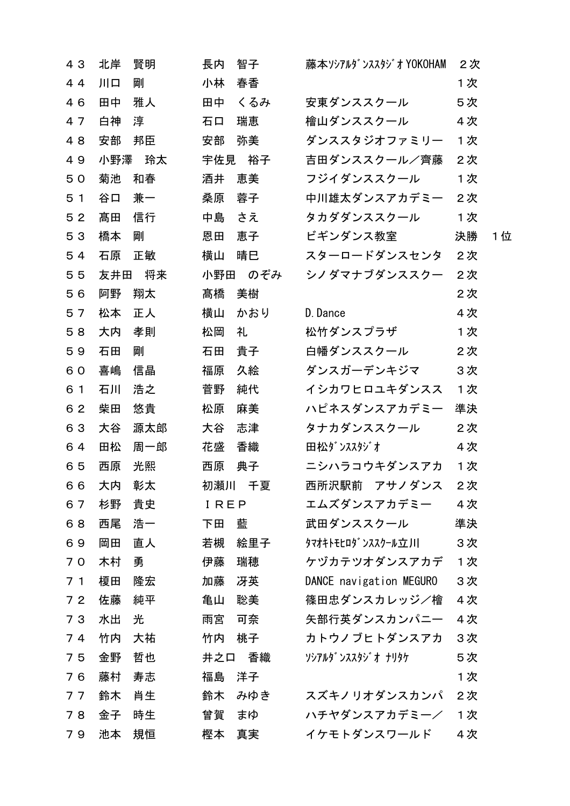| 43             | 北岸  | 賢明  | 長内   | 智子     | 藤本ソシアルダンススタジオ YOKOHAM   | 2次 |     |
|----------------|-----|-----|------|--------|-------------------------|----|-----|
| 44             | 川口  | 剛   | 小林   | 春香     |                         | 1次 |     |
| 46             | 田中  | 雅人  | 田中   | くるみ    | 安東ダンススクール               | 5次 |     |
| 47             | 白神  | 淳   | 石口   | 瑞恵     | 檜山ダンススクール               | 4次 |     |
| 48             | 安部  | 邦臣  | 安部   | 弥美     | ダンススタジオファミリー            | 1次 |     |
| 49             | 小野澤 | 玲太  | 宇佐見  | 裕子     | 吉田ダンススクール/齊藤            | 2次 |     |
| 50             | 菊池  | 和春  | 酒井   | 恵美     | フジイダンススクール              | 1次 |     |
| 5 <sub>1</sub> | 谷口  | 兼一  | 桑原   | 蓉子     | 中川雄太ダンスアカデミー            | 2次 |     |
| 52             | 髙田  | 信行  | 中島   | さえ     | タカダダンススクール              | 1次 |     |
| 53             | 橋本  | 剛   | 恩田   | 恵子     | ビギンダンス教室                | 決勝 | 1 位 |
| 54             | 石原  | 正敏  | 横山   | 晴巳     | スターロードダンスセンタ            | 2次 |     |
| 55             | 友井田 | 将来  | 小野田  | のぞみ    | シノダマナブダンススクー            | 2次 |     |
| 56             | 阿野  | 翔太  | 髙橋   | 美樹     |                         | 2次 |     |
| 57             | 松本  | 正人  | 横山   | かおり    | D. Dance                | 4次 |     |
| 58             | 大内  | 孝則  | 松岡   | 礼      | 松竹ダンスプラザ                | 1次 |     |
| 59             | 石田  | 剛   | 石田   | 貴子     | 白幡ダンススクール               | 2次 |     |
| 60             | 喜嶋  | 信晶  | 福原   | 久絵     | ダンスガーデンキジマ              | 3次 |     |
| 6 1            | 石川  | 浩之  | 菅野   | 純代     | イシカワヒロユキダンスス            | 1次 |     |
| 62             | 柴田  | 悠貴  | 松原   | 麻美     | ハピネスダンスアカデミー            | 準決 |     |
| 63             | 大谷  | 源太郎 | 大谷   | 志津     | タナカダンススクール              | 2次 |     |
| 64             | 田松  | 周一郎 | 花盛   | 香織     | 田松ダンススタジオ               | 4次 |     |
| 65             | 西原  | 光熙  | 西原   | 典子     | ニシハラコウキダンスアカ            | 1次 |     |
| 66             | 大内  | 彰太  |      | 初瀬川 千夏 | 西所沢駅前 アサノダンス            | 2次 |     |
| 67             | 杉野  | 貴史  | IREP |        | エムズダンスアカデミー             | 4次 |     |
| 68             | 西尾  | 浩一  | 下田   | 藍      | 武田ダンススクール               | 準決 |     |
| 69             | 岡田  | 直人  | 若槻   | 絵里子    | タマオキトモヒロタ゛ンススクール立川      | 3次 |     |
| 70             | 木村  | 勇   | 伊藤   | 瑞穂     | ケヅカテツオダンスアカデ            | 1次 |     |
| 7 <sub>1</sub> | 榎田  | 隆宏  | 加藤   | 冴英     | DANCE navigation MEGURO | 3次 |     |
| 72             | 佐藤  | 純平  | 亀山   | 聡美     | 篠田忠ダンスカレッジ/檜            | 4次 |     |
| 73             | 水出  | 光   | 雨宮   | 可奈     | 矢部行英ダンスカンパニー            | 4次 |     |
| 74             | 竹内  | 大祐  | 竹内   | 桃子     | カトウノブヒトダンスアカ            | 3次 |     |
| 75             | 金野  | 哲也  | 井之口  | 香織     | ソシアルタ゛ンススタシ゛オ ナリタケ      | 5次 |     |
| 76             | 藤村  | 寿志  | 福島   | 洋子     |                         | 1次 |     |
| 77             | 鈴木  | 肖生  | 鈴木   | みゆき    | スズキノリオダンスカンパ            | 2次 |     |
| 78             | 金子  | 時生  | 曾賀   | まゆ     | ハチヤダンスアカデミー/            | 1次 |     |
| 79             | 池本  | 規恒  | 樫本   | 真実     | イケモトダンスワールド             | 4次 |     |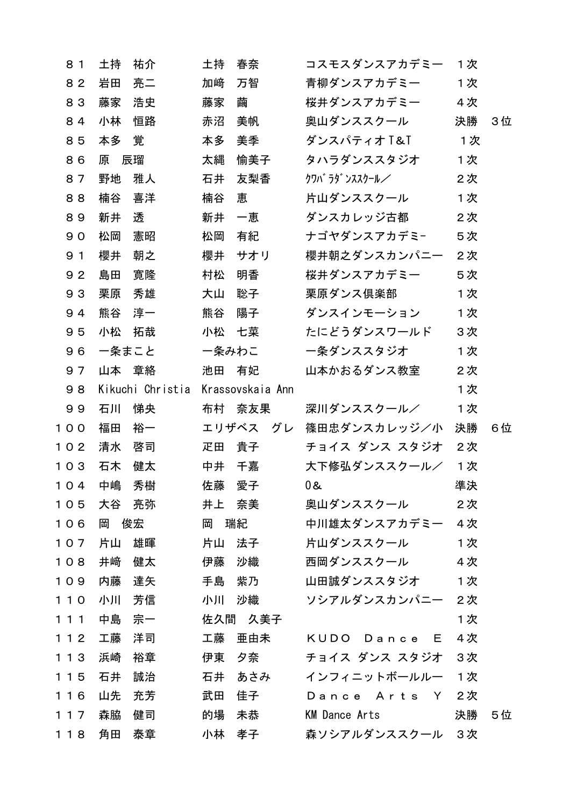| 81             | 土持    | 祐介               | 土持    | 春奈               | コスモスダンスアカデミー         | 1次 |    |
|----------------|-------|------------------|-------|------------------|----------------------|----|----|
| 82             | 岩田    | 亮二               | 加﨑    | 万智               | 青柳ダンスアカデミー           | 1次 |    |
| 83             | 藤家    | 浩史               | 藤家    | 繭                | 桜井ダンスアカデミー           | 4次 |    |
| 84             | 小林    | 恒路               | 赤沼    | 美帆               | 奥山ダンススクール            | 決勝 | 3位 |
| 85             | 本多    | 覚                | 本多    | 美季               | ダンスパティオT&T           | 1次 |    |
| 86             | 原     | 辰瑠               | 太縄    | 愉美子              | タハラダンススタジオ           | 1次 |    |
| 87             | 野地    | 雅人               | 石井    | 友梨香              | クワバ ラダ ンススクール/       | 2次 |    |
| 88             | 楠谷    | 喜洋               | 楠谷    | 恵                | 片山ダンススクール            | 1次 |    |
| 89             | 新井    | 透                | 新井    | 一恵               | ダンスカレッジ古都            | 2次 |    |
| 90             | 松岡    | 憲昭               | 松岡    | 有紀               | ナゴヤダンスアカデミ-          | 5次 |    |
| 9 <sub>1</sub> | 櫻井    | 朝之               | 櫻井    | サオリ              | 櫻井朝之ダンスカンパニー         | 2次 |    |
| 92             | 島田    | 寛隆               | 村松    | 明香               | 桜井ダンスアカデミー           | 5次 |    |
| 93             | 栗原    | 秀雄               | 大山    | 聡子               | 栗原ダンス倶楽部             | 1次 |    |
| 94             | 熊谷    | 淳一               | 熊谷    | 陽子               | ダンスインモーション           | 1次 |    |
| 95             | 小松    | 拓哉               | 小松    | 七菜               | たにどうダンスワールド          | 3次 |    |
| 96             | 一条まこと |                  | 一条みわこ |                  | 一条ダンススタジオ            | 1次 |    |
| 97             | 山本    | 章絡               | 池田    | 有妃               | 山本かおるダンス教室           | 2次 |    |
| 98             |       | Kikuchi Christia |       | Krassovskaia Ann |                      | 1次 |    |
| 99             | 石川    | 悌央               | 布村    | 奈友果              | 深川ダンススクール/           | 1次 |    |
| 100            | 福田    | 裕一               |       | エリザベス<br>グレ      | 篠田忠ダンスカレッジ/小         | 決勝 | 6位 |
| 102            | 清水    | 啓司               | 疋田    | 貴子               | チョイス ダンス スタジオ        | 2次 |    |
| 103            | 石木    | 健太               | 中井    | 千嘉               | 大下修弘ダンススクール/         | 1次 |    |
| 104            | 中嶋    | 秀樹               | 佐藤    | 愛子               | 0 &                  | 準決 |    |
| 105            | 大谷    | 亮弥               | 井上    | 奈美               | 奥山ダンススクール            | 2次 |    |
| 106            | 岡     | 俊宏               | 岡     | 瑞紀               | 中川雄太ダンスアカデミー         | 4次 |    |
| $107$          | 片山    | 雄暉               | 片山    | 法子               | 片山ダンススクール            | 1次 |    |
| 108            | 井﨑    | 健太               | 伊藤    | 沙織               | 西岡ダンススクール            | 4次 |    |
| 109            | 内藤    | 達矢               | 手島    | 紫乃               | 山田誠ダンススタジオ           | 1次 |    |
| 110            | 小川    | 芳信               | 小川    | 沙織               | ソシアルダンスカンパニー         | 2次 |    |
| 111            | 中島    | 宗一               |       | 佐久間 久美子          |                      | 1次 |    |
| 112            | 工藤    | 洋司               | 工藤    | 亜由未              | KUDO Dance E         | 4次 |    |
| 113            | 浜崎    | 裕章               | 伊東    | 夕奈               | チョイス ダンス スタジオ        | 3次 |    |
| 115            | 石井    | 誠治               | 石井    | あさみ              | インフィニットボールルー         | 1次 |    |
| 116            | 山先    | 充芳               | 武田    | 佳子               | Dance Arts Y         | 2次 |    |
| 117            | 森脇    | 健司               | 的場    | 未恭               | <b>KM Dance Arts</b> | 決勝 | 5位 |
| 118            | 角田    | 泰章               | 小林    | 孝子               | 森ソシアルダンススクール 3次      |    |    |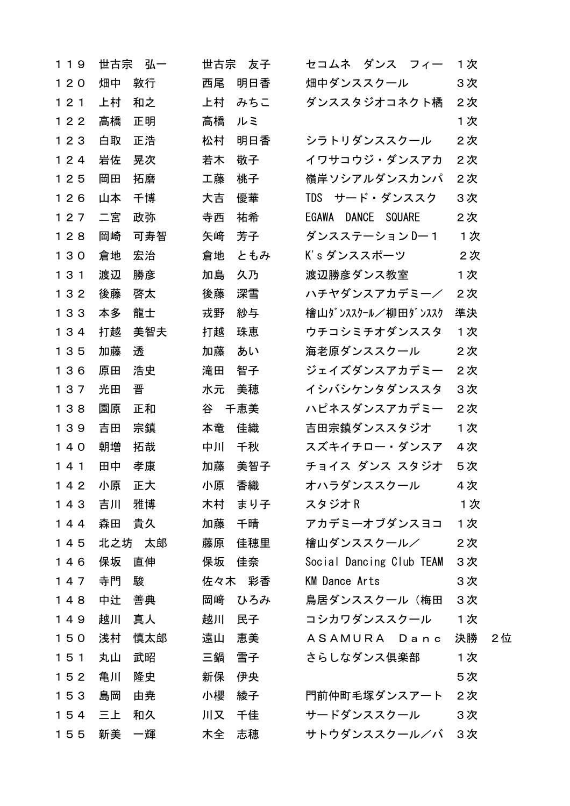| 1 1 9 | 世古宗<br>弘一 | 世古宗<br>友子 | セコムネ ダンス フィー             | 1次       |
|-------|-----------|-----------|--------------------------|----------|
| $120$ | 敦行<br>畑中  | 明日香<br>西尾 | 畑中ダンススクール                | 3次       |
| 121   | 上村<br>和之  | 上村<br>みちこ | ダンススタジオコネクト橘             | 2次       |
| 122   | 高橋<br>正明  | 高橋<br>ルミ  |                          | 1次       |
| 123   | 白取<br>正浩  | 明日香<br>松村 | シラトリダンススクール              | 2次       |
| 124   | 岩佐<br>晃次  | 若木<br>敬子  | イワサコウジ・ダンスアカ             | 2次       |
| 125   | 岡田<br>拓磨  | 工藤<br>桃子  | 嶺岸ソシアルダンスカンパ             | 2次       |
| 126   | 山本<br>千博  | 大吉<br>優華  | TDS サード・ダンススク            | 3次       |
| 127   | 政弥<br>二宮  | 寺西<br>祐希  | EGAWA DANCE SQUARE       | 2次       |
| 128   | 岡崎<br>可寿智 | 矢崎<br>芳子  | ダンスステーション Dー 1           | 1次       |
| 130   | 倉地<br>宏治  | ともみ<br>倉地 | K's ダンススポーツ              | 2次       |
| 131   | 渡辺<br>勝彦  | 久乃<br>加島  | 渡辺勝彦ダンス教室                | 1次       |
| 132   | 後藤<br>啓太  | 深雪<br>後藤  | ハチヤダンスアカデミー/             | 2次       |
| 133   | 本多<br>龍士  | 戎野<br>紗与  | 檜山ダンススクール/柳田ダンススク        | 準決       |
| 134   | 打越<br>美智夫 | 打越<br>珠恵  | ウチコシミチオダンススタ             | 1次       |
| 135   | 透<br>加藤   | 加藤<br>あい  | 海老原ダンススクール               | 2次       |
| 136   | 浩史<br>原田  | 滝田<br>智子  | ジェイズダンスアカデミー             | 2次       |
| 137   | 晋<br>光田   | 水元<br>美穂  | イシバシケンタダンススタ             | 3次       |
| 138   | 園原<br>正和  | 谷<br>千恵美  | ハピネスダンスアカデミー             | 2次       |
| 139   | 吉田<br>宗鎮  | 佳織<br>本竜  | 吉田宗鎮ダンススタジオ              | 1次       |
| $140$ | 拓哉<br>朝増  | 中川<br>千秋  | スズキイチロー・ダンスア             | 4次       |
| 141   | 田中<br>孝康  | 美智子<br>加藤 | チョイス ダンス スタジオ            | 5次       |
| 142   | 小原<br>正大  | 香織<br>小原  | オハラダンススクール               | 4 次      |
| 143   | 吉川<br>雅博  | 木村<br>まり子 | スタジオR                    | 1次       |
| 144   | 貴久<br>森田  | 加藤<br>千晴  | アカデミーオブダンスヨコ             | 1次       |
| 145   | 北之坊 太郎    | 藤原<br>佳穂里 | 檜山ダンススクール/               | 2次       |
| 146   | 保坂<br>直伸  | 保坂<br>佳奈  | Social Dancing Club TEAM | 3次       |
| 147   | 駿<br>寺門   | 佐々木<br>彩香 | <b>KM Dance Arts</b>     | 3次       |
| 148   | 中辻<br>善典  | 岡﨑<br>ひろみ | 鳥居ダンススクール(梅田             | 3次       |
| 149   | 越川<br>真人  | 越川<br>民子  | コシカワダンススクール              | 1次       |
| 150   | 浅村<br>慎太郎 | 遠山<br>恵美  | ASAMURA Danc             | 決勝<br>2位 |
| 151   | 武昭<br>丸山  | 三鍋<br>雪子  | さらしなダンス倶楽部               | 1次       |
| 152   | 亀川<br>隆史  | 新保<br>伊央  |                          | 5次       |
| 153   | 島岡<br>由尭  | 小櫻<br>綾子  | 門前仲町毛塚ダンスアート             | 2次       |
| 154   | 三上<br>和久  | 川又<br>千佳  | サードダンススクール               | 3次       |
| 155   | 新美<br>一輝  | 志穂<br>木全  | サトウダンススクール/バ             | 3次       |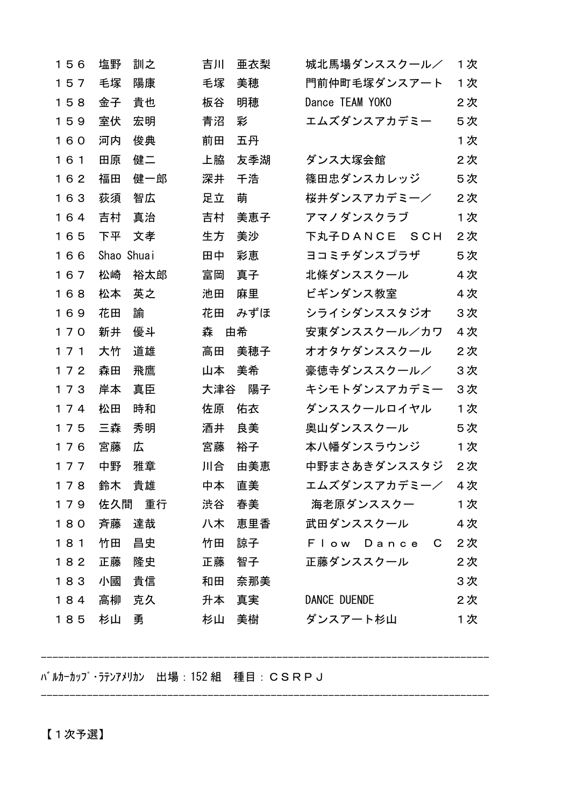| 156 | 塩野<br>訓之   | 吉川<br>亜衣梨 | 城北馬場ダンススクール/        | 1次  |
|-----|------------|-----------|---------------------|-----|
| 157 | 毛塚<br>陽康   | 美穂<br>毛塚  | 門前仲町毛塚ダンスアート        | 1 次 |
| 158 | 貴也<br>金子   | 明穂<br>板谷  | Dance TEAM YOKO     | 2次  |
| 159 | 室伏<br>宏明   | 青沼<br>彩   | エムズダンスアカデミー         | 5次  |
| 160 | 河内<br>俊典   | 前田<br>五丹  |                     | 1次  |
| 161 | 田原<br>健二   | 上脇<br>友季湖 | ダンス大塚会館             | 2次  |
| 162 | 福田<br>健一郎  | 深井<br>千浩  | 篠田忠ダンスカレッジ          | 5次  |
| 163 | 荻須<br>智広   | 足立<br>萌   | 桜井ダンスアカデミーノ         | 2次  |
| 164 | 吉村<br>真治   | 美恵子<br>吉村 | アマノダンスクラブ           | 1次  |
| 165 | 下平<br>文孝   | 美沙<br>生方  | 下丸子DANCE SCH        | 2次  |
| 166 | Shao Shuai | 田中<br>彩恵  | ヨコミチダンスプラザ          | 5次  |
| 167 | 松崎<br>裕太郎  | 富岡<br>真子  | 北條ダンススクール           | 4次  |
| 168 | 松本<br>英之   | 池田<br>麻里  | ビギンダンス教室            | 4 次 |
| 169 | 花田<br>諭    | みずほ<br>花田 | シライシダンススタジオ         | 3次  |
| 170 | 新井<br>優斗   | 森<br>由希   | 安東ダンススクール/カワ        | 4次  |
| 171 | 大竹<br>道雄   | 美穂子<br>高田 | オオタケダンススクール         | 2次  |
| 172 | 森田<br>飛鷹   | 美希<br>山本  | 豪徳寺ダンススクール/         | 3次  |
| 173 | 岸本<br>真臣   | 陽子<br>大津谷 | キシモトダンスアカデミー        | 3次  |
| 174 | 松田<br>時和   | 佐原<br>佑衣  | ダンススクールロイヤル         | 1次  |
| 175 | 三森<br>秀明   | 酒井<br>良美  | 奥山ダンススクール           | 5次  |
| 176 | 広<br>宮藤    | 宮藤<br>裕子  | 本ハ幡ダンスラウンジ          | 1次  |
| 177 | 中野<br>雅章   | 由美恵<br>川合 | 中野まさあきダンススタジ        | 2次  |
| 178 | 鈴木<br>貴雄   | 中本<br>直美  | エムズダンスアカデミー/        | 4次  |
| 179 | 佐久間 重行     | 渋谷<br>春美  | 海老原ダンススクー           | 1次  |
| 180 | 斉藤<br>達哉   | 八木<br>恵里香 | 武田ダンススクール           | 4次  |
| 181 | 竹田<br>昌史   | 竹田<br>諒子  | Flow Dance C        | 2次  |
| 182 | 正藤<br>隆史   | 正藤<br>智子  | 正藤ダンススクール           | 2次  |
| 183 | 貴信<br>小國   | 和田<br>奈那美 |                     | 3次  |
| 184 | 高柳<br>克久   | 升本<br>真実  | <b>DANCE DUENDE</b> | 2次  |
| 185 | 杉山<br>勇    | 杉山<br>美樹  | ダンスアート杉山            | 1次  |

------------------------------------------------------------------------------

------------------------------------------------------------------------------

バルカーカップ・ラテンアメリカン 出場:152 組 種目:CSRPJ

【1次予選】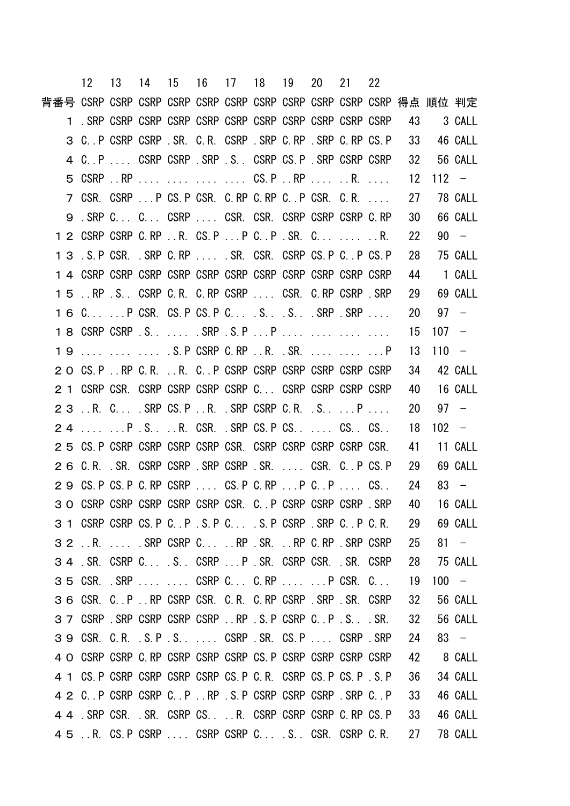|                                                              | 12 13 14 15 16 17 18 19 20 21 |  |  |  |  | 22 |      |            |         |
|--------------------------------------------------------------|-------------------------------|--|--|--|--|----|------|------------|---------|
|                                                              |                               |  |  |  |  |    |      |            |         |
|                                                              |                               |  |  |  |  |    | - 43 | 3 CALL     |         |
| 3 C. P CSRP CSRP SR. C.R. CSRP SRP C.RP SRP C.RP CS.P        |                               |  |  |  |  |    | - 33 |            | 46 CALL |
| 4 C. P CSRP CSRP SRP S. CSRP CS.P SRP CSRP CSRP CSRP         |                               |  |  |  |  |    | - 32 |            | 56 CALL |
| 5 CSRP RP     CS.P RP  R.                                    |                               |  |  |  |  |    | 12   | $112 -$    |         |
| 7 CSR. CSRP  P CS. P CSR. C. RP C. RP C. P CSR. C. R.        |                               |  |  |  |  |    | 27   |            | 78 CALL |
| 9 . SRP C C CSRP  CSR. CSR. CSRP CSRP CSRP C.RP              |                               |  |  |  |  |    | 30   |            | 66 CALL |
| 1 2 CSRP CSRP C.RP R. CS.P P C. . P . SR. C. R.              |                               |  |  |  |  |    | 22   |            | $90 -$  |
| 1 3 . S. P CSR. . SRP C. RP SR. CSR. CSRP CS. P C. . P CS. P |                               |  |  |  |  |    | 28   |            | 75 CALL |
|                                                              |                               |  |  |  |  |    | 44   |            | 1 CALL  |
| 15 . RP S. CSRP C.R. C.RP CSRP  CSR. C.RP CSRP SRP           |                               |  |  |  |  |    | 29   |            | 69 CALL |
| 1 6 CP CSR. CS.P CS.P CSSSRP.SRP                             |                               |  |  |  |  |    | 20   |            | $97 -$  |
|                                                              |                               |  |  |  |  |    | - 15 | $107 -$    |         |
| 19    .S.P CSRP C.RP R. .SR.   P                             |                               |  |  |  |  |    | 13   | $110 -$    |         |
| 2 O CS. P RP C. R. R. C. . P CSRP CSRP CSRP CSRP CSRP CSRP   |                               |  |  |  |  |    | 34   |            | 42 CALL |
| 2 1 CSRP CSR. CSRP CSRP CSRP CSRP C CSRP CSRP CSRP CSRP      |                               |  |  |  |  |    | 40   |            | 16 CALL |
| 23 R. C SRP CS.PR. SRP CSRP C.R. S P                         |                               |  |  |  |  |    | 20   |            | $97 -$  |
| 24  PS. RGSR SRP CS.PCS.  CS. CS.                            |                               |  |  |  |  |    | 18   | $102 -$    |         |
| 2 5 CS. P CSRP CSRP CSRP CSRP CSR. CSRP CSRP CSRP CSRP CSR.  |                               |  |  |  |  |    | 41   |            | 11 CALL |
| 2 6 C.R. SR. CSRP CSRP SRP CSRP SR.  CSR. C. P CS. P         |                               |  |  |  |  |    | 29   |            | 69 CALL |
| 2 9 CS. P CS. P C. RP CSRP  CS. P C. RP  P C. P  CS.         |                               |  |  |  |  |    | 24   |            | $83 -$  |
| 3 O CSRP CSRP CSRP CSRP CSRP CSR. C. P CSRP CSRP CSRP SRP    |                               |  |  |  |  |    | 40   |            | 16 CALL |
| 3 1 CSRP CSRP CS.P C.P.S.P C S.P CSRP . SRP C.P C.R. 29      |                               |  |  |  |  |    |      |            | 69 CALL |
| 3 2 . R. SRP CSRP C. RP . SR. RP C. RP . SRP CSRP            |                               |  |  |  |  |    | 25   |            | $81 -$  |
| 3 4 . SR. CSRP C S. CSRP  P . SR. CSRP CSR. . SR. CSRP       |                               |  |  |  |  |    |      | 28 75 CALL |         |
| 35 CSR. SRP   CSRP C C.RP   P CSR. C                         |                               |  |  |  |  |    | - 19 |            | $100 -$ |
| 36 CSR. C. P.RP CSRP CSR. C.R. C.RP CSRP SRP SR. CSRP        |                               |  |  |  |  |    | 32   |            | 56 CALL |
| 37 CSRP SRP CSRP CSRP CSRP RP .S.P CSRP C.P.S. SR.           |                               |  |  |  |  |    | - 32 |            | 56 CALL |
| 3 9 CSR. C.R. S.P.S CSRP SR. CS.P CSRP SRP                   |                               |  |  |  |  |    | 24   |            | $83 -$  |
| 4 O CSRP CSRP C. RP CSRP CSRP CSRP CS. P CSRP CSRP CSRP CSRP |                               |  |  |  |  |    | 42   | 8 CALL     |         |
|                                                              |                               |  |  |  |  |    | - 36 |            | 34 CALL |
| 4 2 C. P CSRP CSRP C. P. RP S.P CSRP CSRP CSRP SRP C. P      |                               |  |  |  |  |    | - 33 |            | 46 CALL |
| 4 4 SRP CSR. SR. CSRP CS. R. CSRP CSRP CSRP C. RP CS. P      |                               |  |  |  |  |    | - 33 |            | 46 CALL |
| 4 5 . R. CS. P CSRP CSRP CSRP C. S. . CSR. CSRP C. R. 27     |                               |  |  |  |  |    |      |            | 78 CALL |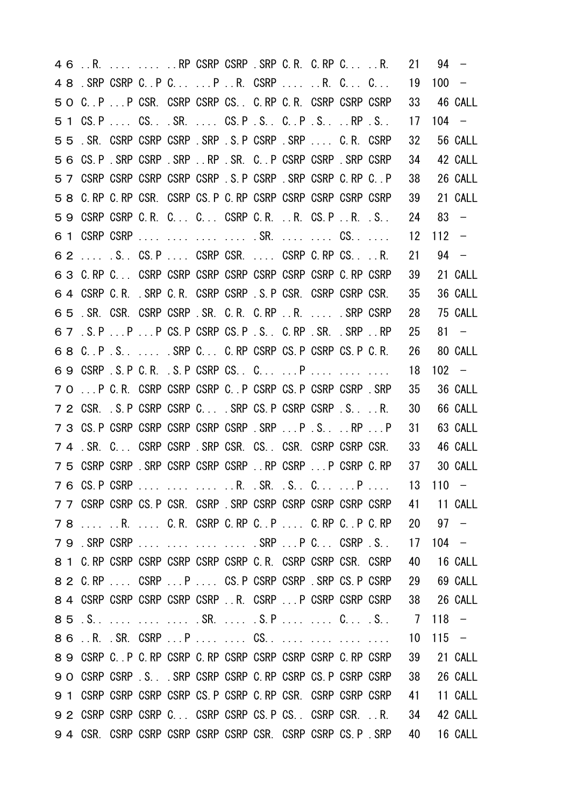| 4 6 R. RP CSRP CSRP . SRP C. R. C. RP C. R.                    |  |  |  |  |                                                                   | 21      |         | $94 -$       |
|----------------------------------------------------------------|--|--|--|--|-------------------------------------------------------------------|---------|---------|--------------|
| 48 . SRP CSRP C. P C P R. CSRP R. C. C.                        |  |  |  |  |                                                                   | 19      | $100 -$ |              |
| 5 O C. P  P CSR. CSRP CSRP CS. C. RP C. R. CSRP CSRP CSRP      |  |  |  |  |                                                                   | 33      |         | 46 CALL      |
| 5 1 CS. P  CS. SR.  CS. P . S. C. P . S.  RP . S.              |  |  |  |  |                                                                   | 17      | $104 -$ |              |
| 55 SR. CSRP CSRP CSRP SRP S.P CSRP SRP  C.R. CSRP              |  |  |  |  |                                                                   | 32      |         | 56 CALL      |
| 56 CS.P. SRP CSRP SRP . RP SR. C. P CSRP CSRP SRP CSRP         |  |  |  |  |                                                                   | 34      |         | 42 CALL      |
| 5 7 CSRP CSRP CSRP CSRP CSRP . S. P CSRP . SRP CSRP C. RP C. P |  |  |  |  |                                                                   | 38      |         | 26 CALL      |
| 5 8 C. RP C. RP CSR. CSRP CS. P C. RP CSRP CSRP CSRP CSRP CSRP |  |  |  |  |                                                                   | 39      |         | 21 CALL      |
| 59 CSRP CSRP C.R. C C CSRP C.R. R. CS.PR. .S                   |  |  |  |  |                                                                   | 24      |         | $83 -$       |
| 6 1 CSRP CSRP     .SR.   CS                                    |  |  |  |  |                                                                   | 12      | $112 -$ |              |
| 6 2  S. CS.P  CSRP CSR.  CSRP C.RP CSR.                        |  |  |  |  |                                                                   | 21      |         | $94 -$       |
|                                                                |  |  |  |  |                                                                   | 39      |         | 21 CALL      |
| 6 4 CSRP C.R. SRP C.R. CSRP CSRP S.P CSR. CSRP CSRP CSR.       |  |  |  |  |                                                                   | 35      |         | 36 CALL      |
| 65 . SR. CSR. CSRP CSRP . SR. C.R. C.RP R. SRP CSRP            |  |  |  |  |                                                                   | 28      |         | 75 CALL      |
| 6 7 . S. P P P CS. P CSRP CS. P . S. . C. RP . SR. . SRP RP    |  |  |  |  |                                                                   | 25      |         | $81 -$       |
| 68 C.P.S.  SRP C C.RP CSRP CS.P CSRP CS.P C.R.                 |  |  |  |  |                                                                   | 26      |         | 80 CALL      |
| 69 CSRP S.P C.R. S.P CSRP CS. C P                              |  |  |  |  |                                                                   | 18      |         | $102 -$      |
| 7 O  P C.R. CSRP CSRP CSRP C. P CSRP CS. P CSRP CSRP SRP       |  |  |  |  |                                                                   | 35      |         | 36 CALL      |
| 7 2 CSR. S. P CSRP CSRP C SRP CS. P CSRP CSRP SR.              |  |  |  |  |                                                                   | 30      |         | 66 CALL      |
| 7 3 CS P CSRP CSRP CSRP CSRP CSRP SRP  P . S.  RP  P           |  |  |  |  |                                                                   | 31      |         | 63 CALL      |
| 74 SR. C CSRP CSRP SRP CSR. CS. CSR. CSRP CSRP CSR.            |  |  |  |  |                                                                   | 33      |         | 46 CALL      |
|                                                                |  |  |  |  | 7 5 CSRP CSRP SRP CSRP CSRP CSRP . RP CSRP P CSRP C RP            | 37      |         | 30 CALL      |
| 7 6 CS. P CSRP                                                 |  |  |  |  | R. .SR. .S C P  13 110 -                                          |         |         |              |
|                                                                |  |  |  |  | 7 7 CSRP CSRP CS. P CSR. CSRP . SRP CSRP CSRP CSRP CSRP CSRP CSRP |         |         | 41 11 CALL   |
|                                                                |  |  |  |  | 78  R.  C.R. CSRP C.RP C.P  C.RP C.P C.RP 20 97 -                 |         |         |              |
|                                                                |  |  |  |  | 79.SRP CSRP     .SRP P C CSRP .S                                  |         |         | $17 \t104 -$ |
| 8 1 C. RP CSRP CSRP CSRP CSRP CSRP C. R. CSRP CSRP CSR. CSRP   |  |  |  |  |                                                                   |         |         | 40 16 CALL   |
| 8 2 C.RP  CSRP P  CS.P CSRP CSRP .SRP CS.P CSRP                |  |  |  |  |                                                                   | 29      |         | 69 CALL      |
|                                                                |  |  |  |  | 8 4 CSRP CSRP CSRP CSRP CSRP R. CSRP P CSRP CSRP CSRP             |         |         | 38 26 CALL   |
|                                                                |  |  |  |  |                                                                   | 7 118 – |         |              |
|                                                                |  |  |  |  |                                                                   | 10      |         | $115 -$      |
| 8 9 CSRP C. P C. RP CSRP C. RP CSRP CSRP CSRP CSRP C. RP CSRP  |  |  |  |  |                                                                   | 39      |         | 21 CALL      |
| 9 O CSRP CSRP S. SRP CSRP CSRP C. RP CSRP CS. P CSRP CSRP      |  |  |  |  |                                                                   | 38      |         | 26 CALL      |
| 9 1 CSRP CSRP CSRP CSRP CS. P CSRP C. RP CSR. CSRP CSRP CSRP   |  |  |  |  |                                                                   | 41      |         | 11 CALL      |
|                                                                |  |  |  |  | 9 2 CSRP CSRP CSRP C CSRP CSRP CS.P CS CSRP CSRR.                 | 34      |         | 42 CALL      |
|                                                                |  |  |  |  | 94 CSR. CSRP CSRP CSRP CSRP CSRP CSR. CSRP CSRP CS.P. SRP         | 40      |         | 16 CALL      |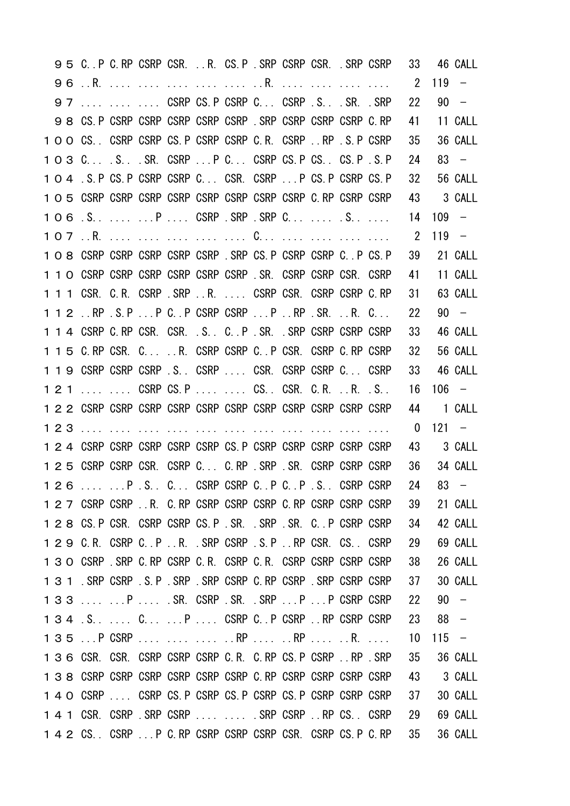|  | 95 C.P C.RP CSRP CSR. R. CS.P. SRP CSRP CSR. SRP CSRP              |  |  |  |                                                              |                                                              | 33             |         | 46 CALL                  |
|--|--------------------------------------------------------------------|--|--|--|--------------------------------------------------------------|--------------------------------------------------------------|----------------|---------|--------------------------|
|  |                                                                    |  |  |  |                                                              |                                                              | $2^{\circ}$    | 119     | $\overline{\phantom{0}}$ |
|  | 97    CSRP CS. P CSRP C CSRP .S. . SR. . SRP                       |  |  |  |                                                              |                                                              | 22             |         | $90 -$                   |
|  | 9 8 CS. P CSRP CSRP CSRP CSRP CSRP . SRP CSRP CSRP CSRP C. RP      |  |  |  |                                                              |                                                              | 41             |         | 11 CALL                  |
|  | 1 O O CS. CSRP CSRP CS. P CSRP CSRP C. R. CSRP  RP . S. P CSRP     |  |  |  |                                                              |                                                              | 35             |         | 36 CALL                  |
|  | 1 O 3 C S SR. CSRP  P C CSRP CS. P CS CS. P . S. P                 |  |  |  |                                                              |                                                              | 24             |         | $83 -$                   |
|  | 1 O 4 S. P CS. P CSRP CSRP C CSR. CSRP  P CS. P CSRP CS. P         |  |  |  |                                                              |                                                              | 32             |         | 56 CALL                  |
|  |                                                                    |  |  |  |                                                              |                                                              | 43             |         | 3 CALL                   |
|  | 106.SPCSRP.SRP.SRPCS                                               |  |  |  |                                                              |                                                              | 14             | $109 -$ |                          |
|  | 107R.     C                                                        |  |  |  |                                                              |                                                              | $\overline{2}$ | $119 -$ |                          |
|  | 1 O 8 CSRP CSRP CSRP CSRP CSRP . SRP CS P CSRP CSRP C. P CS P      |  |  |  |                                                              |                                                              | 39             |         | 21 CALL                  |
|  | 1 1 0 CSRP CSRP CSRP CSRP CSRP CSRP SR. CSRP CSRP CSR. CSRP        |  |  |  |                                                              |                                                              | 41             |         | 11 CALL                  |
|  | 1 1 1 CSR. C.R. CSRP . SRP R. CSRP CSR. CSRP CSRP C.RP             |  |  |  |                                                              |                                                              | 31             |         | 63 CALL                  |
|  | 1 1 2 RP S.P P C. P CSRP CSRP P RP . SR. R. C.                     |  |  |  |                                                              |                                                              | 22             |         | $90 -$                   |
|  | 1 1 4 CSRP C RP CSR. CSR. S. C. P SR. SRP CSRP CSRP CSRP           |  |  |  |                                                              |                                                              | 33             |         | 46 CALL                  |
|  | 1 1 5 C.RP CSR. CR. CSRP CSRP C.P CSR. CSRP C.RP CSRP              |  |  |  |                                                              |                                                              | 32             |         | 56 CALL                  |
|  | 1 1 9 CSRP CSRP CSRP S. CSRP  CSR. CSRP CSRP C CSRP                |  |  |  |                                                              |                                                              | 33             |         | 46 CALL                  |
|  | 121   CSRP CS.P   CS. CSR. C.R. R. .S                              |  |  |  |                                                              |                                                              | 16             |         | $106 -$                  |
|  |                                                                    |  |  |  |                                                              |                                                              | 44             |         | 1 CALL                   |
|  |                                                                    |  |  |  |                                                              |                                                              | $\mathbf{0}$   | $121 -$ |                          |
|  | 1 2 4 CSRP CSRP CSRP CSRP CSRP CS. P CSRP CSRP CSRP CSRP CSRP      |  |  |  |                                                              |                                                              | 43             |         | 3 CALL                   |
|  | 1 2 5 CSRP CSRP CSR. CSRP C C.RP SRP SR. CSRP CSRP CSRP            |  |  |  |                                                              |                                                              | 36             |         | 34 CALL                  |
|  | 126   P . S . C  CSRP CSRP C  P C  P . S  CSRP CSRP                |  |  |  |                                                              |                                                              | 24             | $83 -$  |                          |
|  |                                                                    |  |  |  |                                                              | 1 2 7 CSRP CSRP R. C. RP CSRP CSRP CSRP C. RP CSRP CSRP CSRP | 39             |         | 21 CALL                  |
|  | 1 2 8 CS P CSR. CSRP CSRP CS P SR. SRP SR. C. P CSRP CSRP          |  |  |  |                                                              |                                                              | - 34           |         | 42 CALL                  |
|  | 1 2 9 C.R. CSRP C. P.R. SRP CSRP S.P.RP CSR. CS. CSRP              |  |  |  |                                                              |                                                              | -29            |         | 69 CALL                  |
|  | 1 3 O CSRP . SRP C RP CSRP C R. CSRP C R. CSRP CSRP CSRP CSRP CSRP |  |  |  |                                                              |                                                              | 38             |         | 26 CALL                  |
|  | 1 3 1 SRP CSRP S.P SRP SRP CSRP C.RP CSRP SRP CSRP CSRP CSRP       |  |  |  |                                                              |                                                              | 37             |         | 30 CALL                  |
|  | 133  P  . SR. CSRP SR. . SRP  P  P CSRP CSRP                       |  |  |  |                                                              |                                                              | 22             |         | $90 -$                   |
|  | 134 .S.  C P  CSRP C. P CSRP  RP CSRP CSRP                         |  |  |  |                                                              |                                                              | 23             | $88 -$  |                          |
|  | 135 P CSRP    RP  RP  R.                                           |  |  |  |                                                              |                                                              | 10             | $115 -$ |                          |
|  | 1 3 6 CSR. CSR. CSRP CSRP CSRP C.R. C.RP CS.P CSRP RP .SRP         |  |  |  |                                                              |                                                              | 35             |         | 36 CALL                  |
|  | 1 3 8 CSRP CSRP CSRP CSRP CSRP CSRP C. RP CSRP CSRP CSRP CSRP      |  |  |  |                                                              |                                                              | 43             |         | 3 CALL                   |
|  |                                                                    |  |  |  |                                                              |                                                              | 37             |         | 30 CALL                  |
|  | 1 4 1 CSR. CSRP SRP CSRP   SRP CSRP RP CS. CSRP                    |  |  |  |                                                              |                                                              | - 29           |         | 69 CALL                  |
|  |                                                                    |  |  |  | 1 4 2 CS. CSRP  P C. RP CSRP CSRP CSRP CSR. CSRP CS. P C. RP |                                                              | - 35           |         | 36 CALL                  |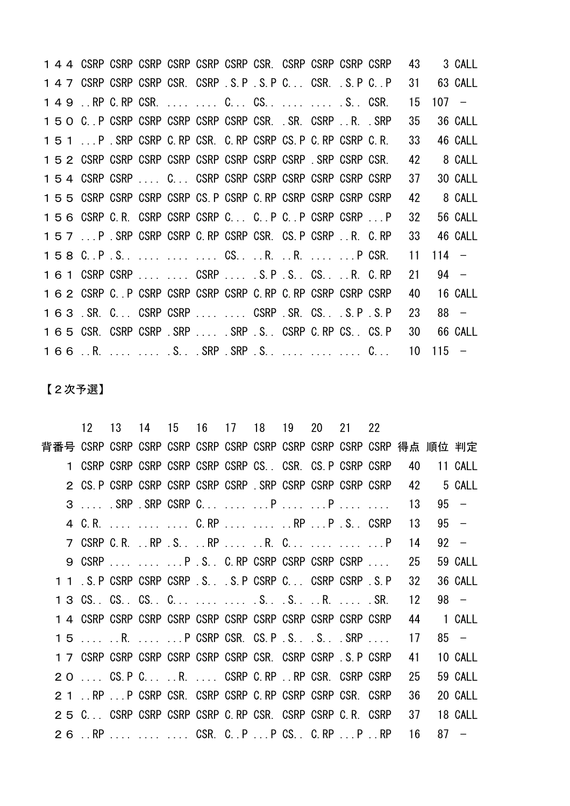1 4 4 CSRP CSRP CSRP CSRP CSRP CSRP CSR. CSRP CSRP CSRP CSRP 43 3 CALL 1 4 7 CSRP CSRP CSRP CSR. CSRP . S. P . S. P C. . CSR. . S. P C. . P 31 63 CALL 149 ..RP C.RP CSR. .... .... C... CS.. .... .... .S.. CSR. 15 107 − C..P CSRP CSRP CSRP CSRP CSRP CSR. .SR. CSRP ..R. .SRP 35 36 CALL ...P .SRP CSRP C.RP CSR. C.RP CSRP CS.P C.RP CSRP C.R. 33 46 CALL CSRP CSRP CSRP CSRP CSRP CSRP CSRP CSRP .SRP CSRP CSR. 42 8 CALL CSRP CSRP .... C... CSRP CSRP CSRP CSRP CSRP CSRP CSRP 37 30 CALL CSRP CSRP CSRP CSRP CS.P CSRP C.RP CSRP CSRP CSRP CSRP 42 8 CALL CSRP C.R. CSRP CSRP CSRP C... C..P C..P CSRP CSRP ...P 32 56 CALL ...P .SRP CSRP CSRP C.RP CSRP CSR. CS.P CSRP ..R. C.RP 33 46 CALL C..P .S.. .... .... .... CS.. ..R. ..R. .... ...P CSR. 11 114 − CSRP CSRP .... .... CSRP .... .S.P .S.. CS.. ..R. C.RP 21 94 − CSRP C..P CSRP CSRP CSRP CSRP C.RP C.RP CSRP CSRP CSRP 40 16 CALL .SR. C... CSRP CSRP .... .... CSRP .SR. CS.. .S.P .S.P 23 88 − CSR. CSRP CSRP .SRP .... .SRP .S.. CSRP C.RP CS.. CS.P 30 66 CALL ..R. .... .... .S.. .SRP .SRP .S.. .... .... .... C... 10 115 −

【2次予選】

| 12                                                          | - 13 |  |  | 14 15 16 17 18 19 20 21 22 |  |      |         |
|-------------------------------------------------------------|------|--|--|----------------------------|--|------|---------|
|                                                             |      |  |  |                            |  |      |         |
| 1 CSRP CSRP CSRP CSRP CSRP CSRP CS. CSR. CS.P CSRP CSRP     |      |  |  |                            |  | 40   | 11 CALL |
| 2 CS. P CSRP CSRP CSRP CSRP CSRP . SRP CSRP CSRP CSRP CSRP  |      |  |  |                            |  | - 42 | 5 CALL  |
| 3  . SRP . SRP CSRP C  P  P                                 |      |  |  |                            |  | 13   | $95 -$  |
| 4 C.R.    C.RP   RP P .S CSRP                               |      |  |  |                            |  | 13   | $95 -$  |
| 7 CSRP C.R. RP .S RP  R. C   P                              |      |  |  |                            |  | 14   | $92 -$  |
| 9 CSRP   P .S C.RP CSRP CSRP CSRP CSRP                      |      |  |  |                            |  | 25   | 59 CALL |
| 1 1 .S. P CSRP CSRP CSRP .S. .S. P CSRP C CSRP CSRP .S. P   |      |  |  |                            |  | 32   | 36 CALL |
|                                                             |      |  |  |                            |  | 12   | $98 -$  |
|                                                             |      |  |  |                            |  | 44   | 1 CALL  |
| 15  R.  P CSRP CSR. CS.P .S .S .SRP                         |      |  |  |                            |  | 17   | $85 -$  |
| 1 7 CSRP CSRP CSRP CSRP CSRP CSRP CSR. CSRP CSRP .S. P CSRP |      |  |  |                            |  | 41   | 10 CALL |
| 2 O  CS. P C R.  CSRP C. RP  RP CSR. CSRP CSRP              |      |  |  |                            |  | 25   | 59 CALL |
| 2 1 RP  P CSRP CSR. CSRP CSRP C. RP CSRP CSRP CSR. CSRP     |      |  |  |                            |  | 36   | 20 CALL |
| 2 5 C CSRP CSRP CSRP CSRP C.RP CSR. CSRP CSRP C.R. CSRP     |      |  |  |                            |  | 37   | 18 CALL |
| 26 . RP CSR. C. P P CS. C. RP P RP                          |      |  |  |                            |  | - 16 | $87 -$  |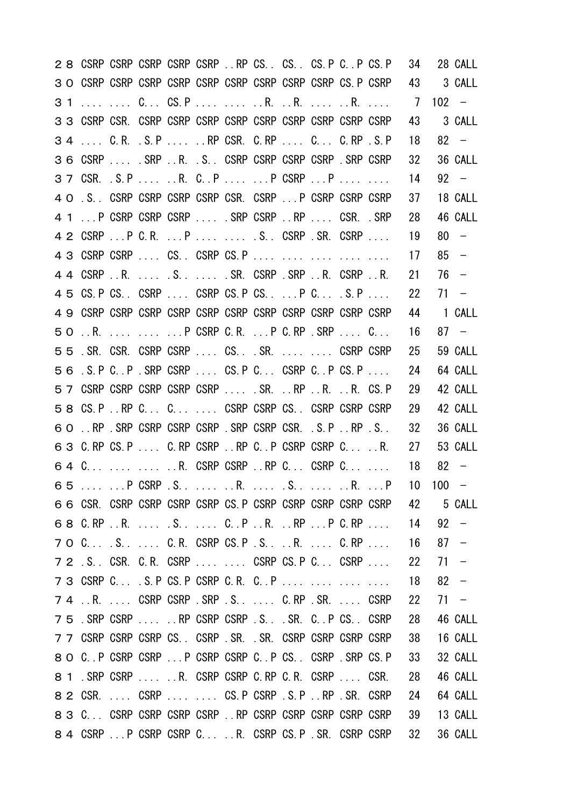| 2 8 CSRP CSRP CSRP CSRP CSRP  RP CS. CS. CS. P C. P CS. P             |  |  |  |  |  | 34              |         | 28 CALL |
|-----------------------------------------------------------------------|--|--|--|--|--|-----------------|---------|---------|
|                                                                       |  |  |  |  |  | 43              |         | 3 CALL  |
| 31   C CS.P   R. R.  R.                                               |  |  |  |  |  | $\overline{7}$  | $102 -$ |         |
|                                                                       |  |  |  |  |  | 43              |         | 3 CALL  |
| 34  C.R. S.P RP CSR. C.RP  C C.RP .S.P                                |  |  |  |  |  | 18              |         | $82 -$  |
| 36 CSRP  SRP R. S. CSRP CSRP CSRP CSRP SRP CSRP                       |  |  |  |  |  | 32 <sup>2</sup> |         | 36 CALL |
| 3 7 CSR. S.P  R. C. P   P CSRP  P                                     |  |  |  |  |  | 14              |         | $92 -$  |
| 4 O .S. CSRP CSRP CSRP CSRP CSR. CSRP  P CSRP CSRP CSRP               |  |  |  |  |  | 37              |         | 18 CALL |
| 4 1  P CSRP CSRP CSRP  SRP CSRP RP  CSR. .SRP                         |  |  |  |  |  | 28              |         | 46 CALL |
| 4 2 CSRP  P C.R.  P   . S CSRP . SR. CSRP                             |  |  |  |  |  | 19              |         | $80 -$  |
| 4 3 CSRP CSRP  CS CSRP CS.P                                           |  |  |  |  |  | 17              |         | $85 -$  |
| 4 4 CSRP R. S. SR. CSRP . SRP R. CSRP R.                              |  |  |  |  |  | 21              | $76 -$  |         |
| 4 5 CS. P CS. CSRP  CSRP CS. P CS.  P C S. P                          |  |  |  |  |  | 22              |         | $71 -$  |
|                                                                       |  |  |  |  |  | 44              |         | 1 CALL  |
| 50 . R. P CSRP C. R. P C. RP . SRP C.                                 |  |  |  |  |  | 16              |         | $87 -$  |
| 55. SR. CSR. CSRP CSRP  CS. SR.   CSRP CSRP                           |  |  |  |  |  | 25              |         | 59 CALL |
| 56 .S.P C. P. SRP CSRP  CS.P C CSRP C. P CS.P                         |  |  |  |  |  | 24              |         | 64 CALL |
| 5 7 CSRP CSRP CSRP CSRP CSRP  SR.  RP  R.  R. CS. P                   |  |  |  |  |  | 29              |         | 42 CALL |
| 58 CS.P.RP C C CSRP CSRP CS. CSRP CSRP CSRP CSRP                      |  |  |  |  |  | 29              |         | 42 CALL |
| 60 . RP SRP CSRP CSRP CSRP SRP CSRP CSR. S.P.RP S.                    |  |  |  |  |  | 32              |         | 36 CALL |
| 6 3 C.RP CS.P  C.RP CSRP RP C. P CSRP CSRP C .R.                      |  |  |  |  |  | 27              |         | 53 CALL |
| 64 C   R. CSRP CSRP RP C CSRP C                                       |  |  |  |  |  | 18              | $82 -$  |         |
| 65   P CSRP . S.   R.   S.    R.  P 10 100 -                          |  |  |  |  |  |                 |         |         |
| 6 6 CSR. CSRP CSRP CSRP CSRP CS. P CSRP CSRP CSRP CSRP CSRP 42 5 CALL |  |  |  |  |  |                 |         |         |
| 6 8 C.RP R.  .S  CP R. RP P C.RP                                      |  |  |  |  |  | 14              | $92 -$  |         |
| 7 O C S  C.R. CSRP CS.P .S R.  C.RP                                   |  |  |  |  |  | 16              | $87 -$  |         |
| 7 2 .S. CSR. C.R. CSRP   CSRP CS.P C CSRP                             |  |  |  |  |  | 22              | $71 -$  |         |
| 7 3 CSRP C S.P CS.P CSRP C.R. C.P                                     |  |  |  |  |  | 18              |         | $82 -$  |
| 7 4 R.  CSRP CSRP .SRP .S.  C.RP .SR.  CSRP                           |  |  |  |  |  | 22              |         | $71 -$  |
| 75 SRP CSRP  RP CSRP CSRP S. SR. C.P CS. CSRP                         |  |  |  |  |  | 28              |         | 46 CALL |
| 77 CSRP CSRP CSRP CS. CSRP SR. SR. CSRP CSRP CSRP CSRP CSRP           |  |  |  |  |  | 38              |         | 16 CALL |
| 8 O C. P CSRP CSRP  P CSRP CSRP C. P CS. CSRP . SRP CS. P             |  |  |  |  |  | 33              |         | 32 CALL |
| 8 1 . SRP CSRP   R. CSRP CSRP C. RP C. R. CSRP  CSR.                  |  |  |  |  |  | 28              |         | 46 CALL |
| 8 2 CSR.  CSRP   CS. P CSRP . S. P  RP . SR. CSRP                     |  |  |  |  |  | 24              |         | 64 CALL |
| 8 3 C CSRP CSRP CSRP CSRP  RP CSRP CSRP CSRP CSRP CSRP                |  |  |  |  |  | 39              |         | 13 CALL |
| 8 4 CSRP  P CSRP CSRP C  R. CSRP CS. P . SR. CSRP CSRP                |  |  |  |  |  | 32 <sub>2</sub> |         | 36 CALL |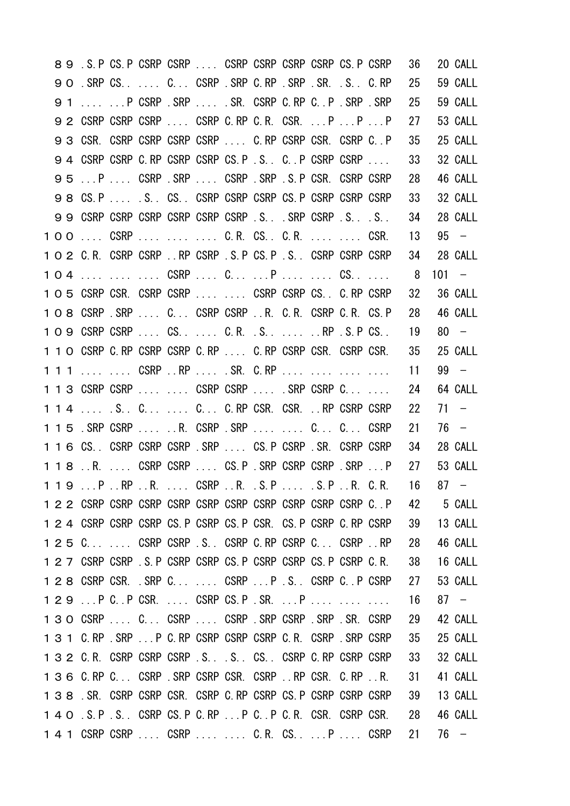|  | 8 9 . S. P CS. P CSRP CSRP CSRP CSRP CSRP CSRP CS. P CSRP        |  |  |  |  |                                                                    | 36                                       | 20 CALL   |
|--|------------------------------------------------------------------|--|--|--|--|--------------------------------------------------------------------|------------------------------------------|-----------|
|  | 9 O . SRP CS. C. . CSRP . SRP C. RP . SRP . SR. . S. C. RP       |  |  |  |  |                                                                    | 25                                       | 59 CALL   |
|  | 9 1   P CSRP .SRP  SR. CSRP C.RP C.P .SRP .SRP                   |  |  |  |  |                                                                    | 25                                       | 59 CALL   |
|  | 9 2 CSRP CSRP CSRP  CSRP C.RP C.R. CSR.  P  P  P                 |  |  |  |  |                                                                    | 27                                       | 53 CALL   |
|  | 9 3 CSR. CSRP CSRP CSRP CSRP  C. RP CSRP CSR. CSRP C. P          |  |  |  |  |                                                                    | 35                                       | 25 CALL   |
|  | 94 CSRP CSRP C.RP CSRP CSRP CS.P.S. C.P CSRP CSRP                |  |  |  |  |                                                                    | 33                                       | 32 CALL   |
|  | 95 P  CSRP SRP  CSRP SRP SRP S.P CSR CSRP CSRP                   |  |  |  |  |                                                                    | 28                                       | 46 CALL   |
|  | 98 CS.P  S. CS. CSRP CSRP CSRP CS.P CSRP CSRP CSRP CSRP          |  |  |  |  |                                                                    | 33                                       | 32 CALL   |
|  | 99 CSRP CSRP CSRP CSRP CSRP CSRP .S. . SRP CSRP .S.S.            |  |  |  |  |                                                                    | 34                                       | 28 CALL   |
|  | 100  CSRP    C.R. CS. C.R.   CSR.                                |  |  |  |  |                                                                    | 13                                       | $95 -$    |
|  | 1 O 2 C.R. CSRP CSRP  RP CSRP . S. P CS. P . S. . CSRP CSRP CSRP |  |  |  |  |                                                                    | 34                                       | 28 CALL   |
|  | 104    CSRP  C P   CS                                            |  |  |  |  |                                                                    | 8 <sup>8</sup>                           | $101 -$   |
|  | 1 O 5 CSRP CSR. CSRP CSRP   CSRP CSRP CS. C. RP CSRP             |  |  |  |  |                                                                    | 32                                       | 36 CALL   |
|  | 1 O 8 CSRP SRP  C CSRP CSRP R. C.R. CSRP C.R. CS.P               |  |  |  |  |                                                                    | 28                                       | 46 CALL   |
|  | 109 CSRP CSRP  CS.  C.R. S.  RP S.P CS.                          |  |  |  |  |                                                                    | 19                                       | $80 -$    |
|  |                                                                  |  |  |  |  | 1 1 0 CSRP C. RP CSRP CSRP C. RP  C. RP CSRP CSR. CSRP CSR.        | 35                                       | 25 CALL   |
|  | 1 1 1   CSRP RP  . SR. C.RP                                      |  |  |  |  |                                                                    | 11                                       | $99 -$    |
|  | 1 1 3 CSRP CSRP   CSRP CSRP  . SRP CSRP C                        |  |  |  |  |                                                                    | 24                                       | 64 CALL   |
|  |                                                                  |  |  |  |  |                                                                    |                                          |           |
|  | 1 1 4  S. C . C. . C. RP CSR. CSR.  RP CSRP CSRP                 |  |  |  |  |                                                                    | 22                                       | $71 -$    |
|  | 1 1 5 . SRP CSRP  R. CSRP . SRP   C. CSRP                        |  |  |  |  |                                                                    | 21                                       | 76 –      |
|  | 1 1 6 CS. CSRP CSRP CSRP SRP  CS. P CSRP SR. CSRP CSRP           |  |  |  |  |                                                                    | 34                                       | 28 CALL   |
|  |                                                                  |  |  |  |  | 1 1 8 R.  CSRP CSRP  CS. P . SRP CSRP CSRP . SRP  P                | 27                                       | 53 CALL   |
|  |                                                                  |  |  |  |  |                                                                    | $119PRPRS$ CSRPR. S.P S.PR. C.R. 16 87 - |           |
|  |                                                                  |  |  |  |  |                                                                    |                                          | 42 5 CALL |
|  | 1 2 4 CSRP CSRP CSRP CS P CSRP CS P CSR CS P CSRP C RP CSRP      |  |  |  |  |                                                                    | 39                                       | 13 CALL   |
|  | 1 2 5 CCSRP CSRP .S CSRP C.RP CSRP C CSRP RP                     |  |  |  |  |                                                                    | -28                                      | 46 CALL   |
|  |                                                                  |  |  |  |  | 1 2 7 CSRP CSRP . S. P CSRP CSRP CS. P CSRP CSRP CS. P CSRP C. R.  | 38                                       | 16 CALL   |
|  | 1 2 8 CSRP CSR. SRP C CSRP  P . S. CSRP C P CSRP                 |  |  |  |  |                                                                    | -27                                      | 53 CALL   |
|  | 129  P C  P CSR.  CSRP CS. P . SR.  P                            |  |  |  |  |                                                                    | 16                                       | $87 -$    |
|  | 1 3 O CSRP  C CSRP  CSRP .SRP CSRP SRP SRP SR. CSRP              |  |  |  |  |                                                                    | 29                                       | 42 CALL   |
|  | 1 3 1 C.RP . SRP P C.RP CSRP CSRP CSRP C.R. CSRP . SRP CSRP      |  |  |  |  |                                                                    | 35                                       | 25 CALL   |
|  | 1 3 2 C.R. CSRP CSRP CSRP .S. .S. CS. CSRP C.RP CSRP CSRP        |  |  |  |  |                                                                    | - 33                                     | 32 CALL   |
|  | 136 C.RP C CSRP . SRP CSRP CSR. CSRP . RP CSR. C.RP . R.         |  |  |  |  |                                                                    | 31                                       | 41 CALL   |
|  | 1 3 8 SR. CSRP CSRP CSR. CSRP C RP CSRP CS P CSRP CSRP CSRP      |  |  |  |  |                                                                    | 39                                       | 13 CALL   |
|  |                                                                  |  |  |  |  | 1 4 0 . S. P . S. . CSRP CS. P C. RP P C. . P C. R. CSR. CSRP CSR. | - 28                                     | 46 CALL   |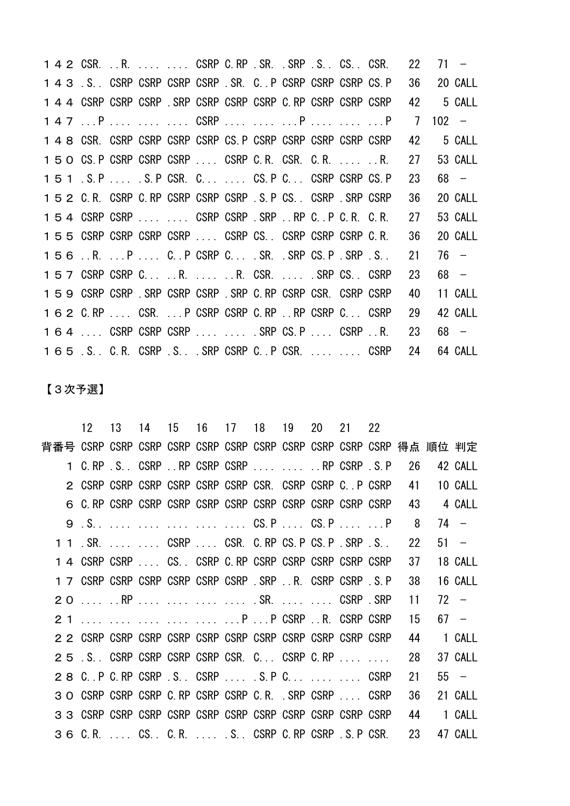CSR. ..R. .... .... CSRP C.RP .SR. .SRP .S.. CS.. CSR. 22 71 − .S.. CSRP CSRP CSRP CSRP .SR. C..P CSRP CSRP CSRP CS.P 36 20 CALL CSRP CSRP CSRP .SRP CSRP CSRP CSRP C.RP CSRP CSRP CSRP 42 5 CALL 147 ...P .... .... .... CSRP .... .... ...P .... ......P 7 102 − CSR. CSRP CSRP CSRP CSRP CS.P CSRP CSRP CSRP CSRP CSRP 42 5 CALL CS.P CSRP CSRP CSRP .... CSRP C.R. CSR. C.R. .... ..R. 27 53 CALL .S.P .... .S.P CSR. C... .... CS.P C... CSRP CSRP CS.P 23 68 − C.R. CSRP C.RP CSRP CSRP CSRP .S.P CS.. CSRP .SRP CSRP 36 20 CALL CSRP CSRP .... .... CSRP CSRP .SRP ..RP C..P C.R. C.R. 27 53 CALL CSRP CSRP CSRP CSRP .... CSRP CS.. CSRP CSRP CSRP C.R. 36 20 CALL ..R. ...P .... C..P CSRP C... .SR. .SRP CS.P .SRP .S.. 21 76 − CSRP CSRP C... ..R. .... ..R. CSR. .... .SRP CS.. CSRP 23 68 − CSRP CSRP .SRP CSRP CSRP .SRP C.RP CSRP CSR. CSRP CSRP 40 11 CALL C.RP .... CSR. ...P CSRP CSRP C.RP ..RP CSRP C... CSRP 29 42 CALL .... CSRP CSRP CSRP .... .... .SRP CS.P .... CSRP ..R. 23 68 − .S.. C.R. CSRP .S.. .SRP CSRP C..P CSR. .... .... CSRP 24 64 CALL

【3次予選】

|                                                             | 12 13 14 15 16 17 18 19 20 21 22 |  |  |  |  |      |         |
|-------------------------------------------------------------|----------------------------------|--|--|--|--|------|---------|
|                                                             |                                  |  |  |  |  |      |         |
| 1 C.RP S. CSRP . RP CSRP CSRP   RP CSRP S.P 26              |                                  |  |  |  |  |      | 42 CALL |
| 2 CSRP CSRP CSRP CSRP CSRP CSRP CSR. CSRP CSRP C. P CSRP    |                                  |  |  |  |  | - 41 | 10 CALL |
|                                                             |                                  |  |  |  |  | - 43 | 4 CALL  |
|                                                             |                                  |  |  |  |  | - 8  | $74 -$  |
| 1 1 . SR.   CSRP  CSR. C. RP CS. P CS. P . SRP . S          |                                  |  |  |  |  | 22   | $51 -$  |
|                                                             |                                  |  |  |  |  | 37   | 18 CALL |
| 1 7 CSRP CSRP CSRP CSRP CSRP CSRP . SRP R. CSRP CSRP . S. P |                                  |  |  |  |  | 38   | 16 CALL |
|                                                             |                                  |  |  |  |  | 11   | $72 -$  |
| 2 1      P P CSRP R. CSRP CSRP                              |                                  |  |  |  |  | 15   | $67 -$  |
|                                                             |                                  |  |  |  |  | 44   | 1 CALL  |
| 25 S.C. CSRP CSRP CSRP CSRP CSR. C CSRP C.RP                |                                  |  |  |  |  | 28   | 37 CALL |
| 2 8 C. P C. RP CSRP . S. CSRP S. P C. CSRP                  |                                  |  |  |  |  | 21   | $55 -$  |
| 3 O CSRP CSRP CSRP C RP CSRP CSRP C R. SRP CSRP  CSRP       |                                  |  |  |  |  | 36   | 21 CALL |
|                                                             |                                  |  |  |  |  | -44  | 1 CALL  |
| 3 6 C.R.  CS. C.R.  .S. CSRP C.RP CSRP .S.P CSR. 23         |                                  |  |  |  |  |      | 47 CALL |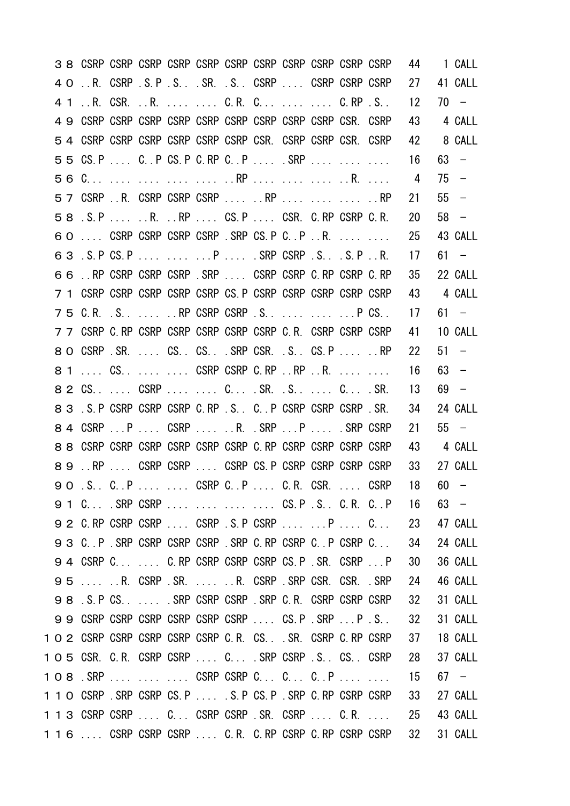|    |                                                              |  |  |  |  |                                        | 44              | 1 CALL  |
|----|--------------------------------------------------------------|--|--|--|--|----------------------------------------|-----------------|---------|
| 40 | R. CSRP S.P S SR. S. CSRP  CSRP CSRP CSRP                    |  |  |  |  |                                        | 27              | 41 CALL |
|    |                                                              |  |  |  |  |                                        | 12 <sup>2</sup> | $70 -$  |
|    |                                                              |  |  |  |  |                                        | 43              | 4 CALL  |
|    | 5 4 CSRP CSRP CSRP CSRP CSRP CSRP CSR. CSRP CSRP CSR. CSRP   |  |  |  |  |                                        | 42              | 8 CALL  |
|    | 55 CS.P  C. P CS.P C. RP C. .P  . SRP                        |  |  |  |  |                                        | 16              | $63 -$  |
|    |                                                              |  |  |  |  |                                        | 4               | $75 -$  |
|    | 57 CSRP  R. CSRP CSRP CSRP   RP    RP                        |  |  |  |  |                                        | 21              | $55 -$  |
|    | 58 . S. P R. RP CS. P CSR. C. RP CSRP C. R.                  |  |  |  |  |                                        | 20              | $58 -$  |
|    | 60  CSRP CSRP CSRP CSRP .SRP CS.P C.P R.                     |  |  |  |  |                                        | 25              | 43 CALL |
|    | 63 . S. P CS. P P SRP CSRP . S. S. P R.                      |  |  |  |  |                                        | 17              | $61 -$  |
|    | 66 . RP CSRP CSRP CSRP SRP CSRP CSRP C RP CSRP C RP          |  |  |  |  |                                        | 35              | 22 CALL |
|    | 7 1 CSRP CSRP CSRP CSRP CSRP CS. P CSRP CSRP CSRP CSRP CSRP  |  |  |  |  |                                        | 43              | 4 CALL  |
|    | 75 C.R. S. RP CSRP CSRP . S. P CS. .                         |  |  |  |  |                                        | 17              | $61 -$  |
|    | 7 7 CSRP C. RP CSRP CSRP CSRP CSRP CSRP C. R. CSRP CSRP CSRP |  |  |  |  |                                        | 41              | 10 CALL |
|    | 8 O CSRP SR.  CS. CS. . SRP CSR. . S. CS. P   RP             |  |  |  |  |                                        | 22              | $51 -$  |
|    | 8 1  CS.   CSRP CSRP C.RP RP R.                              |  |  |  |  |                                        | 16              | $63 -$  |
|    | 8 2 CS. CSRP C. SR. . S. C. SR.                              |  |  |  |  |                                        | 13              | $69 -$  |
|    | 8 3 S. P CSRP CSRP CSRP C. RP . S. C. P CSRP CSRP CSRP . SR. |  |  |  |  |                                        | 34              | 24 CALL |
|    | 8 4 CSRP  P  CSRP   R. . SRP  P  . SRP CSRP                  |  |  |  |  |                                        | 21              | $55 -$  |
|    | 8 8 CSRP CSRP CSRP CSRP CSRP CSRP C. RP CSRP CSRP CSRP CSRP  |  |  |  |  |                                        | 43              | 4 CALL  |
|    | 89 RP  CSRP CSRP  CSRP CS P CSRP CSRP CSRP CSRP CSRP         |  |  |  |  |                                        | 33              | 27 CALL |
|    | 90.S.C.P CSRP C.P C.R.CSRCSRP                                |  |  |  |  |                                        | 18              | $60 -$  |
|    |                                                              |  |  |  |  | 9 1 C SRP CSRP    CS.P .S. C.R. C.P 16 |                 | $63 -$  |
|    | 9 2 C.RP CSRP CSRP  CSRP .S.P CSRP   P  C                    |  |  |  |  |                                        | - 23            | 47 CALL |
|    | 9 3 C. P. SRP CSRP CSRP CSRP SRP C. RP CSRP C. P CSRP C      |  |  |  |  |                                        | 34              | 24 CALL |
|    | 94 CSRP C C.RP CSRP CSRP CSRP CS.P.SR. CSRP  P               |  |  |  |  |                                        | 30              | 36 CALL |
|    | 95  R. CSRP SR.  R. CSRP SRP CSR. CSR. SRP                   |  |  |  |  |                                        | 24              | 46 CALL |
|    | 98 S.P CS.  SRP CSRP CSRP SRP C.R. CSRP CSRP CSRP CSRP       |  |  |  |  |                                        | 32              | 31 CALL |
|    | 99 CSRP CSRP CSRP CSRP CSRP CSRP  CS.P SRP P S.              |  |  |  |  |                                        | 32              | 31 CALL |
|    | 1 O 2 CSRP CSRP CSRP CSRP CSRP C.R. CSSR. CSRP C.RP CSRP     |  |  |  |  |                                        | 37              | 18 CALL |
|    | 1 0 5 CSR. C.R. CSRP CSRP  C SRP CSRP S. CS. CSRP            |  |  |  |  |                                        | - 28            | 37 CALL |
|    | 108.SRP    CSRP CSRP C C CP                                  |  |  |  |  |                                        | - 15            | 67 –    |
|    | 1 1 0 CSRP SRP CSRP CS. P  S. P CS. P SRP C. RP CSRP CSRP    |  |  |  |  |                                        | 33              | 27 CALL |
|    | 1 1 3 CSRP CSRP  C CSRP CSRP .SR. CSRP  C.R.                 |  |  |  |  |                                        | - 25            | 43 CALL |
|    |                                                              |  |  |  |  |                                        |                 |         |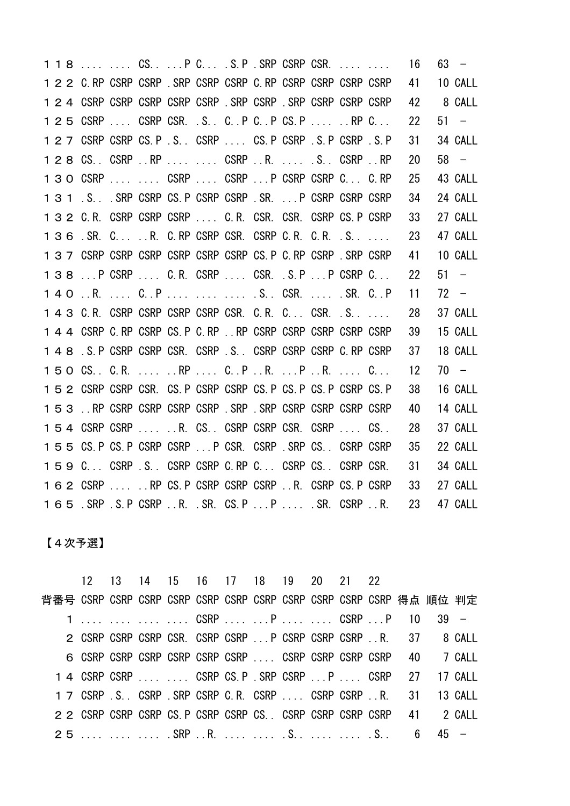|  |                                                                   |  |  |  |  | 1 1 8   CS P C .S.P .SRP CSRP CSR. | - 16 | $63 -$  |
|--|-------------------------------------------------------------------|--|--|--|--|------------------------------------|------|---------|
|  | 1 2 2 C. RP CSRP CSRP . SRP CSRP CSRP C. RP CSRP CSRP CSRP CSRP   |  |  |  |  |                                    | 41   | 10 CALL |
|  | 1 2 4 CSRP CSRP CSRP CSRP CSRP . SRP CSRP . SRP CSRP CSRP CSRP    |  |  |  |  |                                    | 42   | 8 CALL  |
|  | 1 2 5 CSRP  CSRP CSR. .S CP CP CS.P  RP C                         |  |  |  |  |                                    | 22   | $51 -$  |
|  | 1 2 7 CSRP CSRP CS. P . S. . CSRP CS. P CSRP . S. P CSRP . S. P   |  |  |  |  |                                    | 31   | 34 CALL |
|  | 1 2 8 CS. CSRP RP   CSRP R.  S. CSRP RP                           |  |  |  |  |                                    | 20   | $58 -$  |
|  | 1 3 O CSRP   CSRP  CSRP P CSRP CSRP C C.RP                        |  |  |  |  |                                    | 25   | 43 CALL |
|  | 1 3 1 .S. SRP CSRP CS. P CSRP CSRP . SR. P CSRP CSRP CSRP         |  |  |  |  |                                    | 34   | 24 CALL |
|  | 1 3 2 C.R. CSRP CSRP CSRP  C.R. CSR. CSR. CSRP CS.P CSRP          |  |  |  |  |                                    | 33   | 27 CALL |
|  | 136 SR. C R. C.RP CSRP CSR. CSRP C.R. C.R. S                      |  |  |  |  |                                    | 23   | 47 CALL |
|  | 1 3 7 CSRP CSRP CSRP CSRP CSRP CSRP CS. P C. RP CSRP . SRP CSRP   |  |  |  |  |                                    | 41   | 10 CALL |
|  | 138  P CSRP  C.R. CSRP  CSR. S.P  P CSRP C                        |  |  |  |  |                                    | 22   | $51 -$  |
|  |                                                                   |  |  |  |  |                                    |      |         |
|  | 140.R.  C. P   .S CSR.  . SR. C. P                                |  |  |  |  |                                    | 11   | $72 -$  |
|  | 1 4 3 C.R. CSRP CSRP CSRP CSRP CSR. C.R. C CSR. S                 |  |  |  |  |                                    | 28   | 37 CALL |
|  | 1 4 4 CSRP C RP CSRP CS P C RP . RP CSRP CSRP CSRP CSRP CSRP      |  |  |  |  |                                    | 39   | 15 CALL |
|  | 1 4 8 S. P CSRP CSRP CSR. CSRP S CSRP CSRP CSRP C. RP CSRP        |  |  |  |  |                                    | 37   | 18 CALL |
|  | 150 CS. C.R.  RP  C.P.R. P.R.  C                                  |  |  |  |  |                                    | 12   | $70 -$  |
|  | 1 5 2 CSRP CSRP CSR. CS. P CSRP CSRP CS. P CS. P CS. P CSRP CS. P |  |  |  |  |                                    | 38   | 16 CALL |
|  |                                                                   |  |  |  |  |                                    | 40   | 14 CALL |
|  | 154 CSRP CSRP  R. CS. CSRP CSRP CSR. CSRP  CS.                    |  |  |  |  |                                    | 28   | 37 CALL |
|  | 155 CS. P CS. P CSRP CSRP  P CSR. CSRP . SRP CS. CSRP CSRP        |  |  |  |  |                                    | 35   | 22 CALL |
|  | 159 C CSRP S CSRP CSRP C.RP C CSRP CS CSRP CSR.                   |  |  |  |  |                                    | 31   | 34 CALL |
|  | 162 CSRP  RP CS.P CSRP CSRP CSRP R. CSRP CS.P CSRP                |  |  |  |  |                                    | 33   | 27 CALL |

【4次予選】

 12 13 14 15 16 17 18 19 20 21 22 背番号 CSRP CSRP CSRP CSRP CSRP CSRP CSRP CSRP CSRP CSRP CSRP 得点 順位 判定 1 .... .... .... .... CSRP .... ...P .... .... CSRP ...P 10 39 − CSRP CSRP CSRP CSR. CSRP CSRP ...P CSRP CSRP CSRP ..R. 37 8 CALL CSRP CSRP CSRP CSRP CSRP CSRP .... CSRP CSRP CSRP CSRP 40 7 CALL CSRP CSRP .... .... CSRP CS.P .SRP CSRP ...P .... CSRP 27 17 CALL CSRP .S.. CSRP .SRP CSRP C.R. CSRP .... CSRP CSRP ..R. 31 13 CALL CSRP CSRP CSRP CS.P CSRP CSRP CS.. CSRP CSRP CSRP CSRP 41 2 CALL .... .... .... .SRP ..R. .... .... .S.. .... .... .S.. 6 45 −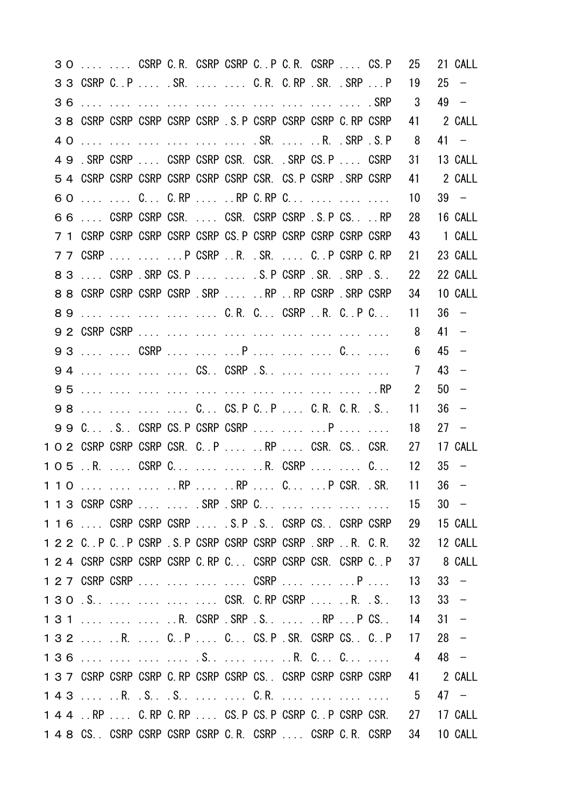|  |  |  |  |  |                                                                   |                                                   | 3 O   CSRP C.R. CSRP CSRP C.P C.R. CSRP  CS.P 25 | 21 CALL   |
|--|--|--|--|--|-------------------------------------------------------------------|---------------------------------------------------|--------------------------------------------------|-----------|
|  |  |  |  |  | 3 3 CSRP C. P  SR.   C.R. C.RP SR. SRP  P                         |                                                   | 19                                               | $25 -$    |
|  |  |  |  |  |                                                                   |                                                   | 3                                                | 49 –      |
|  |  |  |  |  | 3 8 CSRP CSRP CSRP CSRP CSRP . S. P CSRP CSRP CSRP C. RP CSRP     |                                                   |                                                  | 41 2 CALL |
|  |  |  |  |  | 40       .SR.  R. .SRP .S.P                                       |                                                   | 8 <sup>8</sup>                                   | $41 -$    |
|  |  |  |  |  | 49 SRP CSRP  CSRP CSRP CSR CSR CSR SRP CS.P  CSRP                 |                                                   | 31                                               | 13 CALL   |
|  |  |  |  |  | 5 4 CSRP CSRP CSRP CSRP CSRP CSRP CSRP CSR. CS. P CSRP . SRP CSRP |                                                   | 41                                               | 2 CALL    |
|  |  |  |  |  |                                                                   |                                                   | 10                                               | $39 -$    |
|  |  |  |  |  | 66  CSRP CSRP CSR.  CSR. CSRP CSRP .S. P CS.  RP                  |                                                   | 28                                               | 16 CALL   |
|  |  |  |  |  | 7 1 CSRP CSRP CSRP CSRP CSRP CS. P CSRP CSRP CSRP CSRP CSRP       |                                                   | 43                                               | 1 CALL    |
|  |  |  |  |  | 7 7 CSRP    P CSRP R. .SR.  C. P CSRP C.RP                        |                                                   | 21                                               | 23 CALL   |
|  |  |  |  |  | 83  CSRP SRP CS.P   S.P CSRP SR. SRP S.                           |                                                   | 22                                               | 22 CALL   |
|  |  |  |  |  | 8 8 CSRP CSRP CSRP CSRP .SRP  RP RP CSRP .SRP CSRP                |                                                   | 34                                               | 10 CALL   |
|  |  |  |  |  | 89      C.R. C CSRP R. C. P C                                     |                                                   | 11                                               | $36 -$    |
|  |  |  |  |  |                                                                   |                                                   | 8                                                | $41 -$    |
|  |  |  |  |  | 93   CSRP   P    C                                                |                                                   | 6                                                | $45 -$    |
|  |  |  |  |  | 94     CS CSRP .S                                                 |                                                   | 7                                                | $43 -$    |
|  |  |  |  |  |                                                                   |                                                   | $\mathbf{2}^{\prime}$                            | $50 -$    |
|  |  |  |  |  | 98     C CS.P CP  C.R. C.R. .S                                    |                                                   | 11                                               | $36 -$    |
|  |  |  |  |  |                                                                   | 99 C S CSRP CS.P CSRP CSRP   P                    | 18                                               | $27 -$    |
|  |  |  |  |  |                                                                   | 1 O 2 CSRP CSRP CSRP CSR. C. P  RP  CSR. CS. CSR. | 27                                               | 17 CALL   |
|  |  |  |  |  |                                                                   | 105 R.  CSRP C   R. CSRP   C                      | 12                                               | $35 -$    |
|  |  |  |  |  |                                                                   |                                                   | 1 1 0    RP  RP  C P CSR. .SR. 11 36 -           |           |
|  |  |  |  |  | 1 1 3 CSRP CSRP   .SRP .SRP C                                     |                                                   | 15                                               | $30 -$    |
|  |  |  |  |  | 1 1 6  CSRP CSRP CSRP  S.P .S. CSRP CS. CSRP CSRP CSRP            |                                                   | 29                                               | 15 CALL   |
|  |  |  |  |  | 1 2 2 C. P C. P CSRP S. P CSRP CSRP CSRP CSRP SRP . R. C.R.       |                                                   | 32                                               | 12 CALL   |
|  |  |  |  |  | 1 2 4 CSRP CSRP CSRP CSRP C.RP C CSRP CSRP CSR. CSRP C.P          |                                                   | 37                                               | 8 CALL    |
|  |  |  |  |  | 1 2 7 CSRP CSRP     CSRP    P                                     |                                                   | 13                                               | $33 -$    |
|  |  |  |  |  | 130 S. CSR. C. RP CSRP R. . S. .                                  |                                                   | 13                                               | $33 -$    |
|  |  |  |  |  | 131    R. CSRP SRP S  RP P CS                                     |                                                   | 14                                               | $31 -$    |
|  |  |  |  |  | 132  R.  C. P  C. C. CS. P . SR. CSRP CS. C. P                    |                                                   | 17                                               | $28 -$    |
|  |  |  |  |  |                                                                   |                                                   | 4                                                | $48 -$    |
|  |  |  |  |  | 1 3 7 CSRP CSRP CSRP C. RP CSRP CSRP CS. CSRP CSRP CSRP CSRP CSRP |                                                   | 41                                               | 2 CALL    |
|  |  |  |  |  |                                                                   |                                                   | 5                                                | $47 -$    |
|  |  |  |  |  | 1 4 4  RP  C. RP C. RP  CS. P CS. P CSRP C. P CSRP CSR.           |                                                   | 27                                               | 17 CALL   |
|  |  |  |  |  | 1 4 8 CS. CSRP CSRP CSRP CSRP C.R. CSRP  CSRP C.R. CSRP           |                                                   | 34                                               | 10 CALL   |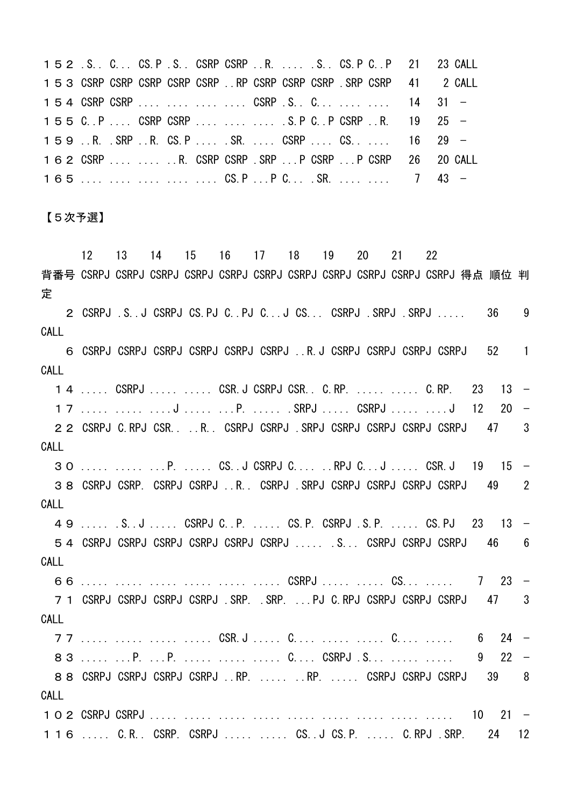|  |  |  |  |  |  |  | 152 .S. C CS.P .S. CSRP CSRP .R.  .S. CS.P C.P 21 23 CALL            |  |
|--|--|--|--|--|--|--|----------------------------------------------------------------------|--|
|  |  |  |  |  |  |  | 153 CSRP CSRP CSRP CSRP CSRP  RP CSRP CSRP CSRP . SRP CSRP 41 2 CALL |  |
|  |  |  |  |  |  |  | 154 CSRP CSRP    CSRP .S. C   14 31 -                                |  |
|  |  |  |  |  |  |  | 155 C.P CSRP CSRP    S.P C.P CSRP R. 19 25 -                         |  |
|  |  |  |  |  |  |  | 159.R.SRP.R.CS.PSRCSRPCS 16 29 -                                     |  |
|  |  |  |  |  |  |  | 162 CSRP   R. CSRP CSRP .SRP  P CSRP  P CSRP 26 20 CALL              |  |
|  |  |  |  |  |  |  | $165$ CS.P P C SR.   7 43 -                                          |  |

## 【5次予選】

 12 13 14 15 16 17 18 19 20 21 22 背番号 CSRPJ CSRPJ CSRPJ CSRPJ CSRPJ CSRPJ CSRPJ CSRPJ CSRPJ CSRPJ CSRPJ 得点 順位 判 定 2 CSRPJ .S..J CSRPJ CS.PJ C..PJ C...J CS... CSRPJ .SRPJ .SRPJ ..... 36 9 CALL 6 CSRPJ CSRPJ CSRPJ CSRPJ CSRPJ CSRPJ ..R.J CSRPJ CSRPJ CSRPJ CSRPJ 52 1 CALL 1 4 ..... CSRPJ ..... ..... CSR.J CSRPJ CSR.. C.RP. ..... ..... C.RP. 23 13 − 17 ..... ..... ....J ..... ...P. ..... .SRPJ ..... CSRPJ ..... ....J 12 20 − 22 CSRPJ C.RPJ CSR.. ..R.. CSRPJ CSRPJ .SRPJ CSRPJ CSRPJ CSRPJ CSRPJ 47 3 CALL 30 ..... ..... ...P. ..... CS..J CSRPJ C.... ..RPJ C...J ..... CSR.J 19 15 − 38 CSRPJ CSRP. CSRPJ CSRPJ ..R.. CSRPJ .SRPJ CSRPJ CSRPJ CSRPJ CSRPJ 49 2 CALL 49 ..... .S..J ..... CSRPJ C..P. ..... CS.P. CSRPJ .S.P. ..... CS.PJ 23 13 − 54 CSRPJ CSRPJ CSRPJ CSRPJ CSRPJ CSRPJ ..... .S... CSRPJ CSRPJ CSRPJ 46 6 CALL 66 ..... ..... ..... ..... ..... ..... CSRPJ ..... ..... CS... ..... 7 23 − 7 1 CSRPJ CSRPJ CSRPJ CSRPJ . SRP. . . SRP. . . . PJ C. RPJ CSRPJ CSRPJ CSRPJ 47 3 CALL 77 ..... ..... ..... ..... CSR.J ..... C.... ..... ..... C.... ..... 6 24 − 83 ..... ...P. ...P. ..... ..... ..... C.... CSRPJ .S... ..... ..... 9 22 − 88 CSRPJ CSRPJ CSRPJ CSRPJ ..RP. ..... ..RP. ..... CSRPJ CSRPJ CSRPJ 39 8 CALL 102 CSRPJ CSRPJ ..... ..... ..... ..... ..... ..... ..... ..... ..... 10 21 − 116 ..... C.R.. CSRP. CSRPJ ..... ..... CS..J CS.P. ..... C.RPJ .SRP. 24 12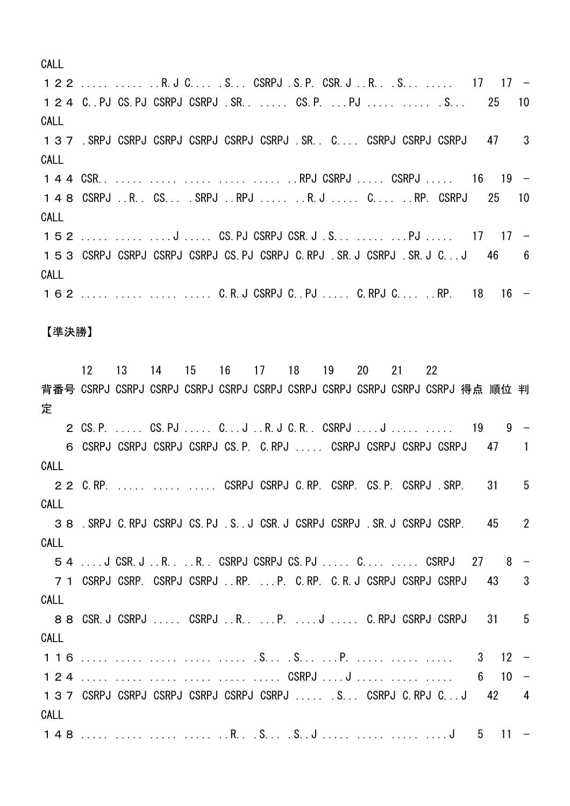CALL

122 ..... ..... ..R.J C.... .S... CSRPJ .S.P. CSR.J ..R.. .S... ..... 17 17 − 124 C..PJ CS.PJ CSRPJ CSRPJ .SR.. ..... CS.P. ...PJ ..... ..... .S... 25 10 CALL 137 .SRPJ CSRPJ CSRPJ CSRPJ CSRPJ CSRPJ .SR.. C.... CSRPJ CSRPJ CSRPJ 47 3 CALL 144 CSR.. ..... ..... ..... ..... ..... ..RPJ CSRPJ ..... CSRPJ ..... 16 19 − 148 CSRPJ ..R.. CS... .SRPJ ..RPJ ..... ..R.J ..... C.... ..RP. CSRPJ 25 10 CALL 152 ..... ..... ....J ..... CS.PJ CSRPJ CSR.J .S... ..... ...PJ ..... 17 17 − 153 CSRPJ CSRPJ CSRPJ CSRPJ CS.PJ CSRPJ C.RPJ .SR.J CSRPJ .SR.J C...J 46 6 CALL 162 ..... ..... ..... ..... C.R.J CSRPJ C..PJ ..... C.RPJ C.... ..RP. 18 16 − 【準決勝】 12 13 14 15 16 17 18 19 20 21 22

背番号 CSRPJ CSRPJ CSRPJ CSRPJ CSRPJ CSRPJ CSRPJ CSRPJ CSRPJ CSRPJ CSRPJ 得点 順位 判 定 2 CS.P. ..... CS.PJ ..... C...J ..R.J C.R.. CSRPJ ....J ..... ..... 19 9 − 6 CSRPJ CSRPJ CSRPJ CSRPJ CS.P. C.RPJ ..... CSRPJ CSRPJ CSRPJ CSRPJ 47 1 CALL 22 C.RP. ..... ..... ..... CSRPJ CSRPJ C.RP. CSRP. CS.P. CSRPJ .SRP. 31 5 CALL 38 .SRPJ C.RPJ CSRPJ CS.PJ .S..J CSR.J CSRPJ CSRPJ .SR.J CSRPJ CSRP. 45 2 CALL 54 ....J CSR.J ..R.. ..R.. CSRPJ CSRPJ CS.PJ ..... C.... ..... CSRPJ 27 8 − 71 CSRPJ CSRP. CSRPJ CSRPJ ..RP. ...P. C.RP. C.R.J CSRPJ CSRPJ CSRPJ 43 3 CALL 88 CSR.J CSRPJ ..... CSRPJ ..R.. ...P. ....J ..... C.RPJ CSRPJ CSRPJ 31 5 CALL 116 ..... ..... ..... ..... ..... .S... .S... ...P. ..... ..... ..... 3 12 − 124 ..... ..... ..... ..... ..... ..... CSRPJ ....J ..... ...... ..... 6 10 137 CSRPJ CSRPJ CSRPJ CSRPJ CSRPJ CSRPJ ..... .S... CSRPJ C.RPJ C...J 42 4 CALL 148 ..... ..... ..... ..... ..R.. .S... .S..J ..... ..... ........J 5 11 −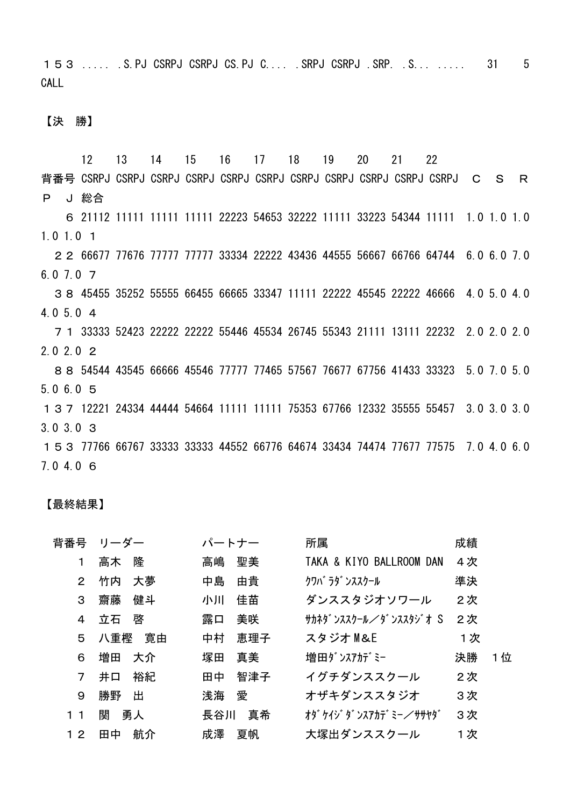153 ..... .S.PJ CSRPJ CSRPJ CS.PJ C.... .SRPJ CSRPJ .SRP. .S... ..... 31 5 CALL

【決 勝】

 12 13 14 15 16 17 18 19 20 21 22 背番号 CSRPJ CSRPJ CSRPJ CSRPJ CSRPJ CSRPJ CSRPJ CSRPJ CSRPJ CSRPJ CSRPJ C S R P J 総合 6 21112 11111 11111 11111 22223 54653 32222 11111 33223 54344 11111 1.0 1.0 1.0 1.0 1.0 1 22 66677 77676 77777 77777 33334 22222 43436 44555 56667 66766 64744 6.0 6.0 7.0 6.0 7.0 7 38 45455 35252 55555 66455 66665 33347 11111 22222 45545 22222 46666 4.0 5.0 4.0 4.0 5.0 4 71 33333 52423 22222 22222 55446 45534 26745 55343 21111 13111 22232 2.0 2.0 2.0 2.0 2.0 2 88 54544 43545 66666 45546 77777 77465 57567 76677 67756 41433 33323 5.0 7.0 5.0 5.0 6.0 5 137 12221 24334 44444 54664 11111 11111 75353 67766 12332 35555 55457 3.0 3.0 3.0 3.0 3.0 3 153 77766 66767 33333 33333 44552 66776 64674 33434 74474 77677 77575 7.0 4.0 6.0 7.0 4.0 6

## 【最終結果】

| 背番号            | リーダー      | パートナー     | 所属                       | 成績        |
|----------------|-----------|-----------|--------------------------|-----------|
| 1              | 隆<br>高木   | 聖美<br>高嶋  | TAKA & KIYO BALLROOM DAN | 4次        |
| 2              | 大夢<br>竹内  | 中島<br>由貴  | クワバ ラダ ンススクール            | 準決        |
| 3              | 齌藤<br>健斗  | 佳苗<br>小川  | ダンススタジオソワール              | 2次        |
| 4              | 啓<br>立石   | 露口<br>美咲  | サカネタ゛ンススクール/ダ゛ンススタジ゛オ S  | 2次        |
| 5              | 寛由<br>八重樫 | 中村<br>恵理子 | スタジオ M&E                 | 1次        |
| 6              | 増田<br>大介  | 真美<br>塚田  | 増田ダンスアカデミー               | 決勝<br>1 位 |
| $\overline{7}$ | 裕紀<br>井口  | 智津子<br>田中 | イグチダンススクール               | 2次        |
| 9              | 勝野<br>出   | 浅海<br>愛   | オザキダンススタジオ               | 3次        |
| 1 <sub>1</sub> | 関<br>勇人   | 真希<br>長谷川 | オタ゛ケイジ゛タ゛ンスアカテ゛ミー/ササヤタ゛  | 3次        |
| 12             | 航介<br>田中  | 成澤<br>夏帆  | 大塚出ダンススクール               | 1次        |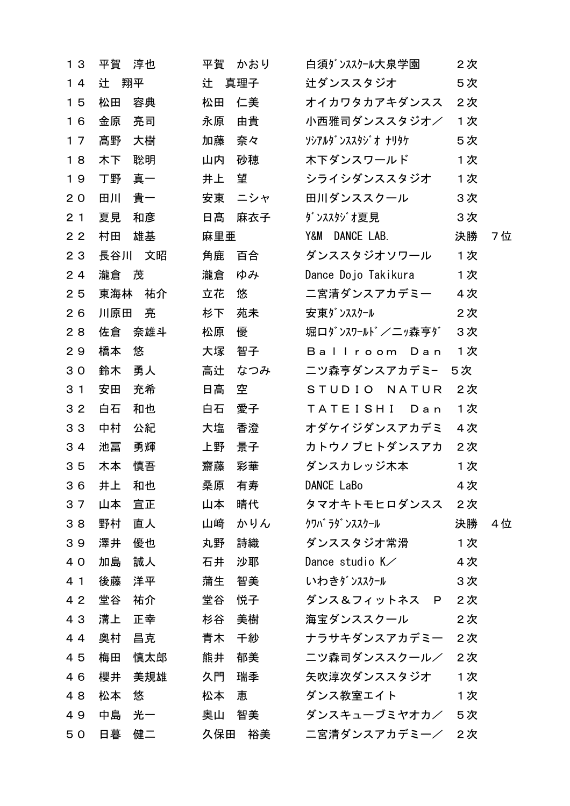| 13             | 平賀   | 淳也  | 平賀    | かおり | 白須ダンススクール大泉学園            | 2次 |    |
|----------------|------|-----|-------|-----|--------------------------|----|----|
| 14             | 辻    | 翔平  | 辻 真理子 |     | 辻ダンススタジオ                 | 5次 |    |
| 15             | 松田   | 容典  | 松田    | 仁美  | オイカワタカアキダンスス             | 2次 |    |
| 16             | 金原   | 亮司  | 永原    | 由貴  | 小西雅司ダンススタジオ/             | 1次 |    |
| 17             | 髙野   | 大樹  | 加藤    | 奈々  | ソシアルタ゛ンススタシ゛オ ナリタケ       | 5次 |    |
| 18             | 木下   | 聡明  | 山内    | 砂穂  | 木下ダンスワールド                | 1次 |    |
| 19             | 丁野   | 真一  | 井上    | 望   | シライシダンススタジオ              | 1次 |    |
| 20             | 田川   | 貴一  | 安東    | ニシャ | 田川ダンススクール                | 3次 |    |
| 2 <sub>1</sub> | 夏見   | 和彦  | 日髙    | 麻衣子 | ダンススタジオ夏見                | 3次 |    |
| 2 <sub>2</sub> | 村田   | 雄基  | 麻里亜   |     | Y&M DANCE LAB.           | 決勝 | 7位 |
| 23             | 長谷川  | 文昭  | 角鹿    | 百合  | ダンススタジオソワール              | 1次 |    |
| 24             | 瀧倉 茂 |     | 瀧倉    | ゆみ  | Dance Dojo Takikura      | 1次 |    |
| 25             | 東海林  | 祐介  | 立花    | 悠   | 二宮清ダンスアカデミー              | 4次 |    |
| 26             | 川原田  | 亮   | 杉下    | 苑未  | 安東ダンススクール                | 2次 |    |
| 28             | 佐倉   | 奈雄斗 | 松原    | 優   | 堀口ダンスワールド/二ッ森亨ダ          | 3次 |    |
| 29             | 橋本   | 悠   | 大塚    | 智子  | Ballroom Dan             | 1次 |    |
| 30             | 鈴木   | 勇人  | 高辻    | なつみ | ニツ森亨ダンスアカデミ−             | 5次 |    |
| 3 <sub>1</sub> | 安田   | 充希  | 日高    | 空   | STUDIO NATUR             | 2次 |    |
| 32             | 白石   | 和也  | 白石    | 愛子  | TATEISHI<br>Dan          | 1次 |    |
| 33             | 中村   | 公紀  | 大塩    | 香澄  | オダケイジダンスアカデミ             | 4次 |    |
| 34             | 池冨   | 勇輝  | 上野    | 景子  | カトウノブヒトダンスアカ             | 2次 |    |
| 35             | 木本   | 慎吾  | 齌藤    | 彩華  | ダンスカレッジ木本                | 1次 |    |
| 36             | 井上   | 和也  | 桑原    | 有寿  | DANCE LaBo               | 4次 |    |
| 37             | 山本   | 宣正  | 山本    | 晴代  | タマオキトモヒロダンスス             | 2次 |    |
| 38             | 野村   | 直人  | 山﨑    | かりん | クワバ ラダ ンススクール            | 決勝 | 4位 |
| 39             | 澤井   | 優也  | 丸野    | 詩織  | ダンススタジオ常滑                | 1次 |    |
| 40             | 加島   | 誠人  | 石井    | 沙耶  | Dance studio $K \diagup$ | 4次 |    |
| 4 1            | 後藤   | 洋平  | 蒲生    | 智美  | いわきダンススクール               | 3次 |    |
| 42             | 堂谷   | 祐介  | 堂谷    | 悦子  | ダンス&フィットネス P             | 2次 |    |
| 43             | 溝上   | 正幸  | 杉谷    | 美樹  | 海宝ダンススクール                | 2次 |    |
| 44             | 奥村   | 昌克  | 青木    | 千紗  | ナラサキダンスアカデミー             | 2次 |    |
| 45             | 梅田   | 慎太郎 | 熊井    | 郁美  | ニツ森司ダンススクール/             | 2次 |    |
| 46             | 櫻井   | 美規雄 | 久門    | 瑞季  | 矢吹淳次ダンススタジオ              | 1次 |    |
| 48             | 松本   | 悠   | 松本    | 恵   | ダンス教室エイト                 | 1次 |    |
| 49             | 中島   | 光一  | 奥山    | 智美  | ダンスキューブミヤオカ/             | 5次 |    |
| 50             | 日暮   | 健二  | 久保田   | 裕美  | 二宮清ダンスアカデミー/             | 2次 |    |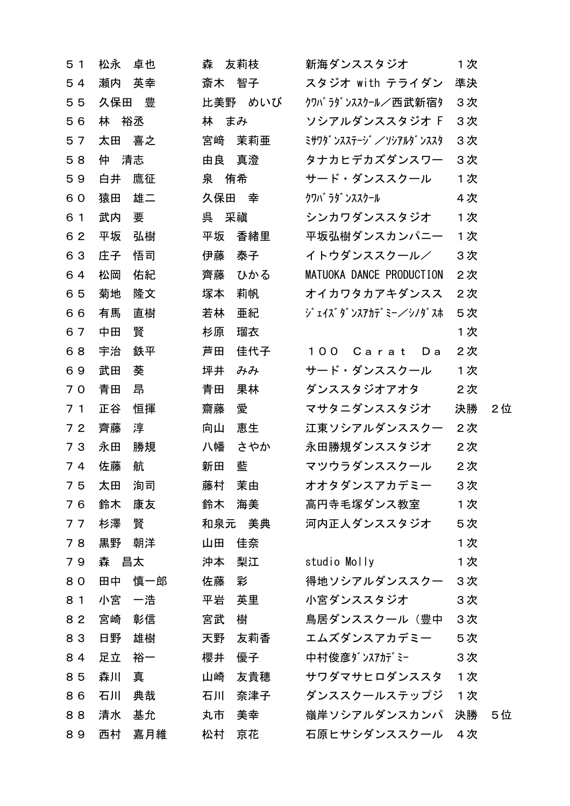| 5 <sub>1</sub> | 松永   | 卓也  | 森   | 友莉枝     | 新海ダンススタジオ                | 1次 |     |
|----------------|------|-----|-----|---------|--------------------------|----|-----|
| 54             | 瀬内   | 英幸  | 斎木  | 智子      | スタジオ with テライダン          | 準決 |     |
| 55             | 久保田  | 豊   |     | 比美野 めいび | クワバラダンススクール/西武新宿タ        | 3次 |     |
| 56             | 林    | 裕丞  | 林   | まみ      | ソシアルダンススタジオ F            | 3次 |     |
| 57             | 太田   | 喜之  | 宮﨑  | 茉莉亜     | ミサワタ゛ンスステージ゛/ソシアルタ゛ンススタ  | 3次 |     |
| 58             | 仲    | 清志  | 由良  | 真澄      | タナカヒデカズダンスワー             | 3次 |     |
| 59             | 白井   | 鷹征  | 泉   | 侑希      | サード・ダンススクール              | 1次 |     |
| 60             | 猿田   | 雄二  | 久保田 | 幸       | クワバ ラダ ンススクール            | 4次 |     |
| 6 1            | 武内   | 要   | 呉   | 采禛      | シンカワダンススタジオ              | 1次 |     |
| 62             | 平坂   | 弘樹  | 平坂  | 香緒里     | 平坂弘樹ダンスカンパニー             | 1次 |     |
| 63             | 庄子   | 悟司  | 伊藤  | 泰子      | イトウダンススクール/              | 3次 |     |
| 64             | 松岡   | 佑紀  | 齊藤  | ひかる     | MATUOKA DANCE PRODUCTION | 2次 |     |
| 65             | 菊地   | 隆文  | 塚本  | 莉帆      | オイカワタカアキダンスス             | 2次 |     |
| 66             | 有馬   | 直樹  | 若林  | 亜紀      | ジェイズダンスアカデミー/シノダスホ       | 5次 |     |
| 67             | 中田   | 賢   | 杉原  | 瑠衣      |                          | 1次 |     |
| 68             | 宇治   | 鉄平  | 芦田  | 佳代子     | 100 Carat<br>D a         | 2次 |     |
| 69             | 武田   | 葵   | 坪井  | みみ      | サード・ダンススクール              | 1次 |     |
| 70             | 青田   | 昂   | 青田  | 果林      | ダンススタジオアオタ               | 2次 |     |
| 7 <sub>1</sub> | 正谷   | 恒揮  | 齌藤  | 愛       | マサタニダンススタジオ              | 決勝 | 2位  |
| 72             | 齊藤   | 淳   | 向山  | 恵生      | 江東ソシアルダンススクー             | 2次 |     |
| 73             | 永田   | 勝規  | 八幡  | さやか     | 永田勝規ダンススタジオ              | 2次 |     |
| 74             | 佐藤   | 航   | 新田  | 藍       | マツウラダンススクール              | 2次 |     |
| 75             | 太田   | 洵司  | 藤村  | 茉由      | オオタダンスアカデミー              | 3次 |     |
| 76             | 鈴木   | 康友  | 鈴木  | 海美      | 高円寺毛塚ダンス教室               | 1次 |     |
| 77             | 杉澤   | 賢   | 和泉元 | 美典      | 河内正人ダンススタジオ              | 5次 |     |
| 78             | 黒野   | 朝洋  | 山田  | 佳奈      |                          | 1次 |     |
| 79             | 森 昌太 |     | 沖本  | 梨江      | studio Molly             | 1次 |     |
| 80             | 田中   | 慎一郎 | 佐藤  | 彩       | 得地ソシアルダンススクー             | 3次 |     |
| 8 1            | 小宮   | 一浩  | 平岩  | 英里      | 小宮ダンススタジオ                | 3次 |     |
| 82             | 宮崎   | 彰信  | 宮武  | 樹       | 鳥居ダンススクール(豊中             | 3次 |     |
| 83             | 日野   | 雄樹  | 天野  | 友莉香     | エムズダンスアカデミー              | 5次 |     |
| 84             | 足立   | 裕一  | 櫻井  | 優子      | 中村俊彦ダンスアカデミー             | 3次 |     |
| 85             | 森川   | 真   | 山崎  | 友貴穂     | サワダマサヒロダンススタ             | 1次 |     |
| 86             | 石川   | 典哉  | 石川  | 奈津子     | ダンススクールステップジ             | 1次 |     |
| 88             | 清水   | 基允  | 丸市  | 美幸      | 嶺岸ソシアルダンスカンパ             | 決勝 | 5 位 |
| 89             | 西村   | 嘉月維 | 松村  | 京花      | 石原ヒサシダンススクール             | 4次 |     |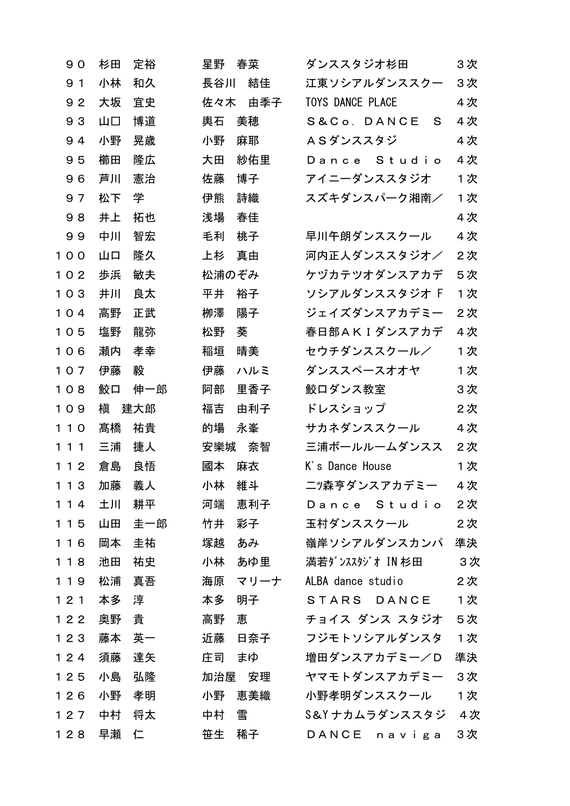| 90    | 杉田 | 定裕  | 星野    | 春菜     | ダンススタジオ杉田               | 3次  |
|-------|----|-----|-------|--------|-------------------------|-----|
| 9 1   | 小林 | 和久  | 長谷川   | 結佳     | 江東ソシアルダンススクー            | 3次  |
| 92    | 大坂 | 宜史  | 佐々木   | 由季子    | <b>TOYS DANCE PLACE</b> | 4次  |
| 93    | 山口 | 博道  | 輿石    | 美穂     | S&Co. DANCE<br>S.       | 4次  |
| 94    | 小野 | 晃歳  | 小野    | 麻耶     | ASダンススタジ                | 4次  |
| 95    | 櫛田 | 隆広  | 大田    | 紗佑里    | Dance Studio            | 4次  |
| 96    | 芦川 | 憲治  | 佐藤    | 博子     | アイニーダンススタジオ             | 1次  |
| 97    | 松下 | 学   | 伊熊    | 詩織     | スズキダンスパーク湘南/            | 1次  |
| 98    | 井上 | 拓也  | 浅場    | 春佳     |                         | 4次  |
| 99    | 中川 | 智宏  | 毛利    | 桃子     | 早川午朗ダンススクール             | 4 次 |
| 100   | 山口 | 隆久  | 上杉    | 真由     | 河内正人ダンススタジオ/            | 2次  |
| 102   | 歩浜 | 敏夫  | 松浦のぞみ |        | ケヅカテツオダンスアカデ            | 5次  |
| 103   | 井川 | 良太  | 平井    | 裕子     | ソシアルダンススタジオ F           | 1次  |
| 104   | 高野 | 正武  | 栁澤    | 陽子     | ジェイズダンスアカデミー            | 2次  |
| 105   | 塩野 | 龍弥  | 松野    | 葵      | 春日部AKIダンスアカデ            | 4次  |
| 106   | 瀬内 | 孝幸  | 稲垣    | 晴美     | セウチダンススクール/             | 1次  |
| 107   | 伊藤 | 毅   | 伊藤    | ハルミ    | ダンススペースオオヤ              | 1次  |
| 108   | 鮫口 | 伸一郎 | 阿部    | 里香子    | 鮫口ダンス教室                 | 3次  |
|       |    |     |       |        |                         |     |
| 109   | 槇  | 建大郎 | 福吉    | 由利子    | ドレスショップ                 | 2次  |
| 110   | 髙橋 | 祐貴  | 的場    | 永峯     | サカネダンススクール              | 4次  |
| 111   | 三浦 | 捷人  | 安樂城   | 奈智     | 三浦ボールルームダンスス            | 2次  |
| 112   | 倉島 | 良悟  | 國本    | 麻衣     | K's Dance House         | 1次  |
| 1 1 3 | 加藤 | 義人  | 小林    | 維斗     | ニツ森亨ダンスアカデミー            | 4次  |
| 114   | 土川 | 耕平  | 河端    | 恵利子    | Dance Studio            | 2次  |
| 115   | 山田 | 圭一郎 | 竹井    | 彩子     | 玉村ダンススクール               | 2次  |
| 116   | 岡本 | 圭祐  | 塚越    | あみ     | 嶺岸ソシアルダンスカンパ            | 準決  |
| 118   | 池田 | 祐史  | 小林    | あゆ里    | 満若ダンススタジオ IN 杉田         | 3次  |
| 1 1 9 | 松浦 | 真吾  | 海原    | マリーナ   | ALBA dance studio       | 2次  |
| 121   | 本多 | 淳   | 本多    | 明子     | STARS DANCE             | 1次  |
| 122   | 奥野 | 貴   | 高野    | 恵      | チョイス ダンス スタジオ           | 5次  |
| 123   | 藤本 | 英一  | 近藤    | 日奈子    | フジモトソシアルダンスタ            | 1次  |
| 124   | 須藤 | 達矢  | 庄司    | まゆ     | 増田ダンスアカデミー/D            | 準決  |
| 125   | 小島 | 弘隆  |       | 加治屋 安理 | ヤマモトダンスアカデミー            | 3次  |
| 126   | 小野 | 孝明  | 小野    | 恵美織    | 小野孝明ダンススクール             | 1次  |
| 127   | 中村 | 将太  | 中村    | 雪      | S&Yナカムラダンススタジ           | 4 次 |